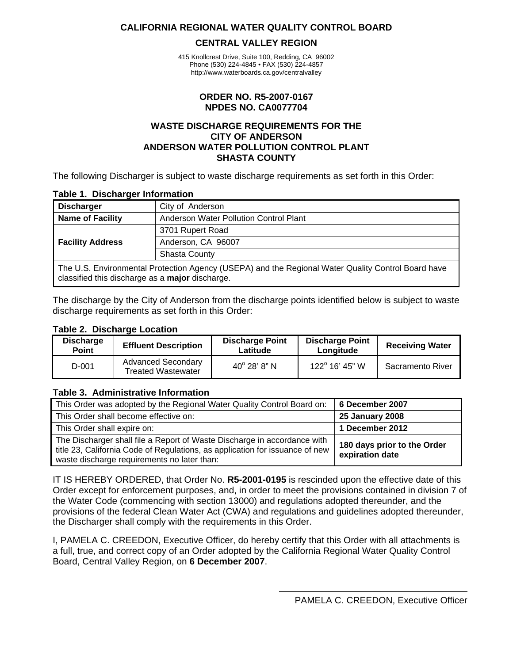#### <span id="page-0-0"></span>**CALIFORNIA REGIONAL WATER QUALITY CONTROL BOARD**

#### **CENTRAL VALLEY REGION**

415 Knollcrest Drive, Suite 100, Redding, CA 96002 Phone (530) 224-4845 • FAX (530) 224-4857 http://www.waterboards.ca.gov/centralvalley

#### **ORDER NO. R5-2007-0167 NPDES NO. CA0077704**

#### **WASTE DISCHARGE REQUIREMENTS FOR THE CITY OF ANDERSON ANDERSON WATER POLLUTION CONTROL PLANT SHASTA COUNTY**

The following Discharger is subject to waste discharge requirements as set forth in this Order:

#### **Table 1. Discharger Information**

| <b>Discharger</b>                                                                                                                                            | City of Anderson                       |  |  |
|--------------------------------------------------------------------------------------------------------------------------------------------------------------|----------------------------------------|--|--|
| <b>Name of Facility</b>                                                                                                                                      | Anderson Water Pollution Control Plant |  |  |
|                                                                                                                                                              | 3701 Rupert Road                       |  |  |
| <b>Facility Address</b>                                                                                                                                      | Anderson, CA 96007                     |  |  |
|                                                                                                                                                              | <b>Shasta County</b>                   |  |  |
| The U.S. Environmental Protection Agency (USEPA) and the Regional Water Quality Control Board have<br>classified this discharge as a <b>major</b> discharge. |                                        |  |  |

The discharge by the City of Anderson from the discharge points identified below is subject to waste discharge requirements as set forth in this Order:

#### **Table 2. Discharge Location**

| <b>Discharge</b><br><b>Point</b> | <b>Effluent Description</b>                            | <b>Discharge Point</b><br>Latitude | <b>Discharge Point</b><br>Longitude | <b>Receiving Water</b> |
|----------------------------------|--------------------------------------------------------|------------------------------------|-------------------------------------|------------------------|
| D-001                            | <b>Advanced Secondary</b><br><b>Treated Wastewater</b> | $40^{\circ}$ 28' 8" N              | 122° 16' 45" W                      | Sacramento River       |

#### **Table 3. Administrative Information**

| This Order was adopted by the Regional Water Quality Control Board on:                                                                                                                                  | 6 December 2007                                |
|---------------------------------------------------------------------------------------------------------------------------------------------------------------------------------------------------------|------------------------------------------------|
| This Order shall become effective on:                                                                                                                                                                   | <b>25 January 2008</b>                         |
| This Order shall expire on:                                                                                                                                                                             | 1 December 2012                                |
| The Discharger shall file a Report of Waste Discharge in accordance with<br>title 23, California Code of Regulations, as application for issuance of new<br>waste discharge requirements no later than: | 180 days prior to the Order<br>expiration date |

IT IS HEREBY ORDERED, that Order No. **R5-2001-0195** is rescinded upon the effective date of this Order except for enforcement purposes, and, in order to meet the provisions contained in division 7 of the Water Code (commencing with section 13000) and regulations adopted thereunder, and the provisions of the federal Clean Water Act (CWA) and regulations and guidelines adopted thereunder, the Discharger shall comply with the requirements in this Order.

I, PAMELA C. CREEDON, Executive Officer, do hereby certify that this Order with all attachments is a full, true, and correct copy of an Order adopted by the California Regional Water Quality Control Board, Central Valley Region, on **6 December 2007**.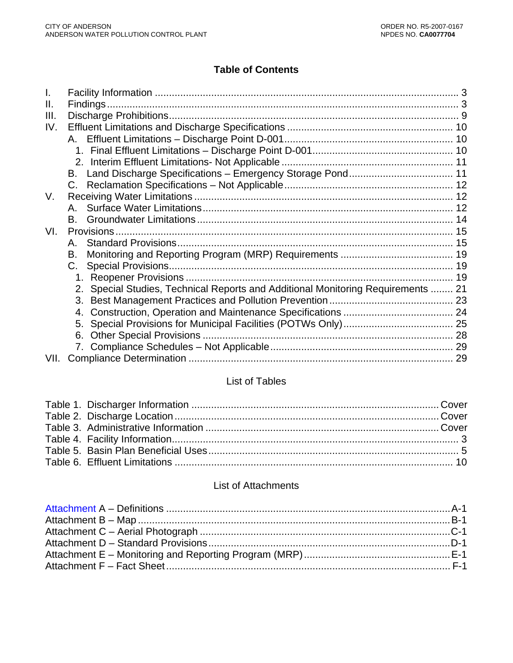# **Table of Contents**

| Ш.   |                                                                                  |  |
|------|----------------------------------------------------------------------------------|--|
| III. |                                                                                  |  |
| IV.  |                                                                                  |  |
|      |                                                                                  |  |
|      |                                                                                  |  |
|      |                                                                                  |  |
|      | B. .                                                                             |  |
|      | $C_{\cdot}$                                                                      |  |
| V.   |                                                                                  |  |
|      |                                                                                  |  |
|      |                                                                                  |  |
| VI.  |                                                                                  |  |
|      | A.                                                                               |  |
|      | В.                                                                               |  |
|      | C.                                                                               |  |
|      |                                                                                  |  |
|      | 2. Special Studies, Technical Reports and Additional Monitoring Requirements  21 |  |
|      |                                                                                  |  |
|      | 4.                                                                               |  |
|      |                                                                                  |  |
|      | 6.                                                                               |  |
|      |                                                                                  |  |
| VII. |                                                                                  |  |

# List of Tables

# List of Attachments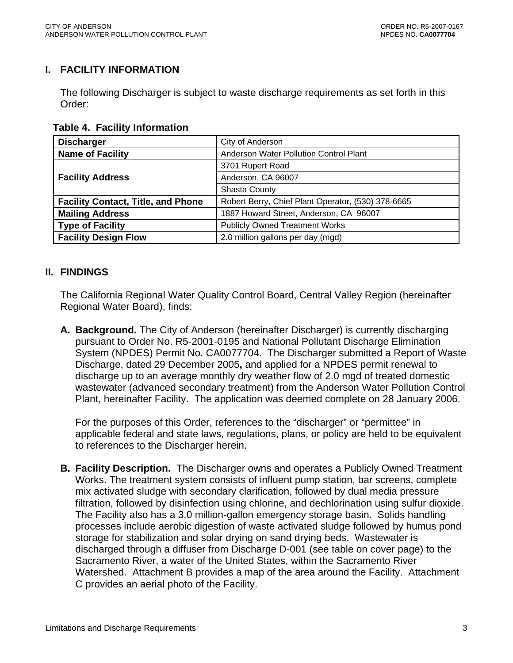### <span id="page-2-0"></span>**I. FACILITY INFORMATION**

The following Discharger is subject to waste discharge requirements as set forth in this Order:

 **Table 4. Facility Information** 

| <b>Discharger</b>                         | City of Anderson                                   |  |  |  |
|-------------------------------------------|----------------------------------------------------|--|--|--|
| <b>Name of Facility</b>                   | Anderson Water Pollution Control Plant             |  |  |  |
|                                           | 3701 Rupert Road                                   |  |  |  |
| <b>Facility Address</b>                   | Anderson, CA 96007                                 |  |  |  |
|                                           | <b>Shasta County</b>                               |  |  |  |
| <b>Facility Contact, Title, and Phone</b> | Robert Berry, Chief Plant Operator, (530) 378-6665 |  |  |  |
| <b>Mailing Address</b>                    | 1887 Howard Street, Anderson, CA 96007             |  |  |  |
| Type of Facility                          | <b>Publicly Owned Treatment Works</b>              |  |  |  |
| <b>Facility Design Flow</b>               | 2.0 million gallons per day (mgd)                  |  |  |  |

### **II. FINDINGS**

The California Regional Water Quality Control Board, Central Valley Region (hereinafter Regional Water Board), finds:

**A. Background.** The City of Anderson (hereinafter Discharger) is currently discharging pursuant to Order No. R5-2001-0195 and National Pollutant Discharge Elimination System (NPDES) Permit No. CA0077704. The Discharger submitted a Report of Waste Discharge, dated 29 December 2005**,** and applied for a NPDES permit renewal to discharge up to an average monthly dry weather flow of 2.0 mgd of treated domestic wastewater (advanced secondary treatment) from the Anderson Water Pollution Control Plant, hereinafter Facility. The application was deemed complete on 28 January 2006.

For the purposes of this Order, references to the "discharger" or "permittee" in applicable federal and state laws, regulations, plans, or policy are held to be equivalent to references to the Discharger herein.

**B. Facility Description.** The Discharger owns and operates a Publicly Owned Treatment Works. The treatment system consists of influent pump station, bar screens, complete mix activated sludge with secondary clarification, followed by dual media pressure filtration, followed by disinfection using chlorine, and dechlorination using sulfur dioxide. The Facility also has a 3.0 million-gallon emergency storage basin. Solids handling processes include aerobic digestion of waste activated sludge followed by humus pond storage for stabilization and solar drying on sand drying beds. Wastewater is discharged through a diffuser from Discharge D-001 (see table on cover page) to the Sacramento River, a water of the United States, within the Sacramento River Watershed. Attachment B provides a map of the area around the Facility. Attachment C provides an aerial photo of the Facility.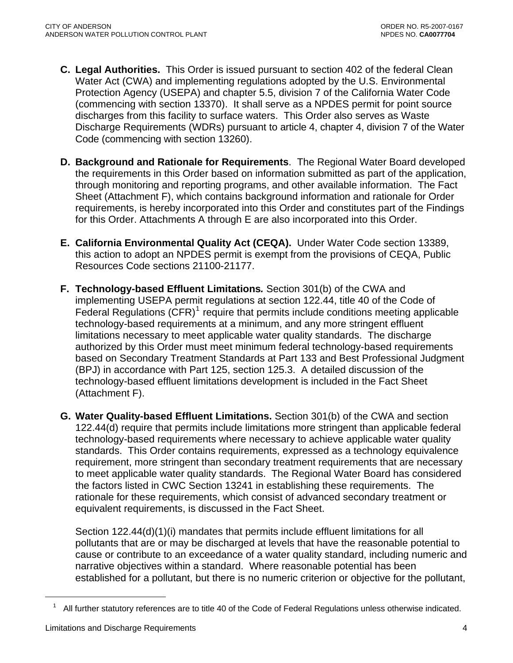- **C. Legal Authorities.** This Order is issued pursuant to section 402 of the federal Clean Water Act (CWA) and implementing regulations adopted by the U.S. Environmental Protection Agency (USEPA) and chapter 5.5, division 7 of the California Water Code (commencing with section 13370). It shall serve as a NPDES permit for point source discharges from this facility to surface waters. This Order also serves as Waste Discharge Requirements (WDRs) pursuant to article 4, chapter 4, division 7 of the Water Code (commencing with section 13260).
- **D. Background and Rationale for Requirements**. The Regional Water Board developed the requirements in this Order based on information submitted as part of the application, through monitoring and reporting programs, and other available information. The Fact Sheet (Attachment F), which contains background information and rationale for Order requirements, is hereby incorporated into this Order and constitutes part of the Findings for this Order. Attachments A through E are also incorporated into this Order.
- **E. California Environmental Quality Act (CEQA).** Under Water Code section 13389, this action to adopt an NPDES permit is exempt from the provisions of CEQA, Public Resources Code sections 21100-21177.
- **F. Technology-based Effluent Limitations***.* Section 301(b) of the CWA and implementing USEPA permit regulations at section 122.44, title 40 of the Code of Federal Regulations  $(CFR)^1$  $(CFR)^1$  require that permits include conditions meeting applicable technology-based requirements at a minimum, and any more stringent effluent limitations necessary to meet applicable water quality standards. The discharge authorized by this Order must meet minimum federal technology-based requirements based on Secondary Treatment Standards at Part 133 and Best Professional Judgment (BPJ) in accordance with Part 125, section 125.3. A detailed discussion of the technology-based effluent limitations development is included in the Fact Sheet (Attachment F).
- **G. Water Quality-based Effluent Limitations.** Section 301(b) of the CWA and section 122.44(d) require that permits include limitations more stringent than applicable federal technology-based requirements where necessary to achieve applicable water quality standards. This Order contains requirements, expressed as a technology equivalence requirement, more stringent than secondary treatment requirements that are necessary to meet applicable water quality standards. The Regional Water Board has considered the factors listed in CWC Section 13241 in establishing these requirements. The rationale for these requirements, which consist of advanced secondary treatment or equivalent requirements, is discussed in the Fact Sheet.

Section 122.44(d)(1)(i) mandates that permits include effluent limitations for all pollutants that are or may be discharged at levels that have the reasonable potential to cause or contribute to an exceedance of a water quality standard, including numeric and narrative objectives within a standard. Where reasonable potential has been established for a pollutant, but there is no numeric criterion or objective for the pollutant,

 $\overline{a}$ 

 $1$  All further statutory references are to title 40 of the Code of Federal Regulations unless otherwise indicated.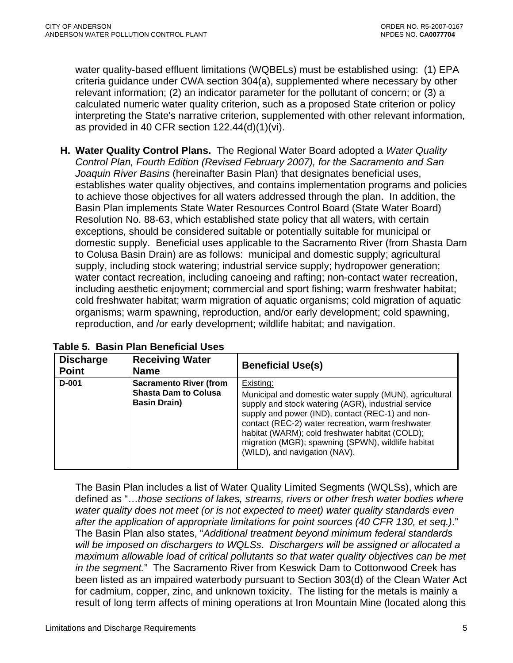<span id="page-4-0"></span>water quality-based effluent limitations (WQBELs) must be established using: (1) EPA criteria guidance under CWA section 304(a), supplemented where necessary by other relevant information; (2) an indicator parameter for the pollutant of concern; or (3) a calculated numeric water quality criterion, such as a proposed State criterion or policy interpreting the State's narrative criterion, supplemented with other relevant information, as provided in 40 CFR section 122.44(d)(1)(vi).

**H. Water Quality Control Plans.** The Regional Water Board adopted a *Water Quality Control Plan, Fourth Edition (Revised February 2007), for the Sacramento and San Joaquin River Basins* (hereinafter Basin Plan) that designates beneficial uses, establishes water quality objectives, and contains implementation programs and policies to achieve those objectives for all waters addressed through the plan. In addition, the Basin Plan implements State Water Resources Control Board (State Water Board) Resolution No. 88-63, which established state policy that all waters, with certain exceptions, should be considered suitable or potentially suitable for municipal or domestic supply.Beneficial uses applicable to the Sacramento River (from Shasta Dam to Colusa Basin Drain) are as follows: municipal and domestic supply; agricultural supply, including stock watering; industrial service supply; hydropower generation; water contact recreation, including canoeing and rafting; non-contact water recreation, including aesthetic enjoyment; commercial and sport fishing; warm freshwater habitat; cold freshwater habitat; warm migration of aquatic organisms; cold migration of aquatic organisms; warm spawning, reproduction, and/or early development; cold spawning, reproduction, and /or early development; wildlife habitat; and navigation.

| <b>Discharge</b><br><b>Point</b> | <b>Receiving Water</b><br><b>Name</b>                                               | <b>Beneficial Use(s)</b>                                                                                                                                                                                                                                                                                                                                                       |
|----------------------------------|-------------------------------------------------------------------------------------|--------------------------------------------------------------------------------------------------------------------------------------------------------------------------------------------------------------------------------------------------------------------------------------------------------------------------------------------------------------------------------|
| D-001                            | <b>Sacramento River (from</b><br><b>Shasta Dam to Colusa</b><br><b>Basin Drain)</b> | Existing:<br>Municipal and domestic water supply (MUN), agricultural<br>supply and stock watering (AGR), industrial service<br>supply and power (IND), contact (REC-1) and non-<br>contact (REC-2) water recreation, warm freshwater<br>habitat (WARM); cold freshwater habitat (COLD);<br>migration (MGR); spawning (SPWN), wildlife habitat<br>(WILD), and navigation (NAV). |

<span id="page-4-1"></span>The Basin Plan includes a list of Water Quality Limited Segments (WQLSs), which are defined as "…*those sections of lakes, streams, rivers or other fresh water bodies where water quality does not meet (or is not expected to meet) water quality standards even after the application of appropriate limitations for point sources (40 CFR 130, et seq.)*." The Basin Plan also states, "*Additional treatment beyond minimum federal standards will be imposed on dischargers to WQLSs. Dischargers will be assigned or allocated a maximum allowable load of critical pollutants so that water quality objectives can be met in the segment.*" The Sacramento River from Keswick Dam to Cottonwood Creek has been listed as an impaired waterbody pursuant to Section 303(d) of the Clean Water Act for cadmium, copper, zinc, and unknown toxicity. The listing for the metals is mainly a result of long term affects of mining operations at Iron Mountain Mine (located along this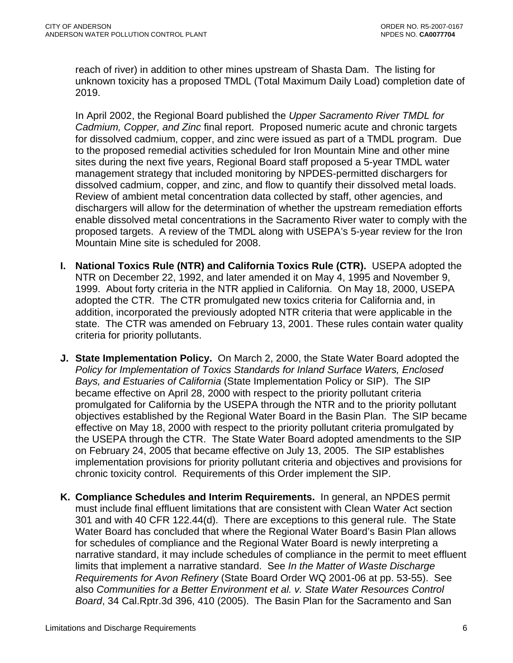reach of river) in addition to other mines upstream of Shasta Dam. The listing for unknown toxicity has a proposed TMDL (Total Maximum Daily Load) completion date of 2019.

In April 2002, the Regional Board published the *Upper Sacramento River TMDL for Cadmium, Copper, and Zinc* final report. Proposed numeric acute and chronic targets for dissolved cadmium, copper, and zinc were issued as part of a TMDL program. Due to the proposed remedial activities scheduled for Iron Mountain Mine and other mine sites during the next five years, Regional Board staff proposed a 5-year TMDL water management strategy that included monitoring by NPDES-permitted dischargers for dissolved cadmium, copper, and zinc, and flow to quantify their dissolved metal loads. Review of ambient metal concentration data collected by staff, other agencies, and dischargers will allow for the determination of whether the upstream remediation efforts enable dissolved metal concentrations in the Sacramento River water to comply with the proposed targets. A review of the TMDL along with USEPA's 5-year review for the Iron Mountain Mine site is scheduled for 2008.

- **I. National Toxics Rule (NTR) and California Toxics Rule (CTR).** USEPA adopted the NTR on December 22, 1992, and later amended it on May 4, 1995 and November 9, 1999. About forty criteria in the NTR applied in California. On May 18, 2000, USEPA adopted the CTR. The CTR promulgated new toxics criteria for California and, in addition, incorporated the previously adopted NTR criteria that were applicable in the state. The CTR was amended on February 13, 2001. These rules contain water quality criteria for priority pollutants.
- **J. State Implementation Policy.** On March 2, 2000, the State Water Board adopted the *Policy for Implementation of Toxics Standards for Inland Surface Waters, Enclosed Bays, and Estuaries of California* (State Implementation Policy or SIP). The SIP became effective on April 28, 2000 with respect to the priority pollutant criteria promulgated for California by the USEPA through the NTR and to the priority pollutant objectives established by the Regional Water Board in the Basin Plan. The SIP became effective on May 18, 2000 with respect to the priority pollutant criteria promulgated by the USEPA through the CTR. The State Water Board adopted amendments to the SIP on February 24, 2005 that became effective on July 13, 2005. The SIP establishes implementation provisions for priority pollutant criteria and objectives and provisions for chronic toxicity control. Requirements of this Order implement the SIP.
- **K. Compliance Schedules and Interim Requirements.** In general, an NPDES permit must include final effluent limitations that are consistent with Clean Water Act section 301 and with 40 CFR 122.44(d). There are exceptions to this general rule. The State Water Board has concluded that where the Regional Water Board's Basin Plan allows for schedules of compliance and the Regional Water Board is newly interpreting a narrative standard, it may include schedules of compliance in the permit to meet effluent limits that implement a narrative standard. See *In the Matter of Waste Discharge Requirements for Avon Refinery* (State Board Order WQ 2001-06 at pp. 53-55). See also *Communities for a Better Environment et al. v. State Water Resources Control Board*, 34 Cal.Rptr.3d 396, 410 (2005). The Basin Plan for the Sacramento and San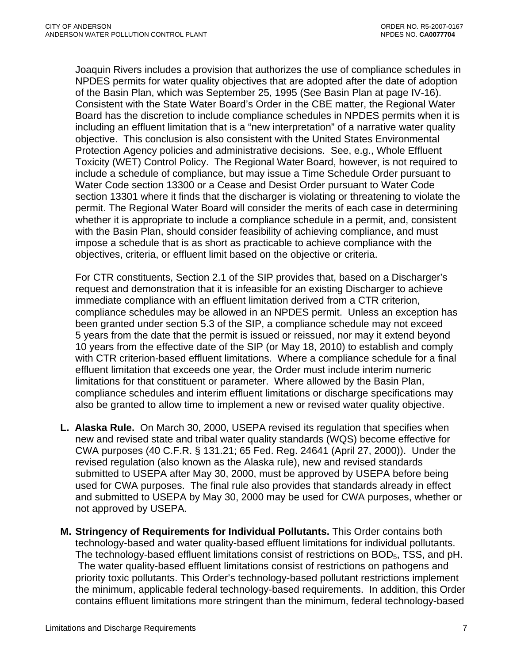Joaquin Rivers includes a provision that authorizes the use of compliance schedules in NPDES permits for water quality objectives that are adopted after the date of adoption of the Basin Plan, which was September 25, 1995 (See Basin Plan at page IV-16). Consistent with the State Water Board's Order in the CBE matter, the Regional Water Board has the discretion to include compliance schedules in NPDES permits when it is including an effluent limitation that is a "new interpretation" of a narrative water quality objective. This conclusion is also consistent with the United States Environmental Protection Agency policies and administrative decisions. See, e.g., Whole Effluent Toxicity (WET) Control Policy. The Regional Water Board, however, is not required to include a schedule of compliance, but may issue a Time Schedule Order pursuant to Water Code section 13300 or a Cease and Desist Order pursuant to Water Code section 13301 where it finds that the discharger is violating or threatening to violate the permit. The Regional Water Board will consider the merits of each case in determining whether it is appropriate to include a compliance schedule in a permit, and, consistent with the Basin Plan, should consider feasibility of achieving compliance, and must impose a schedule that is as short as practicable to achieve compliance with the objectives, criteria, or effluent limit based on the objective or criteria.

For CTR constituents, Section 2.1 of the SIP provides that, based on a Discharger's request and demonstration that it is infeasible for an existing Discharger to achieve immediate compliance with an effluent limitation derived from a CTR criterion, compliance schedules may be allowed in an NPDES permit. Unless an exception has been granted under section 5.3 of the SIP, a compliance schedule may not exceed 5 years from the date that the permit is issued or reissued, nor may it extend beyond 10 years from the effective date of the SIP (or May 18, 2010) to establish and comply with CTR criterion-based effluent limitations. Where a compliance schedule for a final effluent limitation that exceeds one year, the Order must include interim numeric limitations for that constituent or parameter. Where allowed by the Basin Plan, compliance schedules and interim effluent limitations or discharge specifications may also be granted to allow time to implement a new or revised water quality objective.

- **L. Alaska Rule.** On March 30, 2000, USEPA revised its regulation that specifies when new and revised state and tribal water quality standards (WQS) become effective for CWA purposes (40 C.F.R. § 131.21; 65 Fed. Reg. 24641 (April 27, 2000)). Under the revised regulation (also known as the Alaska rule), new and revised standards submitted to USEPA after May 30, 2000, must be approved by USEPA before being used for CWA purposes. The final rule also provides that standards already in effect and submitted to USEPA by May 30, 2000 may be used for CWA purposes, whether or not approved by USEPA.
- **M. Stringency of Requirements for Individual Pollutants.** This Order contains both technology-based and water quality-based effluent limitations for individual pollutants. The technology-based effluent limitations consist of restrictions on BOD<sub>5</sub>, TSS, and pH. The water quality-based effluent limitations consist of restrictions on pathogens and priority toxic pollutants. This Order's technology-based pollutant restrictions implement the minimum, applicable federal technology-based requirements. In addition, this Order contains effluent limitations more stringent than the minimum, federal technology-based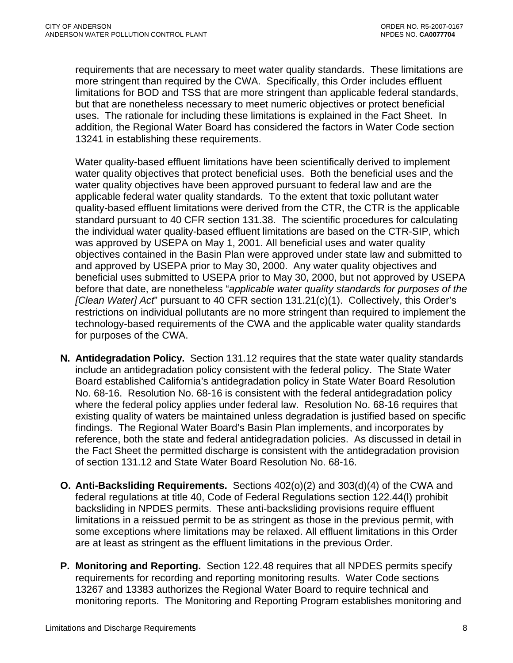requirements that are necessary to meet water quality standards. These limitations are more stringent than required by the CWA. Specifically, this Order includes effluent limitations for BOD and TSS that are more stringent than applicable federal standards, but that are nonetheless necessary to meet numeric objectives or protect beneficial uses. The rationale for including these limitations is explained in the Fact Sheet. In addition, the Regional Water Board has considered the factors in Water Code section 13241 in establishing these requirements.

Water quality-based effluent limitations have been scientifically derived to implement water quality objectives that protect beneficial uses. Both the beneficial uses and the water quality objectives have been approved pursuant to federal law and are the applicable federal water quality standards. To the extent that toxic pollutant water quality-based effluent limitations were derived from the CTR, the CTR is the applicable standard pursuant to 40 CFR section 131.38. The scientific procedures for calculating the individual water quality-based effluent limitations are based on the CTR-SIP, which was approved by USEPA on May 1, 2001. All beneficial uses and water quality objectives contained in the Basin Plan were approved under state law and submitted to and approved by USEPA prior to May 30, 2000. Any water quality objectives and beneficial uses submitted to USEPA prior to May 30, 2000, but not approved by USEPA before that date, are nonetheless "*applicable water quality standards for purposes of the [Clean Water] Act*" pursuant to 40 CFR section 131.21(c)(1). Collectively, this Order's restrictions on individual pollutants are no more stringent than required to implement the technology-based requirements of the CWA and the applicable water quality standards for purposes of the CWA.

- **N. Antidegradation Policy.** Section 131.12 requires that the state water quality standards include an antidegradation policy consistent with the federal policy. The State Water Board established California's antidegradation policy in State Water Board Resolution No. 68-16. Resolution No. 68-16 is consistent with the federal antidegradation policy where the federal policy applies under federal law. Resolution No. 68-16 requires that existing quality of waters be maintained unless degradation is justified based on specific findings. The Regional Water Board's Basin Plan implements, and incorporates by reference, both the state and federal antidegradation policies. As discussed in detail in the Fact Sheet the permitted discharge is consistent with the antidegradation provision of section 131.12 and State Water Board Resolution No. 68-16.
- **O. Anti-Backsliding Requirements.** Sections 402(o)(2) and 303(d)(4) of the CWA and federal regulations at title 40, Code of Federal Regulations section 122.44(l) prohibit backsliding in NPDES permits. These anti-backsliding provisions require effluent limitations in a reissued permit to be as stringent as those in the previous permit, with some exceptions where limitations may be relaxed. All effluent limitations in this Order are at least as stringent as the effluent limitations in the previous Order.
- **P. Monitoring and Reporting.** Section 122.48 requires that all NPDES permits specify requirements for recording and reporting monitoring results. Water Code sections 13267 and 13383 authorizes the Regional Water Board to require technical and monitoring reports. The Monitoring and Reporting Program establishes monitoring and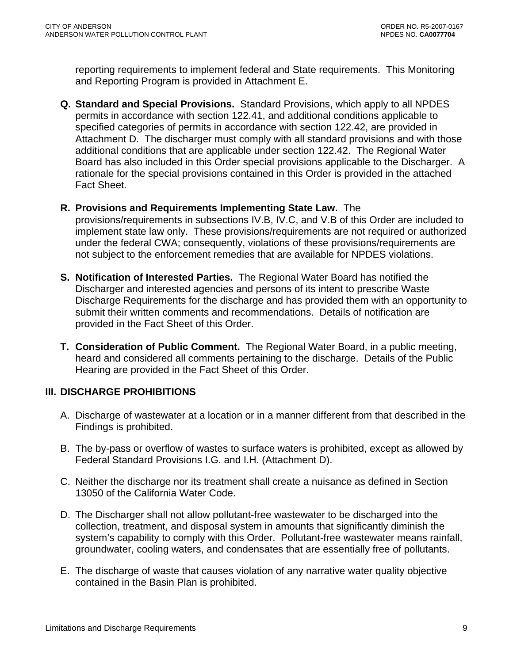<span id="page-8-0"></span>reporting requirements to implement federal and State requirements. This Monitoring and Reporting Program is provided in Attachment E.

- **Q. Standard and Special Provisions.** Standard Provisions, which apply to all NPDES permits in accordance with section 122.41, and additional conditions applicable to specified categories of permits in accordance with section 122.42, are provided in Attachment D. The discharger must comply with all standard provisions and with those additional conditions that are applicable under section 122.42. The Regional Water Board has also included in this Order special provisions applicable to the Discharger. A rationale for the special provisions contained in this Order is provided in the attached Fact Sheet.
- **R. Provisions and Requirements Implementing State Law.** The

provisions/requirements in subsections IV.B, IV.C, and V.B of this Order are included to implement state law only. These provisions/requirements are not required or authorized under the federal CWA; consequently, violations of these provisions/requirements are not subject to the enforcement remedies that are available for NPDES violations.

- **S. Notification of Interested Parties.** The Regional Water Board has notified the Discharger and interested agencies and persons of its intent to prescribe Waste Discharge Requirements for the discharge and has provided them with an opportunity to submit their written comments and recommendations. Details of notification are provided in the Fact Sheet of this Order.
- **T. Consideration of Public Comment.** The Regional Water Board, in a public meeting, heard and considered all comments pertaining to the discharge. Details of the Public Hearing are provided in the Fact Sheet of this Order.

### **III. DISCHARGE PROHIBITIONS**

- A. Discharge of wastewater at a location or in a manner different from that described in the Findings is prohibited.
- B. The by-pass or overflow of wastes to surface waters is prohibited, except as allowed by Federal Standard Provisions [I.G.](#page-37-0) and [I.H.](#page-38-0) (Attachment D).
- C. Neither the discharge nor its treatment shall create a nuisance as defined in Section 13050 of the California Water Code.
- D. The Discharger shall not allow pollutant-free wastewater to be discharged into the collection, treatment, and disposal system in amounts that significantly diminish the system's capability to comply with this Order. Pollutant-free wastewater means rainfall, groundwater, cooling waters, and condensates that are essentially free of pollutants.
- E. The discharge of waste that causes violation of any narrative water quality objective contained in the Basin Plan is prohibited.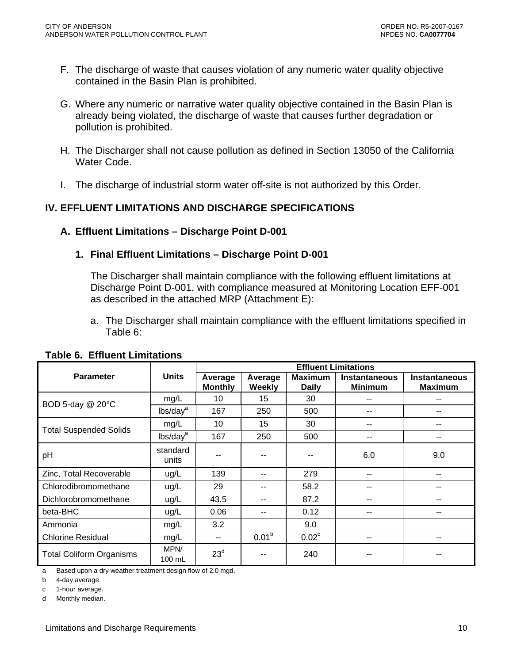- <span id="page-9-0"></span>F. The discharge of waste that causes violation of any numeric water quality objective contained in the Basin Plan is prohibited.
- G. Where any numeric or narrative water quality objective contained in the Basin Plan is already being violated, the discharge of waste that causes further degradation or pollution is prohibited.
- H. The Discharger shall not cause pollution as defined in Section 13050 of the California Water Code.
- I. The discharge of industrial storm water off-site is not authorized by this Order.

## **IV. EFFLUENT LIMITATIONS AND DISCHARGE SPECIFICATIONS**

### **A. Effluent Limitations – Discharge Point D-001**

### **1. Final Effluent Limitations – Discharge Point D-001**

The Discharger shall maintain compliance with the following effluent limitations at Discharge Point D-001, with compliance measured at Monitoring Location EFF-001 as described in the attached MRP (Attachment E):

a. The Discharger shall maintain compliance with the effluent limitations specified in Table 6:

|                                 |                      | <b>Effluent Limitations</b> |                          |                                |                                        |                                        |
|---------------------------------|----------------------|-----------------------------|--------------------------|--------------------------------|----------------------------------------|----------------------------------------|
| <b>Parameter</b>                | <b>Units</b>         | Average<br><b>Monthly</b>   | Average<br><b>Weekly</b> | <b>Maximum</b><br><b>Daily</b> | <b>Instantaneous</b><br><b>Minimum</b> | <b>Instantaneous</b><br><b>Maximum</b> |
|                                 | mg/L                 | 10                          | 15                       | 30                             | --                                     |                                        |
| BOD 5-day @ 20°C                | lbs/day <sup>a</sup> | 167                         | 250                      | 500                            | --                                     | --                                     |
|                                 | mg/L                 | 10                          | 15                       | 30                             | --                                     | --                                     |
| <b>Total Suspended Solids</b>   | lbs/day <sup>a</sup> | 167                         | 250                      | 500                            | --                                     | --                                     |
| pH                              | standard<br>units    |                             |                          | --                             | 6.0                                    | 9.0                                    |
| Zinc, Total Recoverable         | ug/L                 | 139                         | $-$                      | 279                            | --                                     | $-$                                    |
| Chlorodibromomethane            | ug/L                 | 29                          | $-$                      | 58.2                           | --                                     | --                                     |
| Dichlorobromomethane            | ug/L                 | 43.5                        | $\overline{\phantom{a}}$ | 87.2                           | --                                     | --                                     |
| beta-BHC                        | ug/L                 | 0.06                        | $-$                      | 0.12                           | --                                     | --                                     |
| Ammonia                         | mg/L                 | 3.2                         |                          | 9.0                            |                                        |                                        |
| <b>Chlorine Residual</b>        | mg/L                 | $-$                         | 0.01 <sup>b</sup>        | 0.02 <sup>c</sup>              | --                                     | --                                     |
| <b>Total Coliform Organisms</b> | MPN/<br>100 mL       | 23 <sup>d</sup>             | --                       | 240                            |                                        |                                        |

### **Table 6. Effluent Limitations**

a Based upon a dry weather treatment design flow of 2.0 mgd.

b 4-day average.

c 1-hour average.

d Monthly median.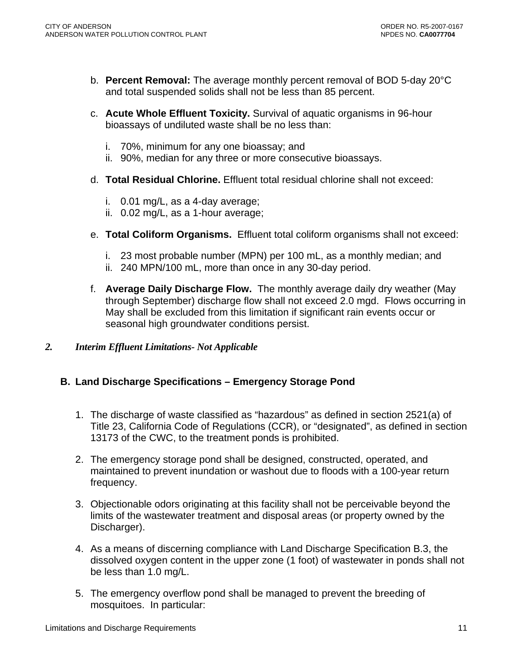- <span id="page-10-0"></span>b. **Percent Removal:** The average monthly percent removal of BOD 5-day 20°C and total suspended solids shall not be less than 85 percent.
- c. **Acute Whole Effluent Toxicity.** Survival of aquatic organisms in 96-hour bioassays of undiluted waste shall be no less than:
	- i. 70%, minimum for any one bioassay; and
	- ii. 90%, median for any three or more consecutive bioassays.
- d. **Total Residual Chlorine.** Effluent total residual chlorine shall not exceed:
	- i. 0.01 mg/L, as a 4-day average;
	- ii. 0.02 mg/L, as a 1-hour average;
- e. **Total Coliform Organisms.** Effluent total coliform organisms shall not exceed:
	- i. 23 most probable number (MPN) per 100 mL, as a monthly median; and
	- ii. 240 MPN/100 mL, more than once in any 30-day period.
- f. **Average Daily Discharge Flow.** The monthly average daily dry weather (May through September) discharge flow shall not exceed 2.0 mgd. Flows occurring in May shall be excluded from this limitation if significant rain events occur or seasonal high groundwater conditions persist.
- *2. Interim Effluent Limitations- Not Applicable*

## **B. Land Discharge Specifications – Emergency Storage Pond**

- 1. The discharge of waste classified as "hazardous" as defined in section 2521(a) of Title 23, California Code of Regulations (CCR), or "designated", as defined in section 13173 of the CWC, to the treatment ponds is prohibited.
- 2. The emergency storage pond shall be designed, constructed, operated, and maintained to prevent inundation or washout due to floods with a 100-year return frequency.
- 3. Objectionable odors originating at this facility shall not be perceivable beyond the limits of the wastewater treatment and disposal areas (or property owned by the Discharger).
- 4. As a means of discerning compliance with Land Discharge Specification B.3, the dissolved oxygen content in the upper zone (1 foot) of wastewater in ponds shall not be less than 1.0 mg/L.
- 5. The emergency overflow pond shall be managed to prevent the breeding of mosquitoes. In particular: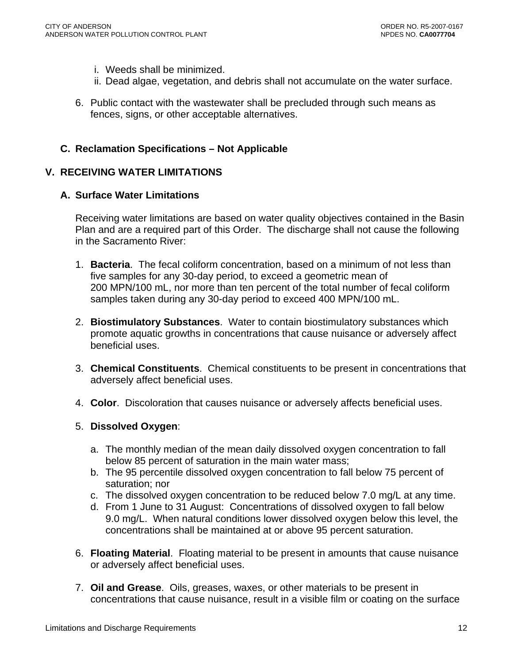- <span id="page-11-0"></span>i. Weeds shall be minimized.
- ii. Dead algae, vegetation, and debris shall not accumulate on the water surface.
- 6. Public contact with the wastewater shall be precluded through such means as fences, signs, or other acceptable alternatives.

### **C. Reclamation Specifications – Not Applicable**

### **V. RECEIVING WATER LIMITATIONS**

### **A. Surface Water Limitations**

Receiving water limitations are based on water quality objectives contained in the Basin Plan and are a required part of this Order. The discharge shall not cause the following in the Sacramento River:

- 1. **Bacteria**. The fecal coliform concentration, based on a minimum of not less than five samples for any 30-day period, to exceed a geometric mean of 200 MPN/100 mL, nor more than ten percent of the total number of fecal coliform samples taken during any 30-day period to exceed 400 MPN/100 mL.
- 2. **Biostimulatory Substances**. Water to contain biostimulatory substances which promote aquatic growths in concentrations that cause nuisance or adversely affect beneficial uses.
- 3. **Chemical Constituents**. Chemical constituents to be present in concentrations that adversely affect beneficial uses.
- 4. **Color**. Discoloration that causes nuisance or adversely affects beneficial uses.

### 5. **Dissolved Oxygen**:

- a. The monthly median of the mean daily dissolved oxygen concentration to fall below 85 percent of saturation in the main water mass;
- b. The 95 percentile dissolved oxygen concentration to fall below 75 percent of saturation; nor
- c. The dissolved oxygen concentration to be reduced below 7.0 mg/L at any time.
- d. From 1 June to 31 August: Concentrations of dissolved oxygen to fall below 9.0 mg/L. When natural conditions lower dissolved oxygen below this level, the concentrations shall be maintained at or above 95 percent saturation.
- 6. **Floating Material**. Floating material to be present in amounts that cause nuisance or adversely affect beneficial uses.
- 7. **Oil and Grease**. Oils, greases, waxes, or other materials to be present in concentrations that cause nuisance, result in a visible film or coating on the surface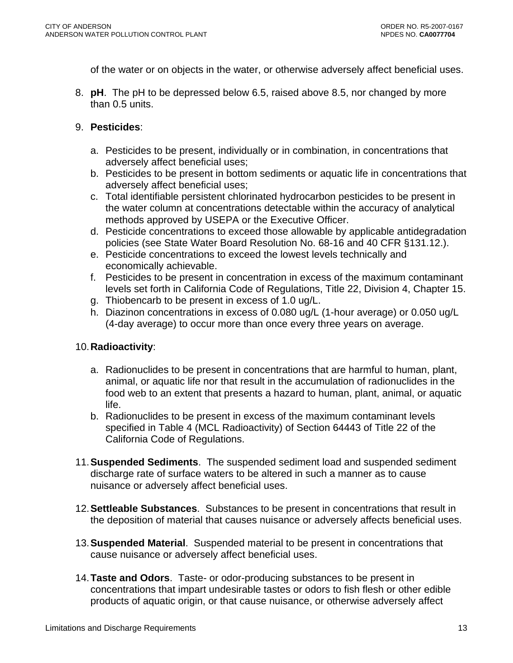of the water or on objects in the water, or otherwise adversely affect beneficial uses.

8. **pH**. The pH to be depressed below 6.5, raised above 8.5, nor changed by more than 0.5 units.

#### 9. **Pesticides**:

- a. Pesticides to be present, individually or in combination, in concentrations that adversely affect beneficial uses;
- b. Pesticides to be present in bottom sediments or aquatic life in concentrations that adversely affect beneficial uses;
- c. Total identifiable persistent chlorinated hydrocarbon pesticides to be present in the water column at concentrations detectable within the accuracy of analytical methods approved by USEPA or the Executive Officer.
- d. Pesticide concentrations to exceed those allowable by applicable antidegradation policies (see State Water Board Resolution No. 68-16 and 40 CFR §131.12.).
- e. Pesticide concentrations to exceed the lowest levels technically and economically achievable.
- f. Pesticides to be present in concentration in excess of the maximum contaminant levels set forth in California Code of Regulations, Title 22, Division 4, Chapter 15.
- g. Thiobencarb to be present in excess of 1.0 ug/L.
- h. Diazinon concentrations in excess of 0.080 ug/L (1-hour average) or 0.050 ug/L (4-day average) to occur more than once every three years on average.

### 10. **Radioactivity**:

- a. Radionuclides to be present in concentrations that are harmful to human, plant, animal, or aquatic life nor that result in the accumulation of radionuclides in the food web to an extent that presents a hazard to human, plant, animal, or aquatic life.
- b. Radionuclides to be present in excess of the maximum contaminant levels specified in Table 4 (MCL Radioactivity) of Section 64443 of Title 22 of the California Code of Regulations.
- 11.**Suspended Sediments**. The suspended sediment load and suspended sediment discharge rate of surface waters to be altered in such a manner as to cause nuisance or adversely affect beneficial uses.
- 12.**Settleable Substances**. Substances to be present in concentrations that result in the deposition of material that causes nuisance or adversely affects beneficial uses.
- 13. **Suspended Material**. Suspended material to be present in concentrations that cause nuisance or adversely affect beneficial uses.
- 14.**Taste and Odors**. Taste- or odor-producing substances to be present in concentrations that impart undesirable tastes or odors to fish flesh or other edible products of aquatic origin, or that cause nuisance, or otherwise adversely affect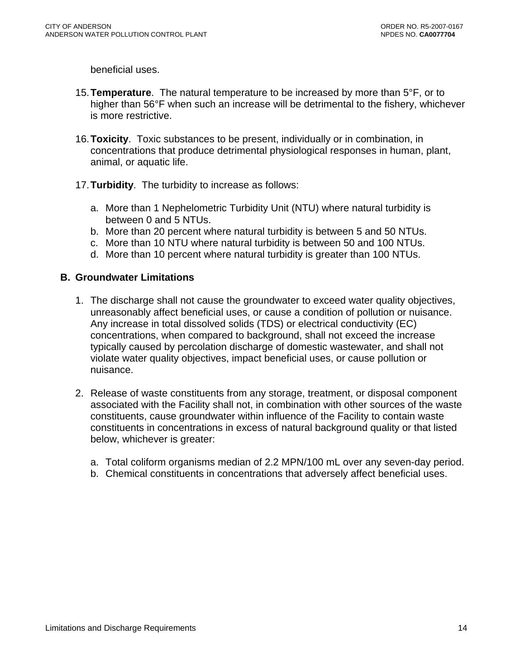<span id="page-13-0"></span>beneficial uses.

- 15. **Temperature**. The natural temperature to be increased by more than 5°F, or to higher than 56°F when such an increase will be detrimental to the fishery, whichever is more restrictive.
- 16.**Toxicity**. Toxic substances to be present, individually or in combination, in concentrations that produce detrimental physiological responses in human, plant, animal, or aquatic life.
- 17. **Turbidity**. The turbidity to increase as follows:
	- a. More than 1 Nephelometric Turbidity Unit (NTU) where natural turbidity is between 0 and 5 NTUs.
	- b. More than 20 percent where natural turbidity is between 5 and 50 NTUs.
	- c. More than 10 NTU where natural turbidity is between 50 and 100 NTUs.
	- d. More than 10 percent where natural turbidity is greater than 100 NTUs.

#### **B. Groundwater Limitations**

- 1. The discharge shall not cause the groundwater to exceed water quality objectives, unreasonably affect beneficial uses, or cause a condition of pollution or nuisance. Any increase in total dissolved solids (TDS) or electrical conductivity (EC) concentrations, when compared to background, shall not exceed the increase typically caused by percolation discharge of domestic wastewater, and shall not violate water quality objectives, impact beneficial uses, or cause pollution or nuisance.
- 2. Release of waste constituents from any storage, treatment, or disposal component associated with the Facility shall not, in combination with other sources of the waste constituents, cause groundwater within influence of the Facility to contain waste constituents in concentrations in excess of natural background quality or that listed below, whichever is greater:
	- a. Total coliform organisms median of 2.2 MPN/100 mL over any seven-day period.
	- b. Chemical constituents in concentrations that adversely affect beneficial uses.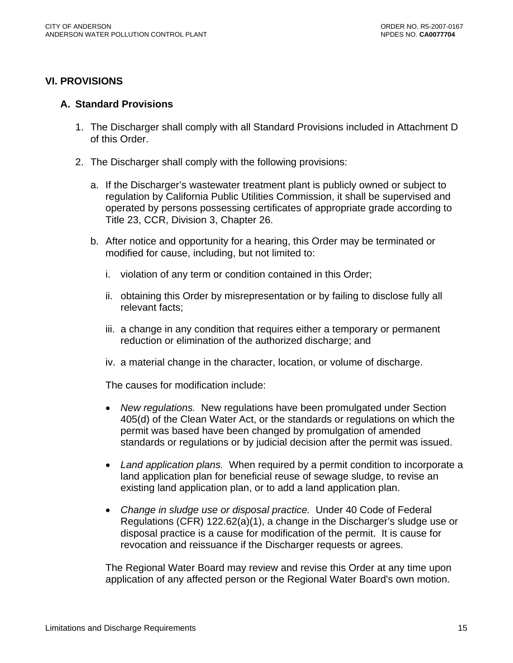### <span id="page-14-0"></span>**VI. PROVISIONS**

#### **A. Standard Provisions**

- 1. The Discharger shall comply with all Standard Provisions included in Attachment D of this Order.
- 2. The Discharger shall comply with the following provisions:
	- a. If the Discharger's wastewater treatment plant is publicly owned or subject to regulation by California Public Utilities Commission, it shall be supervised and operated by persons possessing certificates of appropriate grade according to Title 23, CCR, Division 3, Chapter 26.
	- b. After notice and opportunity for a hearing, this Order may be terminated or modified for cause, including, but not limited to:
		- i. violation of any term or condition contained in this Order;
		- ii. obtaining this Order by misrepresentation or by failing to disclose fully all relevant facts;
		- iii. a change in any condition that requires either a temporary or permanent reduction or elimination of the authorized discharge; and
		- iv. a material change in the character, location, or volume of discharge.

The causes for modification include:

- *New regulations.* New regulations have been promulgated under Section 405(d) of the Clean Water Act, or the standards or regulations on which the permit was based have been changed by promulgation of amended standards or regulations or by judicial decision after the permit was issued.
- *Land application plans.* When required by a permit condition to incorporate a land application plan for beneficial reuse of sewage sludge, to revise an existing land application plan, or to add a land application plan.
- *Change in sludge use or disposal practice.* Under 40 Code of Federal Regulations (CFR) 122.62(a)(1), a change in the Discharger's sludge use or disposal practice is a cause for modification of the permit. It is cause for revocation and reissuance if the Discharger requests or agrees.

The Regional Water Board may review and revise this Order at any time upon application of any affected person or the Regional Water Board's own motion.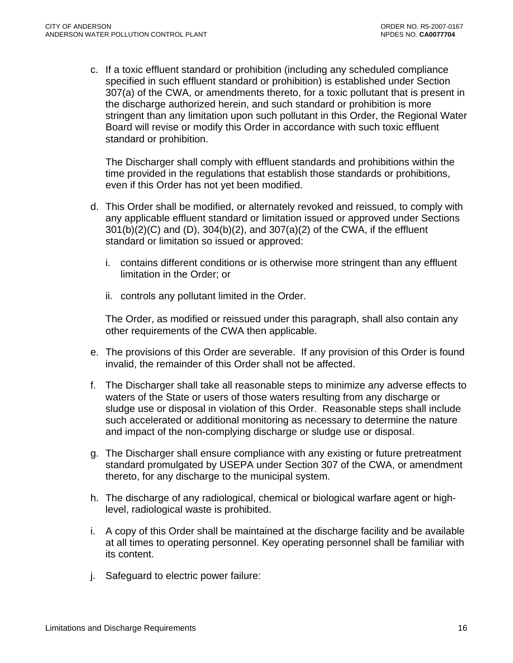c. If a toxic effluent standard or prohibition (including any scheduled compliance specified in such effluent standard or prohibition) is established under Section 307(a) of the CWA, or amendments thereto, for a toxic pollutant that is present in the discharge authorized herein, and such standard or prohibition is more stringent than any limitation upon such pollutant in this Order, the Regional Water Board will revise or modify this Order in accordance with such toxic effluent standard or prohibition.

The Discharger shall comply with effluent standards and prohibitions within the time provided in the regulations that establish those standards or prohibitions, even if this Order has not yet been modified.

- d. This Order shall be modified, or alternately revoked and reissued, to comply with any applicable effluent standard or limitation issued or approved under Sections 301(b)(2)(C) and (D), 304(b)(2), and 307(a)(2) of the CWA, if the effluent standard or limitation so issued or approved:
	- i. contains different conditions or is otherwise more stringent than any effluent limitation in the Order; or
	- ii. controls any pollutant limited in the Order.

The Order, as modified or reissued under this paragraph, shall also contain any other requirements of the CWA then applicable.

- e. The provisions of this Order are severable. If any provision of this Order is found invalid, the remainder of this Order shall not be affected.
- f. The Discharger shall take all reasonable steps to minimize any adverse effects to waters of the State or users of those waters resulting from any discharge or sludge use or disposal in violation of this Order. Reasonable steps shall include such accelerated or additional monitoring as necessary to determine the nature and impact of the non-complying discharge or sludge use or disposal.
- g. The Discharger shall ensure compliance with any existing or future pretreatment standard promulgated by USEPA under Section 307 of the CWA, or amendment thereto, for any discharge to the municipal system.
- h. The discharge of any radiological, chemical or biological warfare agent or highlevel, radiological waste is prohibited.
- i. A copy of this Order shall be maintained at the discharge facility and be available at all times to operating personnel. Key operating personnel shall be familiar with its content.
- j. Safeguard to electric power failure: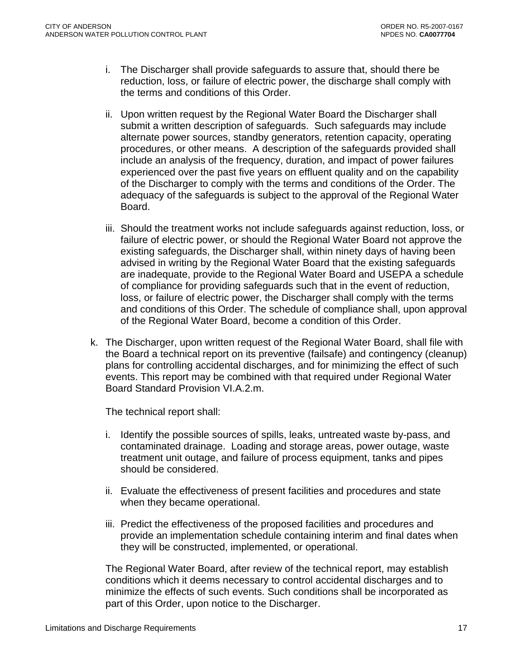- i. The Discharger shall provide safeguards to assure that, should there be reduction, loss, or failure of electric power, the discharge shall comply with the terms and conditions of this Order.
- ii. Upon written request by the Regional Water Board the Discharger shall submit a written description of safeguards. Such safeguards may include alternate power sources, standby generators, retention capacity, operating procedures, or other means. A description of the safeguards provided shall include an analysis of the frequency, duration, and impact of power failures experienced over the past five years on effluent quality and on the capability of the Discharger to comply with the terms and conditions of the Order. The adequacy of the safeguards is subject to the approval of the Regional Water Board.
- iii. Should the treatment works not include safeguards against reduction, loss, or failure of electric power, or should the Regional Water Board not approve the existing safeguards, the Discharger shall, within ninety days of having been advised in writing by the Regional Water Board that the existing safeguards are inadequate, provide to the Regional Water Board and USEPA a schedule of compliance for providing safeguards such that in the event of reduction, loss, or failure of electric power, the Discharger shall comply with the terms and conditions of this Order. The schedule of compliance shall, upon approval of the Regional Water Board, become a condition of this Order.
- k. The Discharger, upon written request of the Regional Water Board, shall file with the Board a technical report on its preventive (failsafe) and contingency (cleanup) plans for controlling accidental discharges, and for minimizing the effect of such events. This report may be combined with that required under Regional Water Board Standard Provision VI.A.2.m.

The technical report shall:

- i. Identify the possible sources of spills, leaks, untreated waste by-pass, and contaminated drainage. Loading and storage areas, power outage, waste treatment unit outage, and failure of process equipment, tanks and pipes should be considered.
- ii. Evaluate the effectiveness of present facilities and procedures and state when they became operational.
- iii. Predict the effectiveness of the proposed facilities and procedures and provide an implementation schedule containing interim and final dates when they will be constructed, implemented, or operational.

The Regional Water Board, after review of the technical report, may establish conditions which it deems necessary to control accidental discharges and to minimize the effects of such events. Such conditions shall be incorporated as part of this Order, upon notice to the Discharger.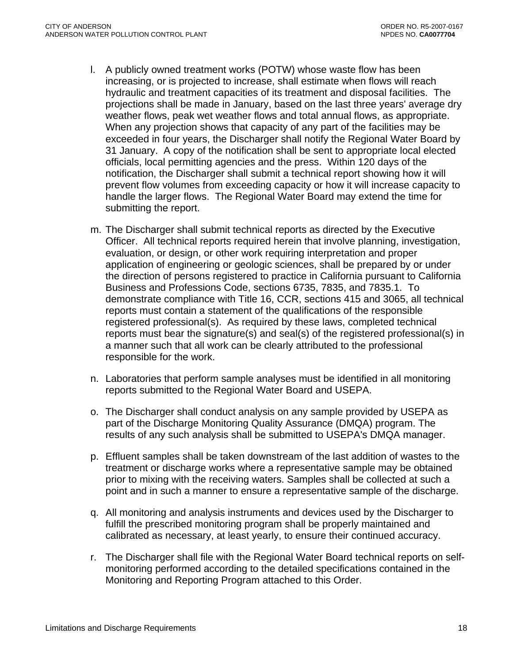- l. A publicly owned treatment works (POTW) whose waste flow has been increasing, or is projected to increase, shall estimate when flows will reach hydraulic and treatment capacities of its treatment and disposal facilities. The projections shall be made in January, based on the last three years' average dry weather flows, peak wet weather flows and total annual flows, as appropriate. When any projection shows that capacity of any part of the facilities may be exceeded in four years, the Discharger shall notify the Regional Water Board by 31 January. A copy of the notification shall be sent to appropriate local elected officials, local permitting agencies and the press. Within 120 days of the notification, the Discharger shall submit a technical report showing how it will prevent flow volumes from exceeding capacity or how it will increase capacity to handle the larger flows. The Regional Water Board may extend the time for submitting the report.
- m. The Discharger shall submit technical reports as directed by the Executive Officer. All technical reports required herein that involve planning, investigation, evaluation, or design, or other work requiring interpretation and proper application of engineering or geologic sciences, shall be prepared by or under the direction of persons registered to practice in California pursuant to California Business and Professions Code, sections 6735, 7835, and 7835.1. To demonstrate compliance with Title 16, CCR, sections 415 and 3065, all technical reports must contain a statement of the qualifications of the responsible registered professional(s). As required by these laws, completed technical reports must bear the signature(s) and seal(s) of the registered professional(s) in a manner such that all work can be clearly attributed to the professional responsible for the work.
- n. Laboratories that perform sample analyses must be identified in all monitoring reports submitted to the Regional Water Board and USEPA.
- o. The Discharger shall conduct analysis on any sample provided by USEPA as part of the Discharge Monitoring Quality Assurance (DMQA) program. The results of any such analysis shall be submitted to USEPA's DMQA manager.
- p. Effluent samples shall be taken downstream of the last addition of wastes to the treatment or discharge works where a representative sample may be obtained prior to mixing with the receiving waters. Samples shall be collected at such a point and in such a manner to ensure a representative sample of the discharge.
- q. All monitoring and analysis instruments and devices used by the Discharger to fulfill the prescribed monitoring program shall be properly maintained and calibrated as necessary, at least yearly, to ensure their continued accuracy.
- r. The Discharger shall file with the Regional Water Board technical reports on selfmonitoring performed according to the detailed specifications contained in the Monitoring and Reporting Program attached to this Order.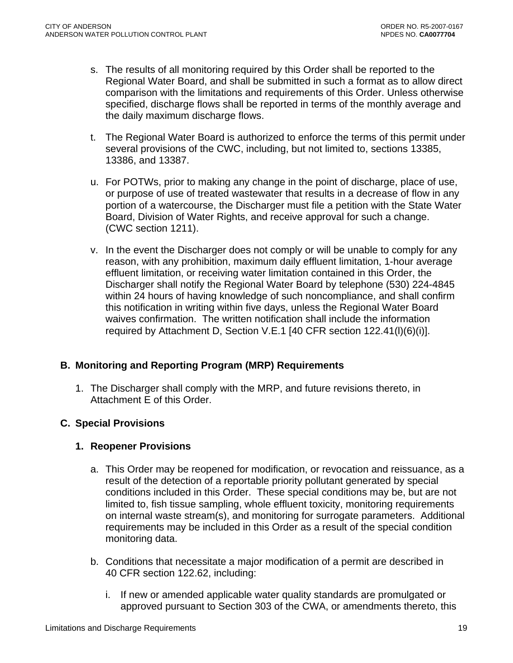- <span id="page-18-0"></span>s. The results of all monitoring required by this Order shall be reported to the Regional Water Board, and shall be submitted in such a format as to allow direct comparison with the limitations and requirements of this Order. Unless otherwise specified, discharge flows shall be reported in terms of the monthly average and the daily maximum discharge flows.
- t. The Regional Water Board is authorized to enforce the terms of this permit under several provisions of the CWC, including, but not limited to, sections 13385, 13386, and 13387.
- u. For POTWs, prior to making any change in the point of discharge, place of use, or purpose of use of treated wastewater that results in a decrease of flow in any portion of a watercourse, the Discharger must file a petition with the State Water Board, Division of Water Rights, and receive approval for such a change. (CWC section 1211).
- v. In the event the Discharger does not comply or will be unable to comply for any reason, with any prohibition, maximum daily effluent limitation, 1-hour average effluent limitation, or receiving water limitation contained in this Order, the Discharger shall notify the Regional Water Board by telephone (530) 224-4845 within 24 hours of having knowledge of such noncompliance, and shall confirm this notification in writing within five days, unless the Regional Water Board waives confirmation. The written notification shall include the information required by [Attachment D, Section V.E.1](#page-0-0) [40 CFR section 122.41(l)(6)(i)].

## **B. Monitoring and Reporting Program (MRP) Requirements**

1. The Discharger shall comply with the MRP, and future revisions thereto, in Attachment E of this Order.

## **C. Special Provisions**

### **1. Reopener Provisions**

- a. This Order may be reopened for modification, or revocation and reissuance, as a result of the detection of a reportable priority pollutant generated by special conditions included in this Order. These special conditions may be, but are not limited to, fish tissue sampling, whole effluent toxicity, monitoring requirements on internal waste stream(s), and monitoring for surrogate parameters. Additional requirements may be included in this Order as a result of the special condition monitoring data.
- b. Conditions that necessitate a major modification of a permit are described in 40 CFR section 122.62, including:
	- i. If new or amended applicable water quality standards are promulgated or approved pursuant to Section 303 of the CWA, or amendments thereto, this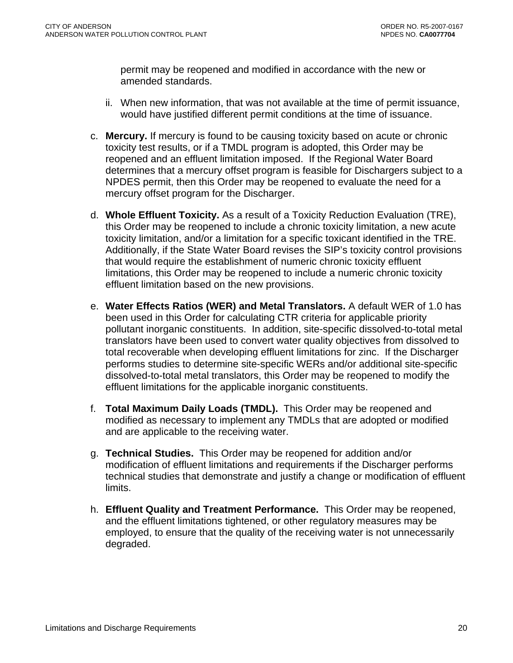permit may be reopened and modified in accordance with the new or amended standards.

- ii. When new information, that was not available at the time of permit issuance, would have justified different permit conditions at the time of issuance.
- c. **Mercury.** If mercury is found to be causing toxicity based on acute or chronic toxicity test results, or if a TMDL program is adopted, this Order may be reopened and an effluent limitation imposed. If the Regional Water Board determines that a mercury offset program is feasible for Dischargers subject to a NPDES permit, then this Order may be reopened to evaluate the need for a mercury offset program for the Discharger.
- d. **Whole Effluent Toxicity.** As a result of a Toxicity Reduction Evaluation (TRE), this Order may be reopened to include a chronic toxicity limitation, a new acute toxicity limitation, and/or a limitation for a specific toxicant identified in the TRE. Additionally, if the State Water Board revises the SIP's toxicity control provisions that would require the establishment of numeric chronic toxicity effluent limitations, this Order may be reopened to include a numeric chronic toxicity effluent limitation based on the new provisions.
- e. **Water Effects Ratios (WER) and Metal Translators.** A default WER of 1.0 has been used in this Order for calculating CTR criteria for applicable priority pollutant inorganic constituents.In addition, site-specific dissolved-to-total metal translators have been used to convert water quality objectives from dissolved to total recoverable when developing effluent limitations for zinc. If the Discharger performs studies to determine site-specific WERs and/or additional site-specific dissolved-to-total metal translators, this Order may be reopened to modify the effluent limitations for the applicable inorganic constituents.
- f. **Total Maximum Daily Loads (TMDL).** This Order may be reopened and modified as necessary to implement any TMDLs that are adopted or modified and are applicable to the receiving water.
- g. **Technical Studies.** This Order may be reopened for addition and/or modification of effluent limitations and requirements if the Discharger performs technical studies that demonstrate and justify a change or modification of effluent limits.
- h. **Effluent Quality and Treatment Performance.** This Order may be reopened, and the effluent limitations tightened, or other regulatory measures may be employed, to ensure that the quality of the receiving water is not unnecessarily degraded.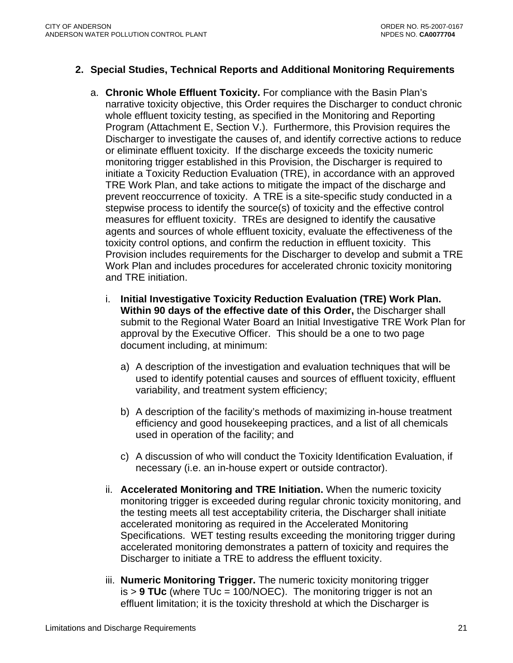### <span id="page-20-0"></span>**2. Special Studies, Technical Reports and Additional Monitoring Requirements**

- a. **Chronic Whole Effluent Toxicity.** For compliance with the Basin Plan's narrative toxicity objective, this Order requires the Discharger to conduct chronic whole effluent toxicity testing, as specified in the Monitoring and Reporting Program (Attachment E, Section V.). Furthermore, this Provision requires the Discharger to investigate the causes of, and identify corrective actions to reduce or eliminate effluent toxicity. If the discharge exceeds the toxicity numeric monitoring trigger established in this Provision, the Discharger is required to initiate a Toxicity Reduction Evaluation (TRE), in accordance with an approved TRE Work Plan, and take actions to mitigate the impact of the discharge and prevent reoccurrence of toxicity. A TRE is a site-specific study conducted in a stepwise process to identify the source(s) of toxicity and the effective control measures for effluent toxicity. TREs are designed to identify the causative agents and sources of whole effluent toxicity, evaluate the effectiveness of the toxicity control options, and confirm the reduction in effluent toxicity. This Provision includes requirements for the Discharger to develop and submit a TRE Work Plan and includes procedures for accelerated chronic toxicity monitoring and TRE initiation.
	- i. **Initial Investigative Toxicity Reduction Evaluation (TRE) Work Plan. Within 90 days of the effective date of this Order,** the Discharger shall submit to the Regional Water Board an Initial Investigative TRE Work Plan for approval by the Executive Officer. This should be a one to two page document including, at minimum:
		- a) A description of the investigation and evaluation techniques that will be used to identify potential causes and sources of effluent toxicity, effluent variability, and treatment system efficiency;
		- b) A description of the facility's methods of maximizing in-house treatment efficiency and good housekeeping practices, and a list of all chemicals used in operation of the facility; and
		- c) A discussion of who will conduct the Toxicity Identification Evaluation, if necessary (i.e. an in-house expert or outside contractor).
	- ii. **Accelerated Monitoring and TRE Initiation.** When the numeric toxicity monitoring trigger is exceeded during regular chronic toxicity monitoring, and the testing meets all test acceptability criteria, the Discharger shall initiate accelerated monitoring as required in the Accelerated Monitoring Specifications. WET testing results exceeding the monitoring trigger during accelerated monitoring demonstrates a pattern of toxicity and requires the Discharger to initiate a TRE to address the effluent toxicity.
	- iii. **Numeric Monitoring Trigger.** The numeric toxicity monitoring trigger is > **9 TUc** (where TUc = 100/NOEC). The monitoring trigger is not an effluent limitation; it is the toxicity threshold at which the Discharger is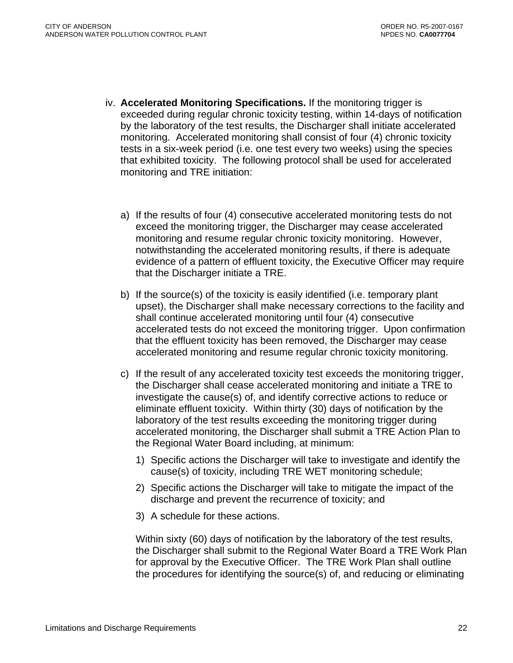- iv. **Accelerated Monitoring Specifications.** If the monitoring trigger is exceeded during regular chronic toxicity testing, within 14-days of notification by the laboratory of the test results, the Discharger shall initiate accelerated monitoring. Accelerated monitoring shall consist of four (4) chronic toxicity tests in a six-week period (i.e. one test every two weeks) using the species that exhibited toxicity. The following protocol shall be used for accelerated monitoring and TRE initiation:
	- a) If the results of four (4) consecutive accelerated monitoring tests do not exceed the monitoring trigger, the Discharger may cease accelerated monitoring and resume regular chronic toxicity monitoring. However, notwithstanding the accelerated monitoring results, if there is adequate evidence of a pattern of effluent toxicity, the Executive Officer may require that the Discharger initiate a TRE.
	- b) If the source(s) of the toxicity is easily identified (i.e. temporary plant upset), the Discharger shall make necessary corrections to the facility and shall continue accelerated monitoring until four (4) consecutive accelerated tests do not exceed the monitoring trigger. Upon confirmation that the effluent toxicity has been removed, the Discharger may cease accelerated monitoring and resume regular chronic toxicity monitoring.
	- c) If the result of any accelerated toxicity test exceeds the monitoring trigger, the Discharger shall cease accelerated monitoring and initiate a TRE to investigate the cause(s) of, and identify corrective actions to reduce or eliminate effluent toxicity. Within thirty (30) days of notification by the laboratory of the test results exceeding the monitoring trigger during accelerated monitoring, the Discharger shall submit a TRE Action Plan to the Regional Water Board including, at minimum:
		- 1) Specific actions the Discharger will take to investigate and identify the cause(s) of toxicity, including TRE WET monitoring schedule;
		- 2) Specific actions the Discharger will take to mitigate the impact of the discharge and prevent the recurrence of toxicity; and
		- 3) A schedule for these actions.

Within sixty (60) days of notification by the laboratory of the test results, the Discharger shall submit to the Regional Water Board a TRE Work Plan for approval by the Executive Officer. The TRE Work Plan shall outline the procedures for identifying the source(s) of, and reducing or eliminating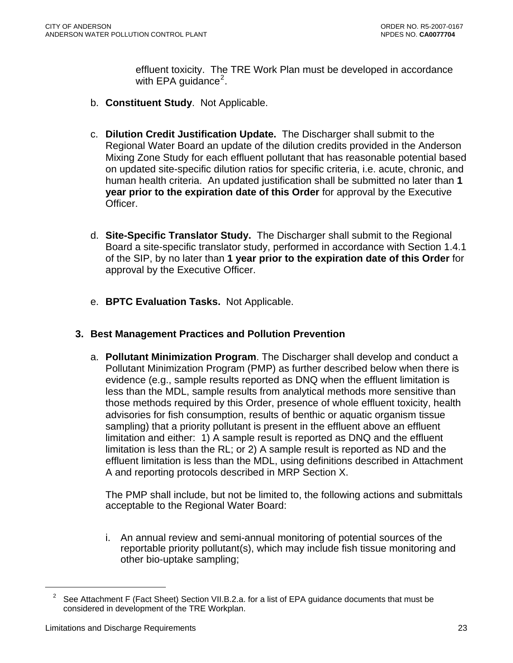effluent toxicity. The TRE Work Plan must be developed in accordance with EPA guidance<sup>2</sup>.

- <span id="page-22-0"></span>b. **Constituent Study**. Not Applicable.
- c. **Dilution Credit Justification Update.** The Discharger shall submit to the Regional Water Board an update of the dilution credits provided in the Anderson Mixing Zone Study for each effluent pollutant that has reasonable potential based on updated site-specific dilution ratios for specific criteria, i.e. acute, chronic, and human health criteria. An updated justification shall be submitted no later than **1 year prior to the expiration date of this Order** for approval by the Executive Officer.
- d. **Site-Specific Translator Study.** The Discharger shall submit to the Regional Board a site-specific translator study, performed in accordance with Section 1.4.1 of the SIP, by no later than **1 year prior to the expiration date of this Order** for approval by the Executive Officer.
- e. **BPTC Evaluation Tasks.** Not Applicable.

### **3. Best Management Practices and Pollution Prevention**

a. **Pollutant Minimization Program**. The Discharger shall develop and conduct a Pollutant Minimization Program (PMP) as further described below when there is evidence (e.g., sample results reported as DNQ when the effluent limitation is less than the MDL, sample results from analytical methods more sensitive than those methods required by this Order, presence of whole effluent toxicity, health advisories for fish consumption, results of benthic or aquatic organism tissue sampling) that a priority pollutant is present in the effluent above an effluent limitation and either: 1) A sample result is reported as DNQ and the effluent limitation is less than the RL; or 2) A sample result is reported as ND and the effluent limitation is less than the MDL, using definitions described in Attachment A and reporting protocols described in MRP Section X.

The PMP shall include, but not be limited to, the following actions and submittals acceptable to the Regional Water Board:

i. An annual review and semi-annual monitoring of potential sources of the reportable priority pollutant(s), which may include fish tissue monitoring and other bio-uptake sampling;

 $\overline{a}$ 

<sup>&</sup>lt;sup>2</sup> See Attachment F (Fact Sheet) Section VII.B.2.a. for a list of EPA guidance documents that must be considered in development of the TRE Workplan.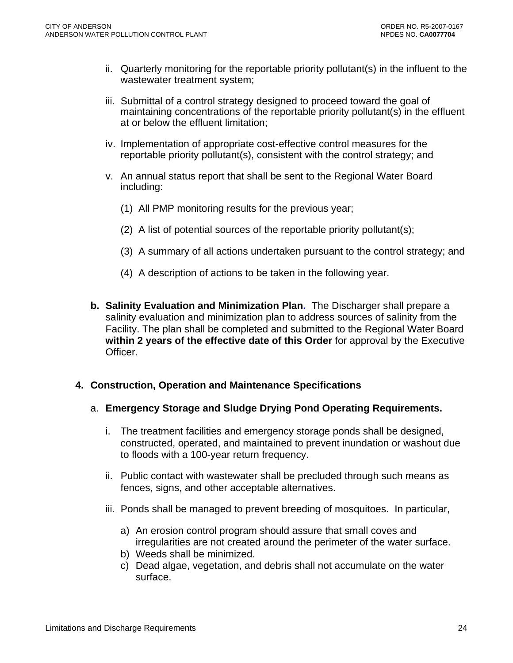- <span id="page-23-0"></span>ii. Quarterly monitoring for the reportable priority pollutant(s) in the influent to the wastewater treatment system;
- iii. Submittal of a control strategy designed to proceed toward the goal of maintaining concentrations of the reportable priority pollutant(s) in the effluent at or below the effluent limitation;
- iv. Implementation of appropriate cost-effective control measures for the reportable priority pollutant(s), consistent with the control strategy; and
- v. An annual status report that shall be sent to the Regional Water Board including:
	- (1) All PMP monitoring results for the previous year;
	- (2) A list of potential sources of the reportable priority pollutant(s);
	- (3) A summary of all actions undertaken pursuant to the control strategy; and
	- (4) A description of actions to be taken in the following year.
- **b. Salinity Evaluation and Minimization Plan.** The Discharger shall prepare a salinity evaluation and minimization plan to address sources of salinity from the Facility. The plan shall be completed and submitted to the Regional Water Board **within 2 years of the effective date of this Order** for approval by the Executive Officer.

### **4. Construction, Operation and Maintenance Specifications**

#### a. **Emergency Storage and Sludge Drying Pond Operating Requirements.**

- i. The treatment facilities and emergency storage ponds shall be designed, constructed, operated, and maintained to prevent inundation or washout due to floods with a 100-year return frequency.
- ii. Public contact with wastewater shall be precluded through such means as fences, signs, and other acceptable alternatives.
- iii. Ponds shall be managed to prevent breeding of mosquitoes. In particular,
	- a) An erosion control program should assure that small coves and irregularities are not created around the perimeter of the water surface.
	- b) Weeds shall be minimized.
	- c) Dead algae, vegetation, and debris shall not accumulate on the water surface.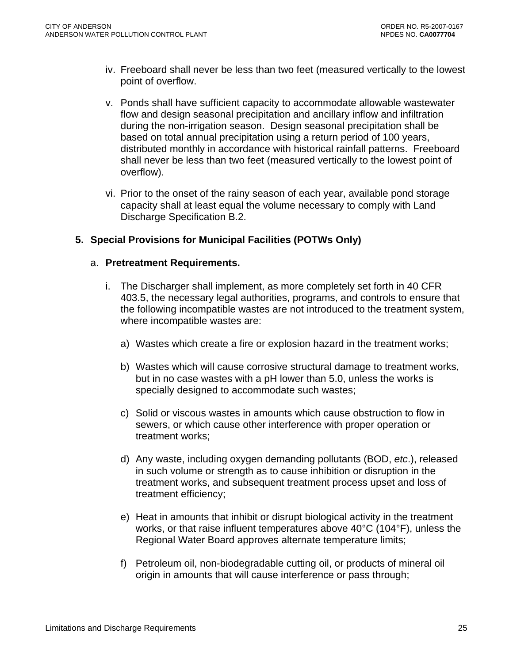- <span id="page-24-0"></span>iv. Freeboard shall never be less than two feet (measured vertically to the lowest point of overflow.
- v. Ponds shall have sufficient capacity to accommodate allowable wastewater flow and design seasonal precipitation and ancillary inflow and infiltration during the non-irrigation season. Design seasonal precipitation shall be based on total annual precipitation using a return period of 100 years, distributed monthly in accordance with historical rainfall patterns. Freeboard shall never be less than two feet (measured vertically to the lowest point of overflow).
- vi. Prior to the onset of the rainy season of each year, available pond storage capacity shall at least equal the volume necessary to comply with Land Discharge Specification B.2.

## **5. Special Provisions for Municipal Facilities (POTWs Only)**

#### a. **Pretreatment Requirements.**

- i. The Discharger shall implement, as more completely set forth in 40 CFR 403.5, the necessary legal authorities, programs, and controls to ensure that the following incompatible wastes are not introduced to the treatment system, where incompatible wastes are:
	- a) Wastes which create a fire or explosion hazard in the treatment works;
	- b) Wastes which will cause corrosive structural damage to treatment works, but in no case wastes with a pH lower than 5.0, unless the works is specially designed to accommodate such wastes;
	- c) Solid or viscous wastes in amounts which cause obstruction to flow in sewers, or which cause other interference with proper operation or treatment works;
	- d) Any waste, including oxygen demanding pollutants (BOD, *etc*.), released in such volume or strength as to cause inhibition or disruption in the treatment works, and subsequent treatment process upset and loss of treatment efficiency;
	- e) Heat in amounts that inhibit or disrupt biological activity in the treatment works, or that raise influent temperatures above 40°C (104°F), unless the Regional Water Board approves alternate temperature limits;
	- f) Petroleum oil, non-biodegradable cutting oil, or products of mineral oil origin in amounts that will cause interference or pass through;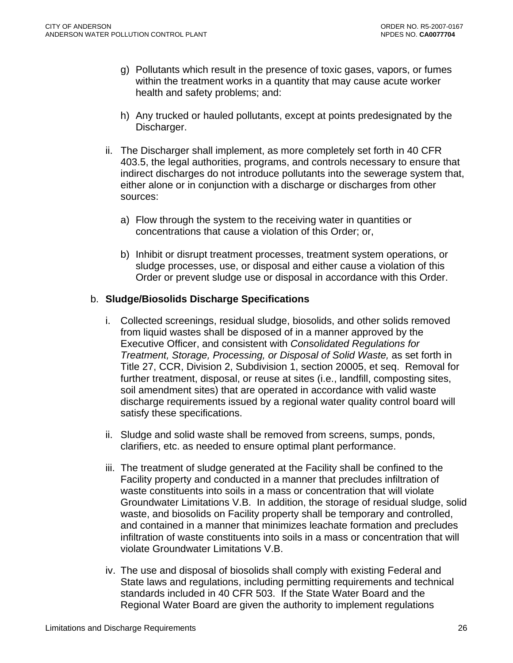- g) Pollutants which result in the presence of toxic gases, vapors, or fumes within the treatment works in a quantity that may cause acute worker health and safety problems; and:
- h) Any trucked or hauled pollutants, except at points predesignated by the Discharger.
- ii. The Discharger shall implement, as more completely set forth in 40 CFR 403.5, the legal authorities, programs, and controls necessary to ensure that indirect discharges do not introduce pollutants into the sewerage system that, either alone or in conjunction with a discharge or discharges from other sources:
	- a) Flow through the system to the receiving water in quantities or concentrations that cause a violation of this Order; or,
	- b) Inhibit or disrupt treatment processes, treatment system operations, or sludge processes, use, or disposal and either cause a violation of this Order or prevent sludge use or disposal in accordance with this Order.

### b. **Sludge/Biosolids Discharge Specifications**

- i. Collected screenings, residual sludge, biosolids, and other solids removed from liquid wastes shall be disposed of in a manner approved by the Executive Officer, and consistent with *Consolidated Regulations for Treatment, Storage, Processing, or Disposal of Solid Waste,* as set forth in Title 27, CCR, Division 2, Subdivision 1, section 20005, et seq. Removal for further treatment, disposal, or reuse at sites (i.e., landfill, composting sites, soil amendment sites) that are operated in accordance with valid waste discharge requirements issued by a regional water quality control board will satisfy these specifications.
- ii. Sludge and solid waste shall be removed from screens, sumps, ponds, clarifiers, etc. as needed to ensure optimal plant performance.
- iii. The treatment of sludge generated at the Facility shall be confined to the Facility property and conducted in a manner that precludes infiltration of waste constituents into soils in a mass or concentration that will violate Groundwater Limitations V.B. In addition, the storage of residual sludge, solid waste, and biosolids on Facility property shall be temporary and controlled, and contained in a manner that minimizes leachate formation and precludes infiltration of waste constituents into soils in a mass or concentration that will violate Groundwater Limitations V.B.
- iv. The use and disposal of biosolids shall comply with existing Federal and State laws and regulations, including permitting requirements and technical standards included in 40 CFR 503. If the State Water Board and the Regional Water Board are given the authority to implement regulations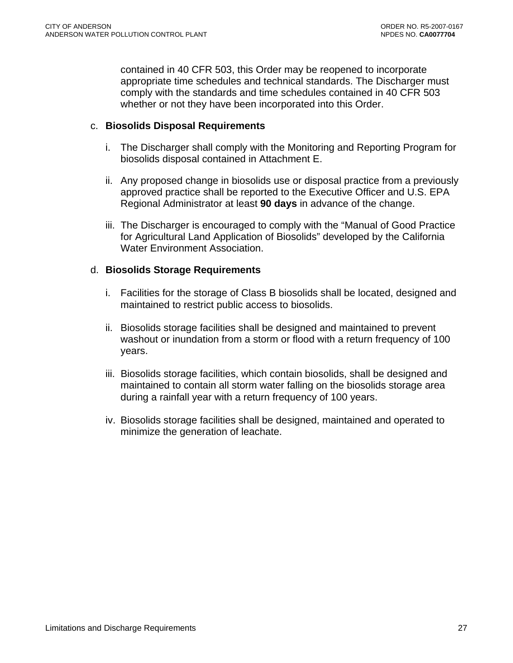contained in 40 CFR 503, this Order may be reopened to incorporate appropriate time schedules and technical standards. The Discharger must comply with the standards and time schedules contained in 40 CFR 503 whether or not they have been incorporated into this Order.

### c. **Biosolids Disposal Requirements**

- i. The Discharger shall comply with the Monitoring and Reporting Program for biosolids disposal contained in Attachment E.
- ii. Any proposed change in biosolids use or disposal practice from a previously approved practice shall be reported to the Executive Officer and U.S. EPA Regional Administrator at least **90 days** in advance of the change.
- iii. The Discharger is encouraged to comply with the "Manual of Good Practice for Agricultural Land Application of Biosolids" developed by the California Water Environment Association.

#### d. **Biosolids Storage Requirements**

- i. Facilities for the storage of Class B biosolids shall be located, designed and maintained to restrict public access to biosolids.
- ii. Biosolids storage facilities shall be designed and maintained to prevent washout or inundation from a storm or flood with a return frequency of 100 years.
- iii. Biosolids storage facilities, which contain biosolids, shall be designed and maintained to contain all storm water falling on the biosolids storage area during a rainfall year with a return frequency of 100 years.
- iv. Biosolids storage facilities shall be designed, maintained and operated to minimize the generation of leachate.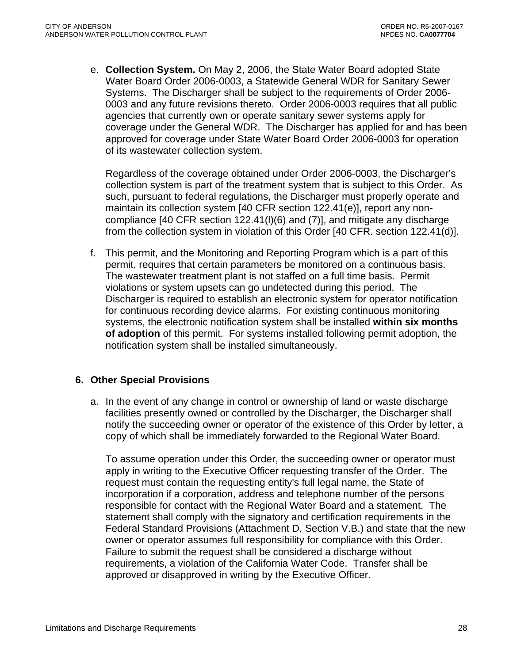<span id="page-27-0"></span>e. **Collection System.** On May 2, 2006, the State Water Board adopted State Water Board Order 2006-0003, a Statewide General WDR for Sanitary Sewer Systems. The Discharger shall be subject to the requirements of Order 2006- 0003 and any future revisions thereto. Order 2006-0003 requires that all public agencies that currently own or operate sanitary sewer systems apply for coverage under the General WDR. The Discharger has applied for and has been approved for coverage under State Water Board Order 2006-0003 for operation of its wastewater collection system.

Regardless of the coverage obtained under Order 2006-0003, the Discharger's collection system is part of the treatment system that is subject to this Order. As such, pursuant to federal regulations, the Discharger must properly operate and maintain its collection system [40 CFR section 122.41(e)], report any noncompliance [40 CFR section 122.41(l)(6) and (7)], and mitigate any discharge from the collection system in violation of this Order [40 CFR. section 122.41(d)].

f. This permit, and the Monitoring and Reporting Program which is a part of this permit, requires that certain parameters be monitored on a continuous basis. The wastewater treatment plant is not staffed on a full time basis. Permit violations or system upsets can go undetected during this period. The Discharger is required to establish an electronic system for operator notification for continuous recording device alarms. For existing continuous monitoring systems, the electronic notification system shall be installed **within six months of adoption** of this permit. For systems installed following permit adoption, the notification system shall be installed simultaneously.

## **6. Other Special Provisions**

a. In the event of any change in control or ownership of land or waste discharge facilities presently owned or controlled by the Discharger, the Discharger shall notify the succeeding owner or operator of the existence of this Order by letter, a copy of which shall be immediately forwarded to the Regional Water Board.

To assume operation under this Order, the succeeding owner or operator must apply in writing to the Executive Officer requesting transfer of the Order. The request must contain the requesting entity's full legal name, the State of incorporation if a corporation, address and telephone number of the persons responsible for contact with the Regional Water Board and a statement. The statement shall comply with the signatory and certification requirements in the Federal Standard Provisions (Attachment D, Section V.B.) and state that the new owner or operator assumes full responsibility for compliance with this Order. Failure to submit the request shall be considered a discharge without requirements, a violation of the California Water Code. Transfer shall be approved or disapproved in writing by the Executive Officer.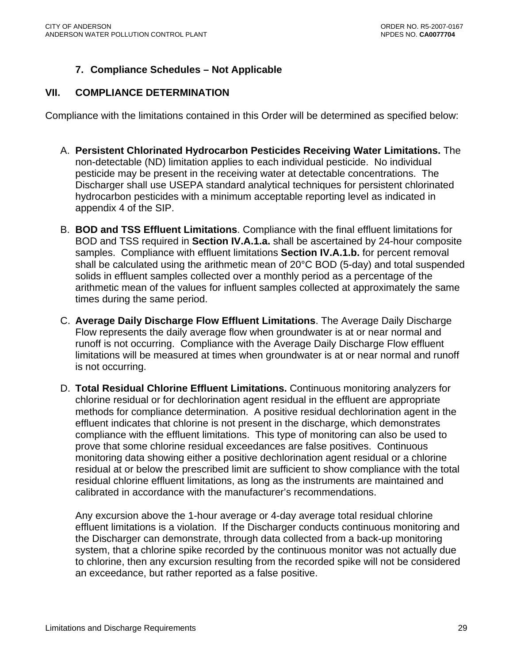# **7. Compliance Schedules – Not Applicable**

### <span id="page-28-0"></span>**VII. COMPLIANCE DETERMINATION**

Compliance with the limitations contained in this Order will be determined as specified below:

- A. **Persistent Chlorinated Hydrocarbon Pesticides Receiving Water Limitations.** The non-detectable (ND) limitation applies to each individual pesticide. No individual pesticide may be present in the receiving water at detectable concentrations. The Discharger shall use USEPA standard analytical techniques for persistent chlorinated hydrocarbon pesticides with a minimum acceptable reporting level as indicated in appendix 4 of the SIP.
- B. **BOD and TSS Effluent Limitations**. Compliance with the final effluent limitations for BOD and TSS required in **Section IV.A.1.a.** shall be ascertained by 24-hour composite samples. Compliance with effluent limitations **Section IV.A.1.b.** for percent removal shall be calculated using the arithmetic mean of 20°C BOD (5-day) and total suspended solids in effluent samples collected over a monthly period as a percentage of the arithmetic mean of the values for influent samples collected at approximately the same times during the same period.
- C. **Average Daily Discharge Flow Effluent Limitations**. The Average Daily Discharge Flow represents the daily average flow when groundwater is at or near normal and runoff is not occurring. Compliance with the Average Daily Discharge Flow effluent limitations will be measured at times when groundwater is at or near normal and runoff is not occurring.
- D. **Total Residual Chlorine Effluent Limitations.** Continuous monitoring analyzers for chlorine residual or for dechlorination agent residual in the effluent are appropriate methods for compliance determination. A positive residual dechlorination agent in the effluent indicates that chlorine is not present in the discharge, which demonstrates compliance with the effluent limitations. This type of monitoring can also be used to prove that some chlorine residual exceedances are false positives. Continuous monitoring data showing either a positive dechlorination agent residual or a chlorine residual at or below the prescribed limit are sufficient to show compliance with the total residual chlorine effluent limitations, as long as the instruments are maintained and calibrated in accordance with the manufacturer's recommendations.

Any excursion above the 1-hour average or 4-day average total residual chlorine effluent limitations is a violation. If the Discharger conducts continuous monitoring and the Discharger can demonstrate, through data collected from a back-up monitoring system, that a chlorine spike recorded by the continuous monitor was not actually due to chlorine, then any excursion resulting from the recorded spike will not be considered an exceedance, but rather reported as a false positive.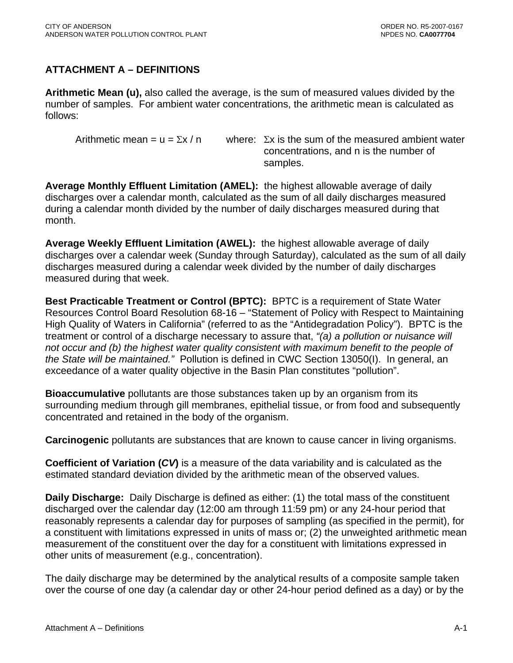# <span id="page-29-0"></span>**ATTACHMENT A – DEFINITIONS**

**Arithmetic Mean (u),** also called the average, is the sum of measured values divided by the number of samples. For ambient water concentrations, the arithmetic mean is calculated as follows:

Arithmetic mean = u =  $\Sigma x / n$  where:  $\Sigma x$  is the sum of the measured ambient water concentrations, and n is the number of samples.

**Average Monthly Effluent Limitation (AMEL):** the highest allowable average of daily discharges over a calendar month, calculated as the sum of all daily discharges measured during a calendar month divided by the number of daily discharges measured during that month.

**Average Weekly Effluent Limitation (AWEL):** the highest allowable average of daily discharges over a calendar week (Sunday through Saturday), calculated as the sum of all daily discharges measured during a calendar week divided by the number of daily discharges measured during that week.

**Best Practicable Treatment or Control (BPTC):** BPTC is a requirement of State Water Resources Control Board Resolution 68-16 – "Statement of Policy with Respect to Maintaining High Quality of Waters in California" (referred to as the "Antidegradation Policy"). BPTC is the treatment or control of a discharge necessary to assure that, *"(a) a pollution or nuisance will not occur and (b) the highest water quality consistent with maximum benefit to the people of the State will be maintained."* Pollution is defined in CWC Section 13050(I). In general, an exceedance of a water quality objective in the Basin Plan constitutes "pollution".

**Bioaccumulative** pollutants are those substances taken up by an organism from its surrounding medium through gill membranes, epithelial tissue, or from food and subsequently concentrated and retained in the body of the organism.

**Carcinogenic** pollutants are substances that are known to cause cancer in living organisms.

**Coefficient of Variation (***CV***)** is a measure of the data variability and is calculated as the estimated standard deviation divided by the arithmetic mean of the observed values.

**Daily Discharge:** Daily Discharge is defined as either: (1) the total mass of the constituent discharged over the calendar day (12:00 am through 11:59 pm) or any 24-hour period that reasonably represents a calendar day for purposes of sampling (as specified in the permit), for a constituent with limitations expressed in units of mass or; (2) the unweighted arithmetic mean measurement of the constituent over the day for a constituent with limitations expressed in other units of measurement (e.g., concentration).

The daily discharge may be determined by the analytical results of a composite sample taken over the course of one day (a calendar day or other 24-hour period defined as a day) or by the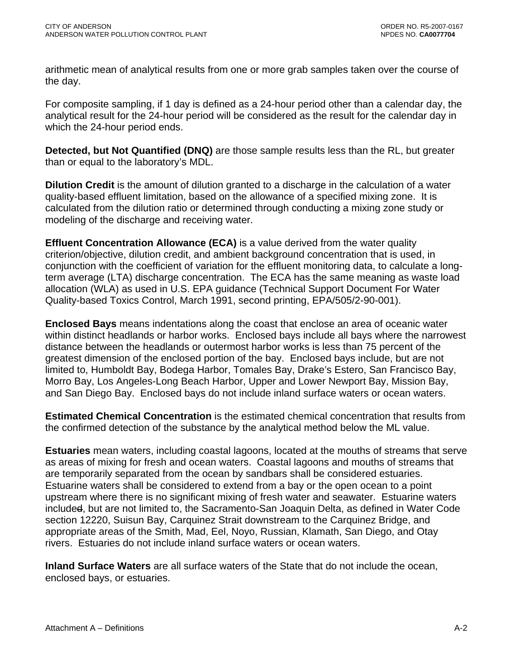arithmetic mean of analytical results from one or more grab samples taken over the course of the day.

For composite sampling, if 1 day is defined as a 24-hour period other than a calendar day, the analytical result for the 24-hour period will be considered as the result for the calendar day in which the 24-hour period ends.

**Detected, but Not Quantified (DNQ)** are those sample results less than the RL, but greater than or equal to the laboratory's MDL.

**Dilution Credit** is the amount of dilution granted to a discharge in the calculation of a water quality-based effluent limitation, based on the allowance of a specified mixing zone. It is calculated from the dilution ratio or determined through conducting a mixing zone study or modeling of the discharge and receiving water.

**Effluent Concentration Allowance (ECA)** is a value derived from the water quality criterion/objective, dilution credit, and ambient background concentration that is used, in conjunction with the coefficient of variation for the effluent monitoring data, to calculate a longterm average (LTA) discharge concentration. The ECA has the same meaning as waste load allocation (WLA) as used in U.S. EPA guidance (Technical Support Document For Water Quality-based Toxics Control, March 1991, second printing, EPA/505/2-90-001).

**Enclosed Bays** means indentations along the coast that enclose an area of oceanic water within distinct headlands or harbor works. Enclosed bays include all bays where the narrowest distance between the headlands or outermost harbor works is less than 75 percent of the greatest dimension of the enclosed portion of the bay. Enclosed bays include, but are not limited to, Humboldt Bay, Bodega Harbor, Tomales Bay, Drake's Estero, San Francisco Bay, Morro Bay, Los Angeles-Long Beach Harbor, Upper and Lower Newport Bay, Mission Bay, and San Diego Bay. Enclosed bays do not include inland surface waters or ocean waters.

**Estimated Chemical Concentration** is the estimated chemical concentration that results from the confirmed detection of the substance by the analytical method below the ML value.

**Estuaries** mean waters, including coastal lagoons, located at the mouths of streams that serve as areas of mixing for fresh and ocean waters. Coastal lagoons and mouths of streams that are temporarily separated from the ocean by sandbars shall be considered estuaries. Estuarine waters shall be considered to extend from a bay or the open ocean to a point upstream where there is no significant mixing of fresh water and seawater. Estuarine waters included, but are not limited to, the Sacramento-San Joaquin Delta, as defined in Water Code section 12220, Suisun Bay, Carquinez Strait downstream to the Carquinez Bridge, and appropriate areas of the Smith, Mad, Eel, Noyo, Russian, Klamath, San Diego, and Otay rivers. Estuaries do not include inland surface waters or ocean waters.

**Inland Surface Waters** are all surface waters of the State that do not include the ocean, enclosed bays, or estuaries.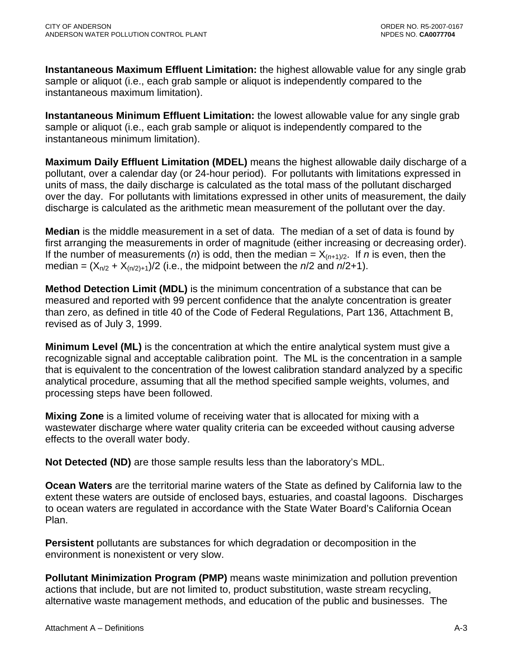**Instantaneous Maximum Effluent Limitation:** the highest allowable value for any single grab sample or aliquot (i.e., each grab sample or aliquot is independently compared to the instantaneous maximum limitation).

**Instantaneous Minimum Effluent Limitation:** the lowest allowable value for any single grab sample or aliquot (i.e., each grab sample or aliquot is independently compared to the instantaneous minimum limitation).

**Maximum Daily Effluent Limitation (MDEL)** means the highest allowable daily discharge of a pollutant, over a calendar day (or 24-hour period). For pollutants with limitations expressed in units of mass, the daily discharge is calculated as the total mass of the pollutant discharged over the day. For pollutants with limitations expressed in other units of measurement, the daily discharge is calculated as the arithmetic mean measurement of the pollutant over the day.

**Median** is the middle measurement in a set of data. The median of a set of data is found by first arranging the measurements in order of magnitude (either increasing or decreasing order). If the number of measurements (*n*) is odd, then the median =  $X_{(n+1)/2}$ . If *n* is even, then the median =  $(X_{n/2} + X_{(n/2)+1})/2$  (i.e., the midpoint between the *n*/2 and *n*/2+1).

**Method Detection Limit (MDL)** is the minimum concentration of a substance that can be measured and reported with 99 percent confidence that the analyte concentration is greater than zero, as defined in title 40 of the Code of Federal Regulations, Part 136, Attachment B, revised as of July 3, 1999.

**Minimum Level (ML)** is the concentration at which the entire analytical system must give a recognizable signal and acceptable calibration point. The ML is the concentration in a sample that is equivalent to the concentration of the lowest calibration standard analyzed by a specific analytical procedure, assuming that all the method specified sample weights, volumes, and processing steps have been followed.

**Mixing Zone** is a limited volume of receiving water that is allocated for mixing with a wastewater discharge where water quality criteria can be exceeded without causing adverse effects to the overall water body.

**Not Detected (ND)** are those sample results less than the laboratory's MDL.

**Ocean Waters** are the territorial marine waters of the State as defined by California law to the extent these waters are outside of enclosed bays, estuaries, and coastal lagoons. Discharges to ocean waters are regulated in accordance with the State Water Board's California Ocean Plan.

**Persistent** pollutants are substances for which degradation or decomposition in the environment is nonexistent or very slow.

**Pollutant Minimization Program (PMP)** means waste minimization and pollution prevention actions that include, but are not limited to, product substitution, waste stream recycling, alternative waste management methods, and education of the public and businesses. The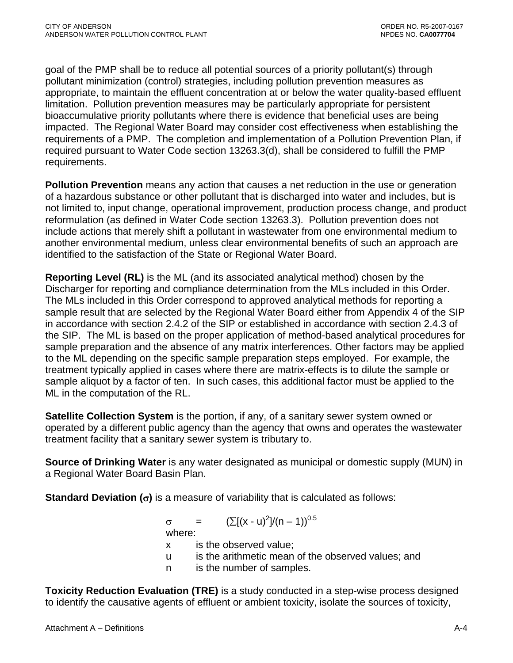goal of the PMP shall be to reduce all potential sources of a priority pollutant(s) through pollutant minimization (control) strategies, including pollution prevention measures as appropriate, to maintain the effluent concentration at or below the water quality-based effluent limitation. Pollution prevention measures may be particularly appropriate for persistent bioaccumulative priority pollutants where there is evidence that beneficial uses are being impacted. The Regional Water Board may consider cost effectiveness when establishing the requirements of a PMP. The completion and implementation of a Pollution Prevention Plan, if required pursuant to Water Code section 13263.3(d), shall be considered to fulfill the PMP requirements.

**Pollution Prevention** means any action that causes a net reduction in the use or generation of a hazardous substance or other pollutant that is discharged into water and includes, but is not limited to, input change, operational improvement, production process change, and product reformulation (as defined in Water Code section 13263.3). Pollution prevention does not include actions that merely shift a pollutant in wastewater from one environmental medium to another environmental medium, unless clear environmental benefits of such an approach are identified to the satisfaction of the State or Regional Water Board.

**Reporting Level (RL)** is the ML (and its associated analytical method) chosen by the Discharger for reporting and compliance determination from the MLs included in this Order. The MLs included in this Order correspond to approved analytical methods for reporting a sample result that are selected by the Regional Water Board either from Appendix 4 of the SIP in accordance with section 2.4.2 of the SIP or established in accordance with section 2.4.3 of the SIP. The ML is based on the proper application of method-based analytical procedures for sample preparation and the absence of any matrix interferences. Other factors may be applied to the ML depending on the specific sample preparation steps employed. For example, the treatment typically applied in cases where there are matrix-effects is to dilute the sample or sample aliquot by a factor of ten. In such cases, this additional factor must be applied to the ML in the computation of the RL.

**Satellite Collection System** is the portion, if any, of a sanitary sewer system owned or operated by a different public agency than the agency that owns and operates the wastewater treatment facility that a sanitary sewer system is tributary to.

**Source of Drinking Water** is any water designated as municipal or domestic supply (MUN) in a Regional Water Board Basin Plan.

**Standard Deviation (**σ**)** is a measure of variability that is calculated as follows:

 $\sigma = (\sum [(x - u)^2]/(n - 1))^{0.5}$ 

where:

- x is the observed value;
- u is the arithmetic mean of the observed values; and
- n is the number of samples.

**Toxicity Reduction Evaluation (TRE)** is a study conducted in a step-wise process designed to identify the causative agents of effluent or ambient toxicity, isolate the sources of toxicity,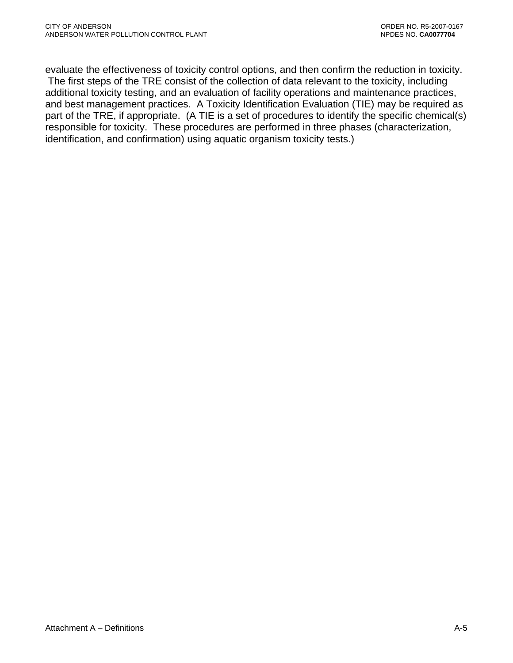evaluate the effectiveness of toxicity control options, and then confirm the reduction in toxicity. The first steps of the TRE consist of the collection of data relevant to the toxicity, including additional toxicity testing, and an evaluation of facility operations and maintenance practices, and best management practices. A Toxicity Identification Evaluation (TIE) may be required as part of the TRE, if appropriate. (A TIE is a set of procedures to identify the specific chemical(s) responsible for toxicity. These procedures are performed in three phases (characterization, identification, and confirmation) using aquatic organism toxicity tests.)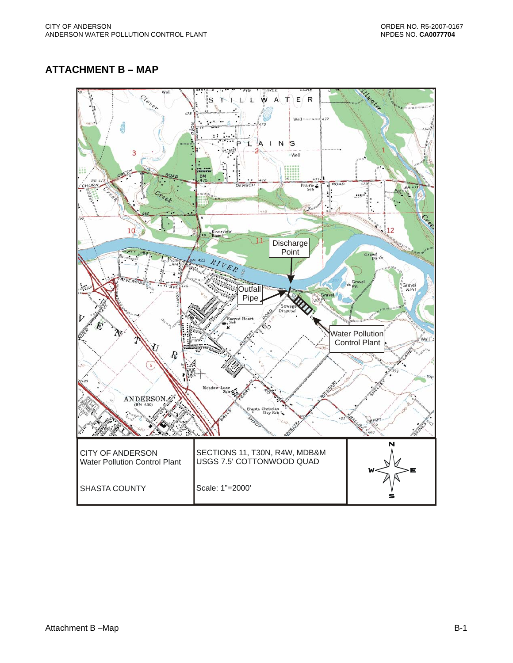### <span id="page-34-0"></span>**ATTACHMENT B – MAP**

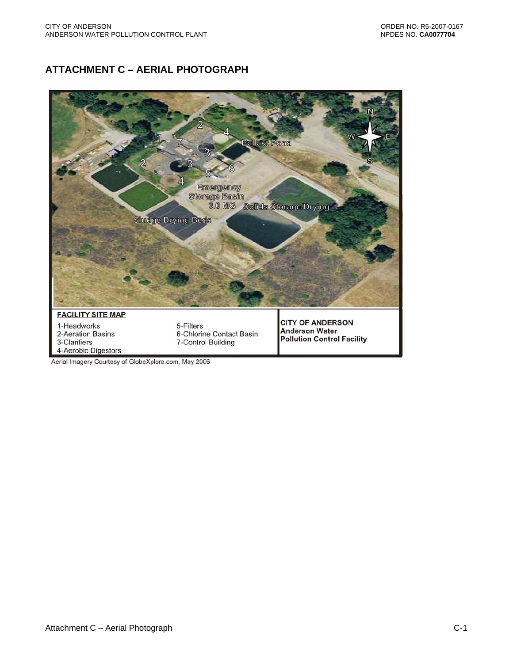# <span id="page-35-0"></span>**ATTACHMENT C – AERIAL PHOTOGRAPH**



Aerial Imagery Courtesy of GlobeXplore.com, May 2006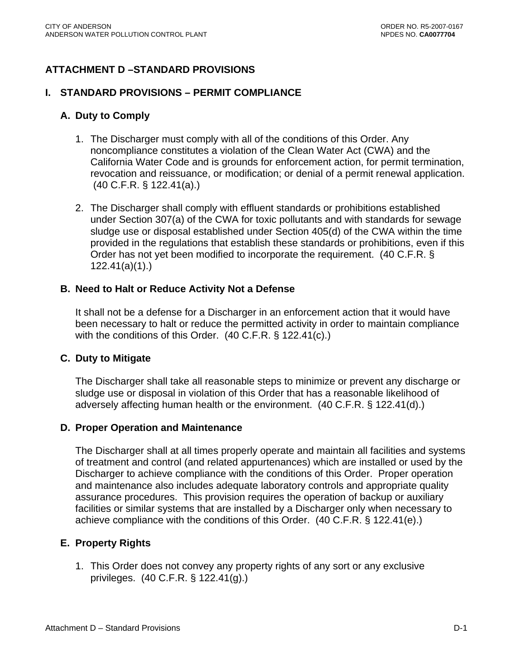# **ATTACHMENT D –STANDARD PROVISIONS**

#### **I. STANDARD PROVISIONS – PERMIT COMPLIANCE**

#### **A. Duty to Comply**

- 1. The Discharger must comply with all of the conditions of this Order. Any noncompliance constitutes a violation of the Clean Water Act (CWA) and the California Water Code and is grounds for enforcement action, for permit termination, revocation and reissuance, or modification; or denial of a permit renewal application. (40 C.F.R. § 122.41(a).)
- 2. The Discharger shall comply with effluent standards or prohibitions established under Section 307(a) of the CWA for toxic pollutants and with standards for sewage sludge use or disposal established under Section 405(d) of the CWA within the time provided in the regulations that establish these standards or prohibitions, even if this Order has not yet been modified to incorporate the requirement. (40 C.F.R. § 122.41(a)(1).)

#### **B. Need to Halt or Reduce Activity Not a Defense**

It shall not be a defense for a Discharger in an enforcement action that it would have been necessary to halt or reduce the permitted activity in order to maintain compliance with the conditions of this Order. (40 C.F.R. § 122.41(c).)

#### **C. Duty to Mitigate**

The Discharger shall take all reasonable steps to minimize or prevent any discharge or sludge use or disposal in violation of this Order that has a reasonable likelihood of adversely affecting human health or the environment. (40 C.F.R. § 122.41(d).)

#### **D. Proper Operation and Maintenance**

The Discharger shall at all times properly operate and maintain all facilities and systems of treatment and control (and related appurtenances) which are installed or used by the Discharger to achieve compliance with the conditions of this Order. Proper operation and maintenance also includes adequate laboratory controls and appropriate quality assurance procedures. This provision requires the operation of backup or auxiliary facilities or similar systems that are installed by a Discharger only when necessary to achieve compliance with the conditions of this Order. (40 C.F.R. § 122.41(e).)

#### **E. Property Rights**

1. This Order does not convey any property rights of any sort or any exclusive privileges. (40 C.F.R. § 122.41(g).)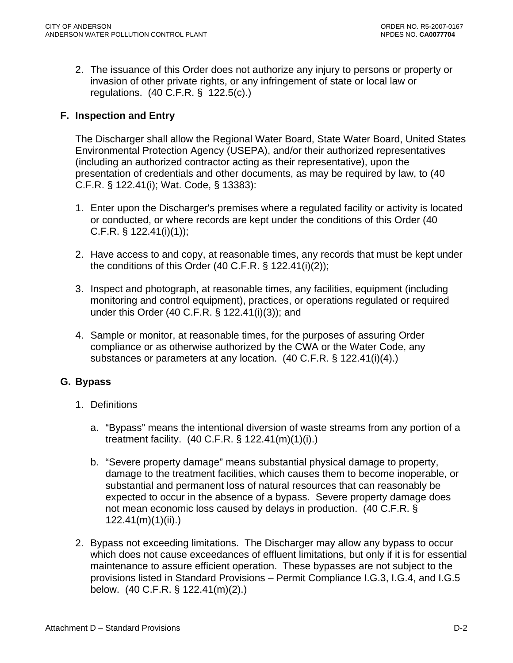2. The issuance of this Order does not authorize any injury to persons or property or invasion of other private rights, or any infringement of state or local law or regulations. (40 C.F.R. § 122.5(c).)

### **F. Inspection and Entry**

The Discharger shall allow the Regional Water Board, State Water Board, United States Environmental Protection Agency (USEPA), and/or their authorized representatives (including an authorized contractor acting as their representative), upon the presentation of credentials and other documents, as may be required by law, to (40 C.F.R. § 122.41(i); Wat. Code, § 13383):

- 1. Enter upon the Discharger's premises where a regulated facility or activity is located or conducted, or where records are kept under the conditions of this Order (40 C.F.R. § 122.41(i)(1));
- 2. Have access to and copy, at reasonable times, any records that must be kept under the conditions of this Order  $(40 \text{ C.F.R. } § 122.41(i)(2));$
- 3. Inspect and photograph, at reasonable times, any facilities, equipment (including monitoring and control equipment), practices, or operations regulated or required under this Order (40 C.F.R. § 122.41(i)(3)); and
- 4. Sample or monitor, at reasonable times, for the purposes of assuring Order compliance or as otherwise authorized by the CWA or the Water Code, any substances or parameters at any location. (40 C.F.R. § 122.41(i)(4).)

### **G. Bypass**

- 1. Definitions
	- a. "Bypass" means the intentional diversion of waste streams from any portion of a treatment facility. (40 C.F.R. § 122.41(m)(1)(i).)
	- b. "Severe property damage" means substantial physical damage to property, damage to the treatment facilities, which causes them to become inoperable, or substantial and permanent loss of natural resources that can reasonably be expected to occur in the absence of a bypass. Severe property damage does not mean economic loss caused by delays in production. (40 C.F.R. § 122.41(m)(1)(ii).)
- 2. Bypass not exceeding limitations. The Discharger may allow any bypass to occur which does not cause exceedances of effluent limitations, but only if it is for essential maintenance to assure efficient operation. These bypasses are not subject to the provisions listed in Standard Provisions – Permit Compliance I.G.3, I.G.4, and I.G.5 below. (40 C.F.R. § 122.41(m)(2).)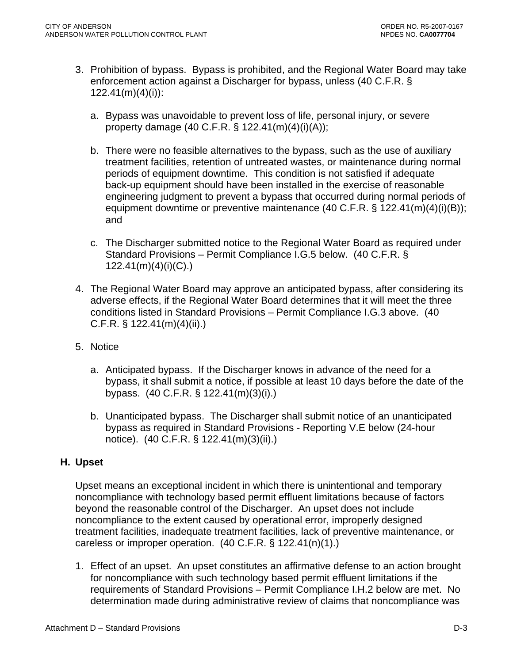- 3. Prohibition of bypass. Bypass is prohibited, and the Regional Water Board may take enforcement action against a Discharger for bypass, unless (40 C.F.R. § 122.41(m)(4)(i)):
	- a. Bypass was unavoidable to prevent loss of life, personal injury, or severe property damage (40 C.F.R. § 122.41(m)(4)(i)(A));
	- b. There were no feasible alternatives to the bypass, such as the use of auxiliary treatment facilities, retention of untreated wastes, or maintenance during normal periods of equipment downtime. This condition is not satisfied if adequate back-up equipment should have been installed in the exercise of reasonable engineering judgment to prevent a bypass that occurred during normal periods of equipment downtime or preventive maintenance (40 C.F.R. § 122.41(m)(4)(i)(B)); and
	- c. The Discharger submitted notice to the Regional Water Board as required under Standard Provisions – Permit Compliance I.G.5 below. (40 C.F.R. § 122.41(m)(4)(i)(C).)
- 4. The Regional Water Board may approve an anticipated bypass, after considering its adverse effects, if the Regional Water Board determines that it will meet the three conditions listed in Standard Provisions – Permit Compliance I.G.3 above. (40 C.F.R. § 122.41(m)(4)(ii).)
- 5. Notice
	- a. Anticipated bypass. If the Discharger knows in advance of the need for a bypass, it shall submit a notice, if possible at least 10 days before the date of the bypass. (40 C.F.R. § 122.41(m)(3)(i).)
	- b. Unanticipated bypass. The Discharger shall submit notice of an unanticipated bypass as required in Standard Provisions - Reporting V.E below (24-hour notice). (40 C.F.R. § 122.41(m)(3)(ii).)

### **H. Upset**

Upset means an exceptional incident in which there is unintentional and temporary noncompliance with technology based permit effluent limitations because of factors beyond the reasonable control of the Discharger. An upset does not include noncompliance to the extent caused by operational error, improperly designed treatment facilities, inadequate treatment facilities, lack of preventive maintenance, or careless or improper operation. (40 C.F.R. § 122.41(n)(1).)

1. Effect of an upset. An upset constitutes an affirmative defense to an action brought for noncompliance with such technology based permit effluent limitations if the requirements of Standard Provisions – Permit Compliance I.H.2 below are met. No determination made during administrative review of claims that noncompliance was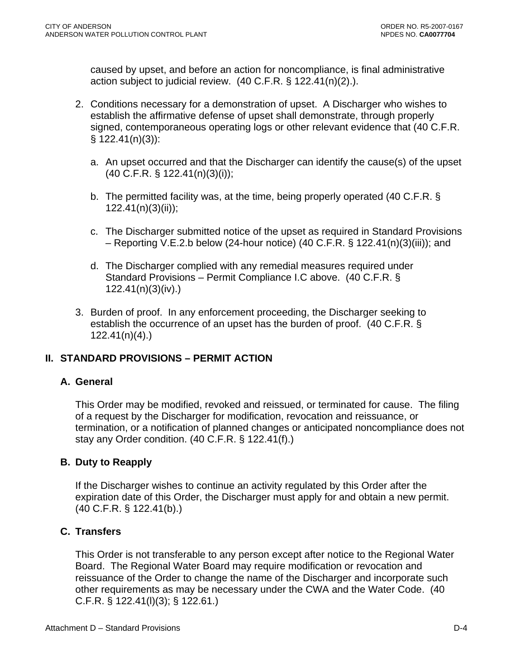caused by upset, and before an action for noncompliance, is final administrative action subject to judicial review. (40 C.F.R. § 122.41(n)(2).).

- 2. Conditions necessary for a demonstration of upset. A Discharger who wishes to establish the affirmative defense of upset shall demonstrate, through properly signed, contemporaneous operating logs or other relevant evidence that (40 C.F.R. § 122.41(n)(3)):
	- a. An upset occurred and that the Discharger can identify the cause(s) of the upset (40 C.F.R. § 122.41(n)(3)(i));
	- b. The permitted facility was, at the time, being properly operated (40 C.F.R. § 122.41(n)(3)(ii));
	- c. The Discharger submitted notice of the upset as required in Standard Provisions – Reporting V.E.2.b below (24-hour notice) (40 C.F.R. § 122.41(n)(3)(iii)); and
	- d. The Discharger complied with any remedial measures required under Standard Provisions – Permit Compliance I.C above. (40 C.F.R. § 122.41(n)(3)(iv).)
- 3. Burden of proof. In any enforcement proceeding, the Discharger seeking to establish the occurrence of an upset has the burden of proof. (40 C.F.R. § 122.41(n)(4).)

### **II. STANDARD PROVISIONS – PERMIT ACTION**

### **A. General**

This Order may be modified, revoked and reissued, or terminated for cause. The filing of a request by the Discharger for modification, revocation and reissuance, or termination, or a notification of planned changes or anticipated noncompliance does not stay any Order condition. (40 C.F.R. § 122.41(f).)

### **B. Duty to Reapply**

If the Discharger wishes to continue an activity regulated by this Order after the expiration date of this Order, the Discharger must apply for and obtain a new permit. (40 C.F.R. § 122.41(b).)

### **C. Transfers**

This Order is not transferable to any person except after notice to the Regional Water Board. The Regional Water Board may require modification or revocation and reissuance of the Order to change the name of the Discharger and incorporate such other requirements as may be necessary under the CWA and the Water Code. (40 C.F.R. § 122.41(l)(3); § 122.61.)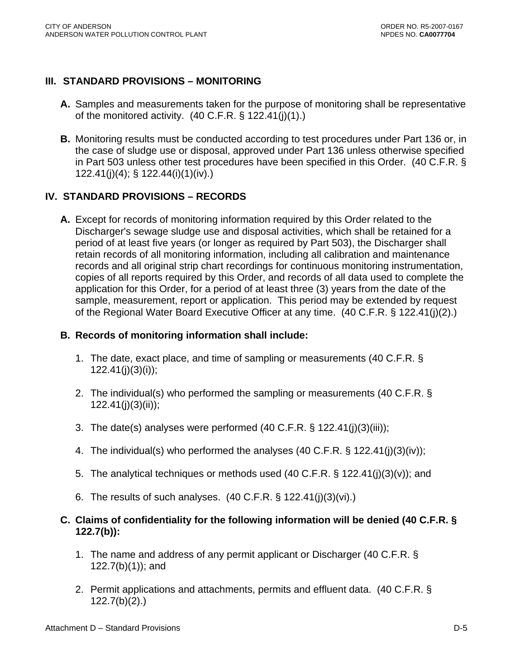### **III. STANDARD PROVISIONS – MONITORING**

- **A.** Samples and measurements taken for the purpose of monitoring shall be representative of the monitored activity.  $(40 \text{ C.F.R.} \S 122.41(i)(1))$ .
- **B.** Monitoring results must be conducted according to test procedures under Part 136 or, in the case of sludge use or disposal, approved under Part 136 unless otherwise specified in Part 503 unless other test procedures have been specified in this Order. (40 C.F.R. § 122.41(j)(4); § 122.44(i)(1)(iv).)

### **IV. STANDARD PROVISIONS – RECORDS**

**A.** Except for records of monitoring information required by this Order related to the Discharger's sewage sludge use and disposal activities, which shall be retained for a period of at least five years (or longer as required by Part 503), the Discharger shall retain records of all monitoring information, including all calibration and maintenance records and all original strip chart recordings for continuous monitoring instrumentation, copies of all reports required by this Order, and records of all data used to complete the application for this Order, for a period of at least three (3) years from the date of the sample, measurement, report or application. This period may be extended by request of the Regional Water Board Executive Officer at any time. (40 C.F.R. § 122.41(j)(2).)

#### **B. Records of monitoring information shall include:**

- 1. The date, exact place, and time of sampling or measurements (40 C.F.R. §  $122.41(j)(3)(i)$ ;
- 2. The individual(s) who performed the sampling or measurements (40 C.F.R. § 122.41(j)(3)(ii));
- 3. The date(s) analyses were performed (40 C.F.R. § 122.41(j)(3)(iii));
- 4. The individual(s) who performed the analyses (40 C.F.R. § 122.41(j)(3)(iv));
- 5. The analytical techniques or methods used (40 C.F.R. § 122.41(j)(3)(v)); and
- 6. The results of such analyses. (40 C.F.R. § 122.41(j)(3)(vi).)

### **C. Claims of confidentiality for the following information will be denied (40 C.F.R. § 122.7(b)):**

- 1. The name and address of any permit applicant or Discharger (40 C.F.R. § 122.7(b)(1)); and
- 2. Permit applications and attachments, permits and effluent data. (40 C.F.R. § 122.7(b)(2).)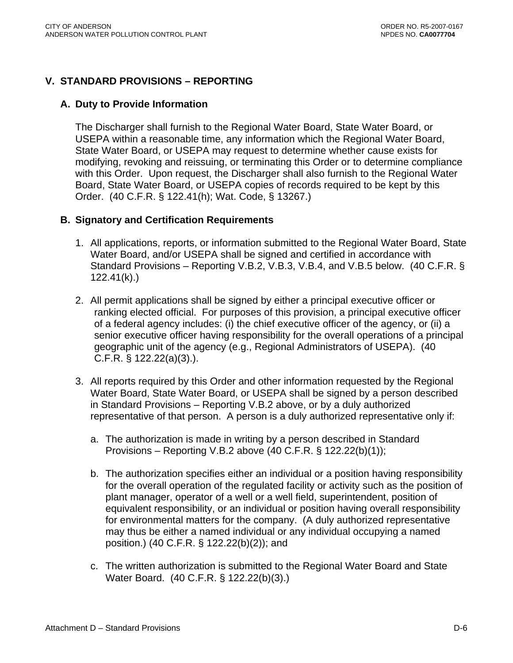### **V. STANDARD PROVISIONS – REPORTING**

#### **A. Duty to Provide Information**

The Discharger shall furnish to the Regional Water Board, State Water Board, or USEPA within a reasonable time, any information which the Regional Water Board, State Water Board, or USEPA may request to determine whether cause exists for modifying, revoking and reissuing, or terminating this Order or to determine compliance with this Order. Upon request, the Discharger shall also furnish to the Regional Water Board, State Water Board, or USEPA copies of records required to be kept by this Order. (40 C.F.R. § 122.41(h); Wat. Code, § 13267.)

### **B. Signatory and Certification Requirements**

- 1. All applications, reports, or information submitted to the Regional Water Board, State Water Board, and/or USEPA shall be signed and certified in accordance with Standard Provisions – Reporting V.B.2, V.B.3, V.B.4, and V.B.5 below. (40 C.F.R. § 122.41(k).)
- 2. All permit applications shall be signed by either a principal executive officer or ranking elected official. For purposes of this provision, a principal executive officer of a federal agency includes: (i) the chief executive officer of the agency, or (ii) a senior executive officer having responsibility for the overall operations of a principal geographic unit of the agency (e.g., Regional Administrators of USEPA). (40 C.F.R. § 122.22(a)(3).).
- 3. All reports required by this Order and other information requested by the Regional Water Board, State Water Board, or USEPA shall be signed by a person described in Standard Provisions – Reporting V.B.2 above, or by a duly authorized representative of that person. A person is a duly authorized representative only if:
	- a. The authorization is made in writing by a person described in Standard Provisions – Reporting V.B.2 above (40 C.F.R. § 122.22(b)(1));
	- b. The authorization specifies either an individual or a position having responsibility for the overall operation of the regulated facility or activity such as the position of plant manager, operator of a well or a well field, superintendent, position of equivalent responsibility, or an individual or position having overall responsibility for environmental matters for the company. (A duly authorized representative may thus be either a named individual or any individual occupying a named position.) (40 C.F.R. § 122.22(b)(2)); and
	- c. The written authorization is submitted to the Regional Water Board and State Water Board. (40 C.F.R. § 122.22(b)(3).)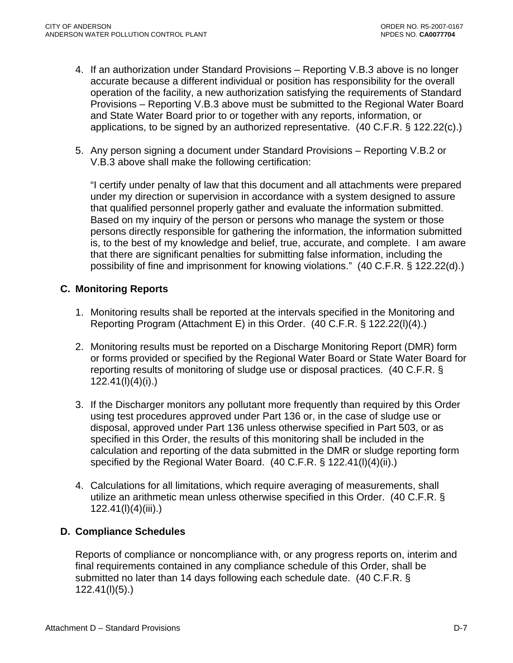- 4. If an authorization under Standard Provisions Reporting V.B.3 above is no longer accurate because a different individual or position has responsibility for the overall operation of the facility, a new authorization satisfying the requirements of Standard Provisions – Reporting V.B.3 above must be submitted to the Regional Water Board and State Water Board prior to or together with any reports, information, or applications, to be signed by an authorized representative. (40 C.F.R. § 122.22(c).)
- 5. Any person signing a document under Standard Provisions Reporting V.B.2 or V.B.3 above shall make the following certification:

"I certify under penalty of law that this document and all attachments were prepared under my direction or supervision in accordance with a system designed to assure that qualified personnel properly gather and evaluate the information submitted. Based on my inquiry of the person or persons who manage the system or those persons directly responsible for gathering the information, the information submitted is, to the best of my knowledge and belief, true, accurate, and complete. I am aware that there are significant penalties for submitting false information, including the possibility of fine and imprisonment for knowing violations." (40 C.F.R. § 122.22(d).)

### **C. Monitoring Reports**

- 1. Monitoring results shall be reported at the intervals specified in the Monitoring and Reporting Program (Attachment E) in this Order. (40 C.F.R. § 122.22(l)(4).)
- 2. Monitoring results must be reported on a Discharge Monitoring Report (DMR) form or forms provided or specified by the Regional Water Board or State Water Board for reporting results of monitoring of sludge use or disposal practices. (40 C.F.R. § 122.41(l)(4)(i).)
- 3. If the Discharger monitors any pollutant more frequently than required by this Order using test procedures approved under Part 136 or, in the case of sludge use or disposal, approved under Part 136 unless otherwise specified in Part 503, or as specified in this Order, the results of this monitoring shall be included in the calculation and reporting of the data submitted in the DMR or sludge reporting form specified by the Regional Water Board. (40 C.F.R. § 122.41(I)(4)(ii).)
- 4. Calculations for all limitations, which require averaging of measurements, shall utilize an arithmetic mean unless otherwise specified in this Order. (40 C.F.R. § 122.41(l)(4)(iii).)

### **D. Compliance Schedules**

Reports of compliance or noncompliance with, or any progress reports on, interim and final requirements contained in any compliance schedule of this Order, shall be submitted no later than 14 days following each schedule date. (40 C.F.R. § 122.41(l)(5).)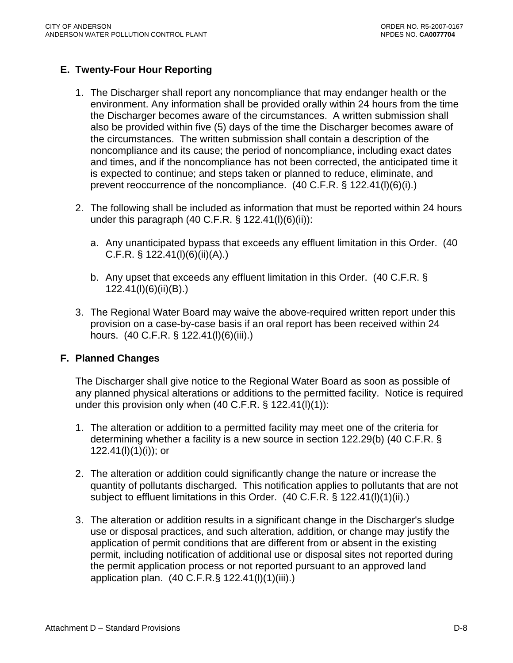### **E. Twenty-Four Hour Reporting**

- 1. The Discharger shall report any noncompliance that may endanger health or the environment. Any information shall be provided orally within 24 hours from the time the Discharger becomes aware of the circumstances. A written submission shall also be provided within five (5) days of the time the Discharger becomes aware of the circumstances. The written submission shall contain a description of the noncompliance and its cause; the period of noncompliance, including exact dates and times, and if the noncompliance has not been corrected, the anticipated time it is expected to continue; and steps taken or planned to reduce, eliminate, and prevent reoccurrence of the noncompliance. (40 C.F.R. § 122.41(l)(6)(i).)
- 2. The following shall be included as information that must be reported within 24 hours under this paragraph (40 C.F.R. § 122.41(l)(6)(ii)):
	- a. Any unanticipated bypass that exceeds any effluent limitation in this Order. (40 C.F.R. § 122.41(l)(6)(ii)(A).)
	- b. Any upset that exceeds any effluent limitation in this Order. (40 C.F.R. § 122.41(l)(6)(ii)(B).)
- 3. The Regional Water Board may waive the above-required written report under this provision on a case-by-case basis if an oral report has been received within 24 hours. (40 C.F.R. § 122.41(l)(6)(iii).)

#### **F. Planned Changes**

The Discharger shall give notice to the Regional Water Board as soon as possible of any planned physical alterations or additions to the permitted facility. Notice is required under this provision only when  $(40 \text{ C.F.R.} \S 122.41(l)(1))$ :

- 1. The alteration or addition to a permitted facility may meet one of the criteria for determining whether a facility is a new source in section 122.29(b) (40 C.F.R. § 122.41(l)(1)(i)); or
- 2. The alteration or addition could significantly change the nature or increase the quantity of pollutants discharged. This notification applies to pollutants that are not subject to effluent limitations in this Order. (40 C.F.R. § 122.41(l)(1)(ii).)
- 3. The alteration or addition results in a significant change in the Discharger's sludge use or disposal practices, and such alteration, addition, or change may justify the application of permit conditions that are different from or absent in the existing permit, including notification of additional use or disposal sites not reported during the permit application process or not reported pursuant to an approved land application plan. (40 C.F.R.§ 122.41(l)(1)(iii).)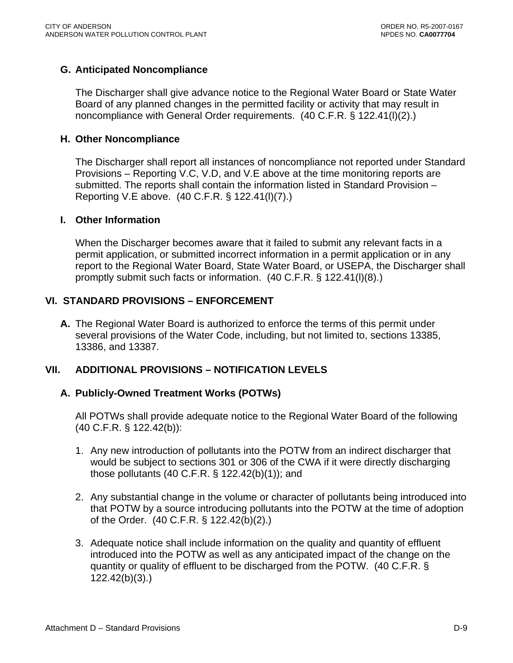### **G. Anticipated Noncompliance**

The Discharger shall give advance notice to the Regional Water Board or State Water Board of any planned changes in the permitted facility or activity that may result in noncompliance with General Order requirements. (40 C.F.R. § 122.41(l)(2).)

#### **H. Other Noncompliance**

The Discharger shall report all instances of noncompliance not reported under Standard Provisions – Reporting V.C, V.D, and V.E above at the time monitoring reports are submitted. The reports shall contain the information listed in Standard Provision – Reporting V.E above. (40 C.F.R. § 122.41(l)(7).)

#### **I. Other Information**

When the Discharger becomes aware that it failed to submit any relevant facts in a permit application, or submitted incorrect information in a permit application or in any report to the Regional Water Board, State Water Board, or USEPA, the Discharger shall promptly submit such facts or information. (40 C.F.R. § 122.41(l)(8).)

### **VI. STANDARD PROVISIONS – ENFORCEMENT**

**A.** The Regional Water Board is authorized to enforce the terms of this permit under several provisions of the Water Code, including, but not limited to, sections 13385, 13386, and 13387.

### **VII. ADDITIONAL PROVISIONS – NOTIFICATION LEVELS**

#### **A. Publicly-Owned Treatment Works (POTWs)**

 All POTWs shall provide adequate notice to the Regional Water Board of the following (40 C.F.R. § 122.42(b)):

- 1. Any new introduction of pollutants into the POTW from an indirect discharger that would be subject to sections 301 or 306 of the CWA if it were directly discharging those pollutants (40 C.F.R. § 122.42(b)(1)); and
- 2. Any substantial change in the volume or character of pollutants being introduced into that POTW by a source introducing pollutants into the POTW at the time of adoption of the Order. (40 C.F.R. § 122.42(b)(2).)
- 3. Adequate notice shall include information on the quality and quantity of effluent introduced into the POTW as well as any anticipated impact of the change on the quantity or quality of effluent to be discharged from the POTW. (40 C.F.R. § 122.42(b)(3).)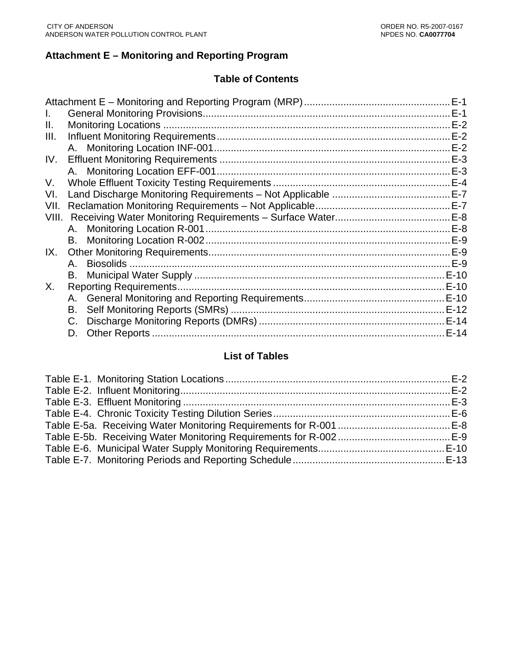### **Attachment E – Monitoring and Reporting Program**

#### **Table of Contents**

| Ι.    |    | $E-1$  |
|-------|----|--------|
| Ш.    |    | $E-2$  |
| III.  |    | $E-2$  |
|       |    | $E-2$  |
| IV.   |    | $E-3$  |
|       |    | $E-3$  |
| V.    |    | $E-4$  |
| VI.   |    |        |
| VII.  |    | $E-7$  |
| VIII. |    | $E-8$  |
|       |    | $E-8$  |
|       |    | $E-9$  |
| IX.   |    |        |
|       |    |        |
|       |    | E-10   |
| Χ.    |    |        |
|       |    |        |
|       |    |        |
|       | C. |        |
|       | D. | $E-14$ |
|       |    |        |

# **List of Tables**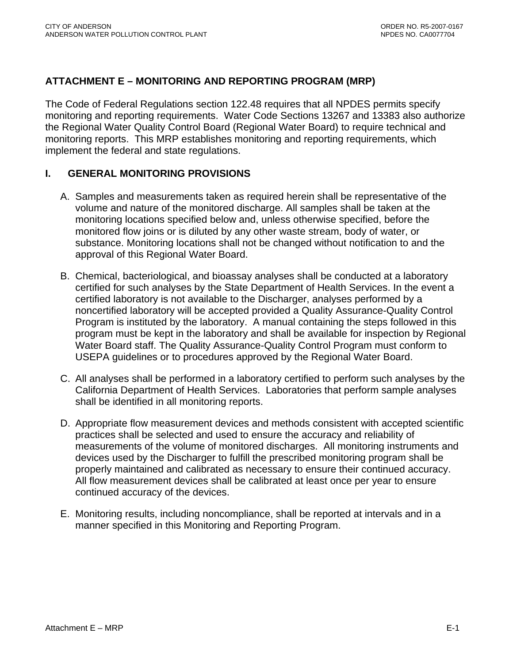### <span id="page-46-0"></span>**ATTACHMENT E – MONITORING AND REPORTING PROGRAM (MRP)**

The Code of Federal Regulations section 122.48 requires that all NPDES permits specify monitoring and reporting requirements. Water Code Sections 13267 and 13383 also authorize the Regional Water Quality Control Board (Regional Water Board) to require technical and monitoring reports. This MRP establishes monitoring and reporting requirements, which implement the federal and state regulations.

#### **I. GENERAL MONITORING PROVISIONS**

- A. Samples and measurements taken as required herein shall be representative of the volume and nature of the monitored discharge. All samples shall be taken at the monitoring locations specified below and, unless otherwise specified, before the monitored flow joins or is diluted by any other waste stream, body of water, or substance. Monitoring locations shall not be changed without notification to and the approval of this Regional Water Board.
- B. Chemical, bacteriological, and bioassay analyses shall be conducted at a laboratory certified for such analyses by the State Department of Health Services. In the event a certified laboratory is not available to the Discharger, analyses performed by a noncertified laboratory will be accepted provided a Quality Assurance-Quality Control Program is instituted by the laboratory. A manual containing the steps followed in this program must be kept in the laboratory and shall be available for inspection by Regional Water Board staff. The Quality Assurance-Quality Control Program must conform to USEPA guidelines or to procedures approved by the Regional Water Board.
- C. All analyses shall be performed in a laboratory certified to perform such analyses by the California Department of Health Services. Laboratories that perform sample analyses shall be identified in all monitoring reports.
- D. Appropriate flow measurement devices and methods consistent with accepted scientific practices shall be selected and used to ensure the accuracy and reliability of measurements of the volume of monitored discharges. All monitoring instruments and devices used by the Discharger to fulfill the prescribed monitoring program shall be properly maintained and calibrated as necessary to ensure their continued accuracy. All flow measurement devices shall be calibrated at least once per year to ensure continued accuracy of the devices.
- E. Monitoring results, including noncompliance, shall be reported at intervals and in a manner specified in this Monitoring and Reporting Program.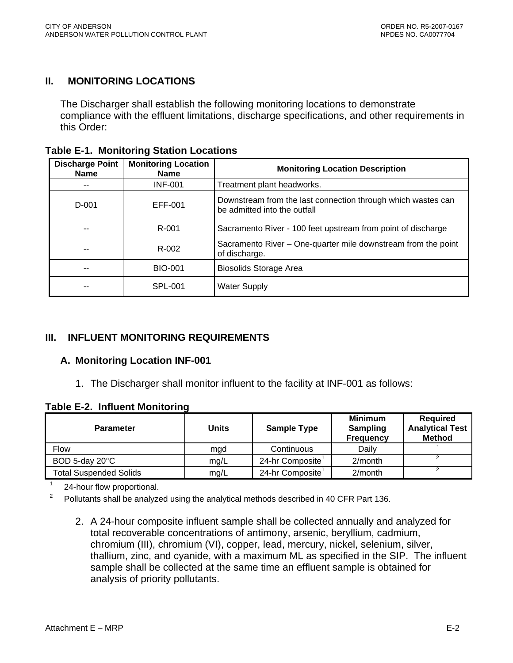### <span id="page-47-0"></span>**II. MONITORING LOCATIONS**

The Discharger shall establish the following monitoring locations to demonstrate compliance with the effluent limitations, discharge specifications, and other requirements in this Order:

|  | <b>Table E-1. Monitoring Station Locations</b> |  |  |
|--|------------------------------------------------|--|--|
|--|------------------------------------------------|--|--|

| <b>Discharge Point</b><br><b>Name</b> | <b>Monitoring Location</b><br>Name | <b>Monitoring Location Description</b>                                                       |
|---------------------------------------|------------------------------------|----------------------------------------------------------------------------------------------|
| --                                    | <b>INF-001</b>                     | Treatment plant headworks.                                                                   |
| $D-001$                               | EFF-001                            | Downstream from the last connection through which wastes can<br>be admitted into the outfall |
|                                       | R-001                              | Sacramento River - 100 feet upstream from point of discharge                                 |
|                                       | R-002                              | Sacramento River - One-quarter mile downstream from the point<br>of discharge.               |
| --                                    | <b>BIO-001</b>                     | <b>Biosolids Storage Area</b>                                                                |
| --                                    | <b>SPL-001</b>                     | <b>Water Supply</b>                                                                          |

#### **III. INFLUENT MONITORING REQUIREMENTS**

#### **A. Monitoring Location INF-001**

1. The Discharger shall monitor influent to the facility at INF-001 as follows:

**Table E-2. Influent Monitoring** 

| <b>Parameter</b>              | Units | <b>Sample Type</b>           | <b>Minimum</b><br><b>Sampling</b><br><b>Frequency</b> | Required<br><b>Analytical Test</b><br><b>Method</b> |
|-------------------------------|-------|------------------------------|-------------------------------------------------------|-----------------------------------------------------|
| <b>Flow</b>                   | mgd   | Continuous                   | Daily                                                 | ٠                                                   |
| BOD 5-day 20°C                | mq/L  | 24-hr Composite              | $2/m$ onth                                            |                                                     |
| <b>Total Suspended Solids</b> | mg/L  | 24-hr Composite <sup>1</sup> | $2/m$ onth                                            |                                                     |

1 24-hour flow proportional.

2 Pollutants shall be analyzed using the analytical methods described in 40 CFR Part 136.

2. A 24-hour composite influent sample shall be collected annually and analyzed for total recoverable concentrations of antimony, arsenic, beryllium, cadmium, chromium (III), chromium (VI), copper, lead, mercury, nickel, selenium, silver, thallium, zinc, and cyanide, with a maximum ML as specified in the SIP. The influent sample shall be collected at the same time an effluent sample is obtained for analysis of priority pollutants.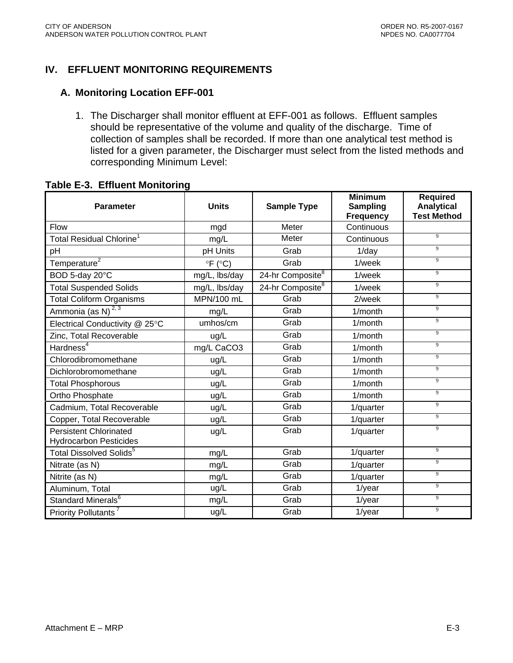### <span id="page-48-0"></span>**IV. EFFLUENT MONITORING REQUIREMENTS**

#### **A. Monitoring Location EFF-001**

1. The Discharger shall monitor effluent at EFF-001 as follows. Effluent samples should be representative of the volume and quality of the discharge. Time of collection of samples shall be recorded. If more than one analytical test method is listed for a given parameter, the Discharger must select from the listed methods and corresponding Minimum Level:

#### Parameter | Units | Sample Type **Minimum Sampling Frequency Required Analytical Test Method**  Flow and mad Meter Continuous Total Residual Chlorine<sup>1</sup> mg/L Meter Continuous <sup>9</sup> pH pH Units Grab 1/day <sup>9</sup> Temperature<sup>2</sup> <sup>9</sup>F (°C) Grab 1/week 9 BOD 5-day 20°C **mg/L**, lbs/day 24-hr Composite<sup>8</sup> 1/week 9 Total Suspended Solids 1997 | mg/L, lbs/day 24-hr Composite<sup>8</sup> | 1/week 1 Total Coliform Organisms | MPN/100 mL Grab | 2/week | <sup>9</sup> Ammonia (as N)<sup>2,3</sup> 1 mg/L Grab 1/month 9 Electrical Conductivity @ 25°C | umhos/cm | Grab | 1/month Zinc, Total Recoverable **a**  $\begin{array}{ccc} \hline \end{array}$  ug/L  $\begin{array}{ccc} \hline \end{array}$  Grab  $\begin{array}{ccc} \hline \end{array}$  1/month  $\begin{array}{ccc} \hline \end{array}$ Hardness<sup>4</sup> mg/L CaCO3 Grab 1/month 9 Chlorodibromomethane and ug/L Grab 1/month 9 Dichlorobromomethane and ug/L Grab 1/month 9 Total Phosphorous and angles ug/L Grab 1/month Ortho Phosphate 1 and 1/month 1/month 1/month 1/month 1/month 1/month 1/month 1/month 1/month 1/month 1/month 1/month 1/month 1/month 1/month 1/month 1/month 1/month 1/month 1/month 1/month 1/month 1/month 1/month 1/month Cadmium, Total Recoverable ug/L Grab 1/quarter Copper, Total Recoverable  $\qquad \qquad | \qquad$  ug/L  $\qquad \qquad | \qquad$  Grab  $\qquad \qquad | \qquad$  1/quarter  $\qquad \qquad | \qquad$  <sup>9</sup> Persistent Chlorinated and angle and all ug/L and Grab and 1/quarter and 1/9 Hydrocarbon Pesticides 1/quarter Total Dissolved Solids<sup>5</sup> for a mg/L and Grab the 1/quarter for the 1<sup>9</sup> Nitrate (as N) and The Millet Manuson of the mag/L and Grab 1/quarter and 1/quarter of the magnetic magnetic magnetic magnetic method of the magnetic magnetic method of the magnetic method of the magnetic method of the mag Nitrite (as N) mg/L Grab 1/quarter Aluminum, Total **National Contract Contract Contract Contract Contract Contract Contract Contract Contract Contr** Standard Minerals<sup>6</sup> mg/L Grab 1/year 9 Priority Pollutants<sup>7</sup> and and leads and ug/L and Grab and 1/year and 1/9

#### **Table E-3. Effluent Monitoring**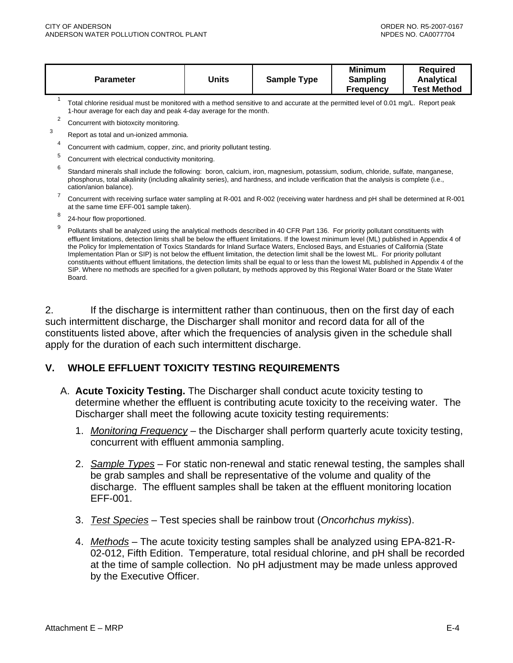<span id="page-49-0"></span>

| <b>Minimum</b><br>Reauired<br>Units<br><b>Sample Type</b><br><b>Analytical</b><br>Parameter<br>Sampling<br><b>Test Method</b><br><b>Frequency</b> |
|---------------------------------------------------------------------------------------------------------------------------------------------------|
|---------------------------------------------------------------------------------------------------------------------------------------------------|

Total chlorine residual must be monitored with a method sensitive to and accurate at the permitted level of 0.01 mg/L. Report peak 1-hour average for each day and peak 4-day average for the month.

2 Concurrent with biotoxcity monitoring.

3

- Report as total and un-ionized ammonia.
- 4 Concurrent with cadmium, copper, zinc, and priority pollutant testing.
- 5 Concurrent with electrical conductivity monitoring.
- 6 Standard minerals shall include the following: boron, calcium, iron, magnesium, potassium, sodium, chloride, sulfate, manganese, phosphorus, total alkalinity (including alkalinity series), and hardness, and include verification that the analysis is complete (i.e., cation/anion balance).
- 7 Concurrent with receiving surface water sampling at R-001 and R-002 (receiving water hardness and pH shall be determined at R-001 at the same time EFF-001 sample taken).
- 8 24-hour flow proportioned.

2. If the discharge is intermittent rather than continuous, then on the first day of each such intermittent discharge, the Discharger shall monitor and record data for all of the constituents listed above, after which the frequencies of analysis given in the schedule shall apply for the duration of each such intermittent discharge.

#### **V. WHOLE EFFLUENT TOXICITY TESTING REQUIREMENTS**

- A. **Acute Toxicity Testing.** The Discharger shall conduct acute toxicity testing to determine whether the effluent is contributing acute toxicity to the receiving water. The Discharger shall meet the following acute toxicity testing requirements:
	- 1. *Monitoring Frequency* the Discharger shall perform quarterly acute toxicity testing, concurrent with effluent ammonia sampling.
	- 2. *Sample Types* For static non-renewal and static renewal testing, the samples shall be grab samples and shall be representative of the volume and quality of the discharge. The effluent samples shall be taken at the effluent monitoring location EFF-001.
	- 3. *Test Species* Test species shall be rainbow trout (*Oncorhchus mykiss*).
	- 4. *Methods* The acute toxicity testing samples shall be analyzed using EPA-821-R-02-012, Fifth Edition. Temperature, total residual chlorine, and pH shall be recorded at the time of sample collection. No pH adjustment may be made unless approved by the Executive Officer.

<sup>9</sup> Pollutants shall be analyzed using the analytical methods described in 40 CFR Part 136. For priority pollutant constituents with effluent limitations, detection limits shall be below the effluent limitations. If the lowest minimum level (ML) published in Appendix 4 of the Policy for Implementation of Toxics Standards for Inland Surface Waters, Enclosed Bays, and Estuaries of California (State Implementation Plan or SIP) is not below the effluent limitation, the detection limit shall be the lowest ML. For priority pollutant constituents without effluent limitations, the detection limits shall be equal to or less than the lowest ML published in Appendix 4 of the SIP. Where no methods are specified for a given pollutant, by methods approved by this Regional Water Board or the State Water Board.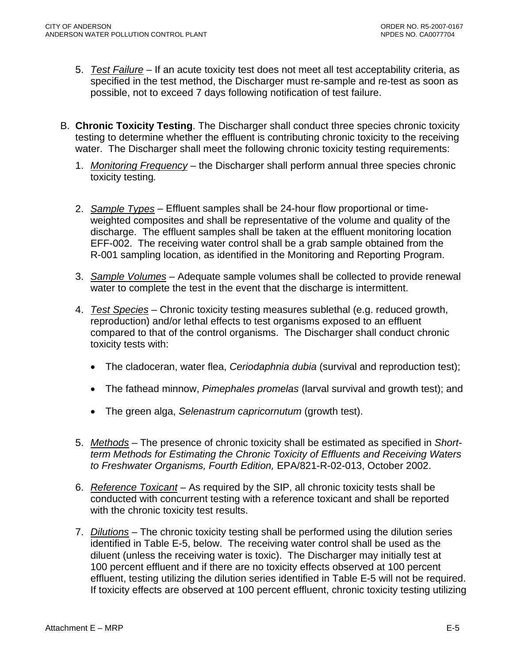- 5. *Test Failure* If an acute toxicity test does not meet all test acceptability criteria, as specified in the test method, the Discharger must re-sample and re-test as soon as possible, not to exceed 7 days following notification of test failure.
- B. **Chronic Toxicity Testing**. The Discharger shall conduct three species chronic toxicity testing to determine whether the effluent is contributing chronic toxicity to the receiving water. The Discharger shall meet the following chronic toxicity testing requirements:
	- 1. *Monitoring Frequency* the Discharger shall perform annual three species chronic toxicity testing*.*
	- 2. *Sample Types* Effluent samples shall be 24-hour flow proportional or timeweighted composites and shall be representative of the volume and quality of the discharge. The effluent samples shall be taken at the effluent monitoring location EFF-002. The receiving water control shall be a grab sample obtained from the R-001 sampling location, as identified in the Monitoring and Reporting Program.
	- 3. *Sample Volumes* Adequate sample volumes shall be collected to provide renewal water to complete the test in the event that the discharge is intermittent.
	- 4. *Test Species* Chronic toxicity testing measures sublethal (e.g. reduced growth, reproduction) and/or lethal effects to test organisms exposed to an effluent compared to that of the control organisms. The Discharger shall conduct chronic toxicity tests with:
		- The cladoceran, water flea, *Ceriodaphnia dubia* (survival and reproduction test);
		- The fathead minnow, *Pimephales promelas* (larval survival and growth test); and
		- The green alga, *Selenastrum capricornutum* (growth test).
	- 5. *Methods* The presence of chronic toxicity shall be estimated as specified in *Shortterm Methods for Estimating the Chronic Toxicity of Effluents and Receiving Waters to Freshwater Organisms, Fourth Edition,* EPA/821-R-02-013, October 2002.
	- 6. *Reference Toxicant* As required by the SIP, all chronic toxicity tests shall be conducted with concurrent testing with a reference toxicant and shall be reported with the chronic toxicity test results.
	- 7. *Dilutions* The chronic toxicity testing shall be performed using the dilution series identified in Table E-5, below. The receiving water control shall be used as the diluent (unless the receiving water is toxic). The Discharger may initially test at 100 percent effluent and if there are no toxicity effects observed at 100 percent effluent, testing utilizing the dilution series identified in Table E-5 will not be required. If toxicity effects are observed at 100 percent effluent, chronic toxicity testing utilizing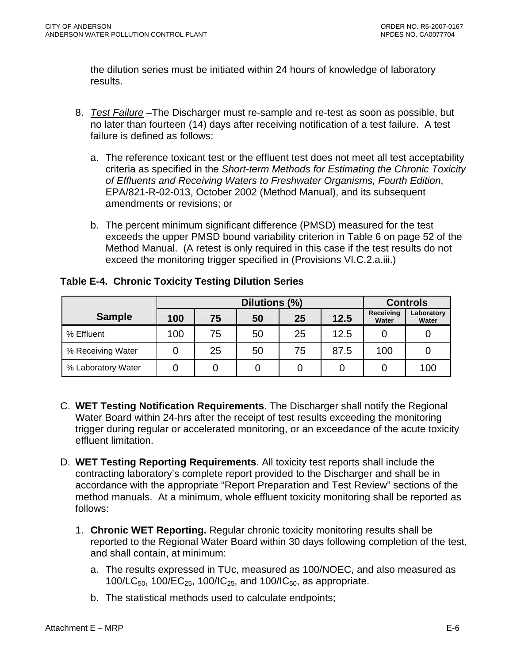<span id="page-51-0"></span>the dilution series must be initiated within 24 hours of knowledge of laboratory results.

- 8. *Test Failure* –The Discharger must re-sample and re-test as soon as possible, but no later than fourteen (14) days after receiving notification of a test failure. A test failure is defined as follows:
	- a. The reference toxicant test or the effluent test does not meet all test acceptability criteria as specified in the *Short-term Methods for Estimating the Chronic Toxicity of Effluents and Receiving Waters to Freshwater Organisms, Fourth Edition*, EPA/821-R-02-013, October 2002 (Method Manual), and its subsequent amendments or revisions; or
	- b. The percent minimum significant difference (PMSD) measured for the test exceeds the upper PMSD bound variability criterion in Table 6 on page 52 of the Method Manual. (A retest is only required in this case if the test results do not exceed the monitoring trigger specified in (Provisions VI.C.2.a.iii.)

|                    | Dilutions (%) |    |    |    |      | <b>Controls</b>    |                     |
|--------------------|---------------|----|----|----|------|--------------------|---------------------|
| <b>Sample</b>      | 100           | 75 | 50 | 25 | 12.5 | Receiving<br>Water | Laboratory<br>Water |
| % Effluent         | 100           | 75 | 50 | 25 | 12.5 |                    |                     |
| % Receiving Water  |               | 25 | 50 | 75 | 87.5 | 100                |                     |
| % Laboratory Water |               |    |    |    |      |                    | 100                 |

**Table E-4. Chronic Toxicity Testing Dilution Series** 

- C. **WET Testing Notification Requirements**. The Discharger shall notify the Regional Water Board within 24-hrs after the receipt of test results exceeding the monitoring trigger during regular or accelerated monitoring, or an exceedance of the acute toxicity effluent limitation.
- D. **WET Testing Reporting Requirements**. All toxicity test reports shall include the contracting laboratory's complete report provided to the Discharger and shall be in accordance with the appropriate "Report Preparation and Test Review" sections of the method manuals. At a minimum, whole effluent toxicity monitoring shall be reported as follows:
	- 1. **Chronic WET Reporting.** Regular chronic toxicity monitoring results shall be reported to the Regional Water Board within 30 days following completion of the test, and shall contain, at minimum:
		- a. The results expressed in TUc, measured as 100/NOEC, and also measured as 100/LC<sub>50</sub>, 100/EC<sub>25</sub>, 100/IC<sub>25</sub>, and 100/IC<sub>50</sub>, as appropriate.
		- b. The statistical methods used to calculate endpoints;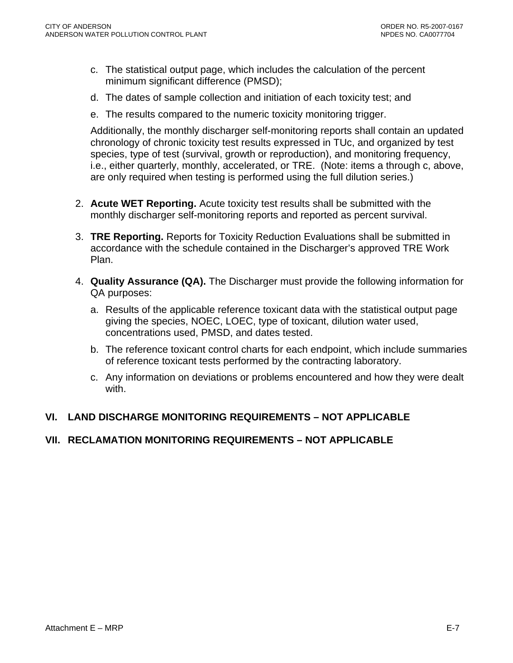- <span id="page-52-0"></span>c. The statistical output page, which includes the calculation of the percent minimum significant difference (PMSD);
- d. The dates of sample collection and initiation of each toxicity test; and
- e. The results compared to the numeric toxicity monitoring trigger.

Additionally, the monthly discharger self-monitoring reports shall contain an updated chronology of chronic toxicity test results expressed in TUc, and organized by test species, type of test (survival, growth or reproduction), and monitoring frequency, i.e., either quarterly, monthly, accelerated, or TRE. (Note: items a through c, above, are only required when testing is performed using the full dilution series.)

- 2. **Acute WET Reporting.** Acute toxicity test results shall be submitted with the monthly discharger self-monitoring reports and reported as percent survival.
- 3. **TRE Reporting.** Reports for Toxicity Reduction Evaluations shall be submitted in accordance with the schedule contained in the Discharger's approved TRE Work Plan.
- 4. **Quality Assurance (QA).** The Discharger must provide the following information for QA purposes:
	- a. Results of the applicable reference toxicant data with the statistical output page giving the species, NOEC, LOEC, type of toxicant, dilution water used, concentrations used, PMSD, and dates tested.
	- b. The reference toxicant control charts for each endpoint, which include summaries of reference toxicant tests performed by the contracting laboratory.
	- c. Any information on deviations or problems encountered and how they were dealt with.

### **VI. LAND DISCHARGE MONITORING REQUIREMENTS – NOT APPLICABLE**

### **VII. RECLAMATION MONITORING REQUIREMENTS – NOT APPLICABLE**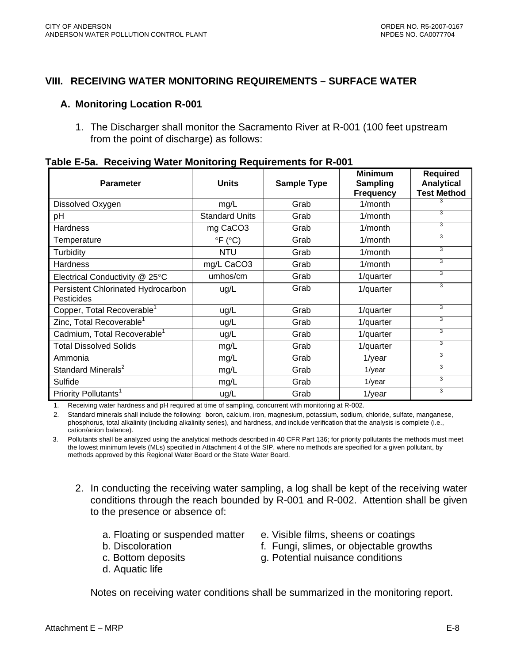#### <span id="page-53-0"></span>**VIII. RECEIVING WATER MONITORING REQUIREMENTS – SURFACE WATER**

#### **A. Monitoring Location R-001**

1. The Discharger shall monitor the Sacramento River at R-001 (100 feet upstream from the point of discharge) as follows:

| <b>Parameter</b>                                 | <b>Units</b>           | <b>Sample Type</b> | <b>Minimum</b><br>Sampling<br><b>Frequency</b> | <b>Required</b><br><b>Analytical</b><br><b>Test Method</b> |
|--------------------------------------------------|------------------------|--------------------|------------------------------------------------|------------------------------------------------------------|
| Dissolved Oxygen                                 | mg/L                   | Grab               | 1/month                                        |                                                            |
| рH                                               | <b>Standard Units</b>  | Grab               | $1/m$ onth                                     | 3                                                          |
| <b>Hardness</b>                                  | mg CaCO <sub>3</sub>   | Grab               | $1/m$ onth                                     | 3                                                          |
| Temperature                                      | $\circ$ F ( $\circ$ C) | Grab               | 1/month                                        | 3                                                          |
| Turbidity                                        | <b>NTU</b>             | Grab               | $1/m$ onth                                     | 3                                                          |
| <b>Hardness</b>                                  | mg/L CaCO3             | Grab               | $1/m$ onth                                     | 3                                                          |
| Electrical Conductivity @ 25°C                   | umhos/cm               | Grab               | 1/quarter                                      | 3                                                          |
| Persistent Chlorinated Hydrocarbon<br>Pesticides | ug/L                   | Grab               | 1/quarter                                      | 3                                                          |
| Copper, Total Recoverable <sup>1</sup>           | ug/L                   | Grab               | 1/quarter                                      | 3                                                          |
| Zinc, Total Recoverable <sup>1</sup>             | ug/L                   | Grab               | 1/quarter                                      | 3                                                          |
| Cadmium, Total Recoverable <sup>1</sup>          | ug/L                   | Grab               | 1/quarter                                      | 3                                                          |
| <b>Total Dissolved Solids</b>                    | mg/L                   | Grab               | 1/quarter                                      | 3                                                          |
| Ammonia                                          | mg/L                   | Grab               | $1$ /year                                      | 3                                                          |
| Standard Minerals <sup>2</sup>                   | mg/L                   | Grab               | 1/year                                         | 3                                                          |
| Sulfide                                          | mg/L                   | Grab               | $1$ /year                                      | 3                                                          |
| Priority Pollutants <sup>1</sup>                 | ug/L                   | Grab               | $1$ /year                                      | 3                                                          |

1. Receiving water hardness and pH required at time of sampling, concurrent with monitoring at R-002.

2. Standard minerals shall include the following: boron, calcium, iron, magnesium, potassium, sodium, chloride, sulfate, manganese, phosphorus, total alkalinity (including alkalinity series), and hardness, and include verification that the analysis is complete (i.e., cation/anion balance).

3. Pollutants shall be analyzed using the analytical methods described in 40 CFR Part 136; for priority pollutants the methods must meet the lowest minimum levels (MLs) specified in Attachment 4 of the SIP, where no methods are specified for a given pollutant, by methods approved by this Regional Water Board or the State Water Board.

- 2. In conducting the receiving water sampling, a log shall be kept of the receiving water conditions through the reach bounded by R-001 and R-002. Attention shall be given to the presence or absence of:
	-
	-
	-
	- d. Aquatic life
	- a. Floating or suspended matter e. Visible films, sheens or coatings
	- b. Discoloration f. Fungi, slimes, or objectable growths
	- c. Bottom deposits g. Potential nuisance conditions

Notes on receiving water conditions shall be summarized in the monitoring report.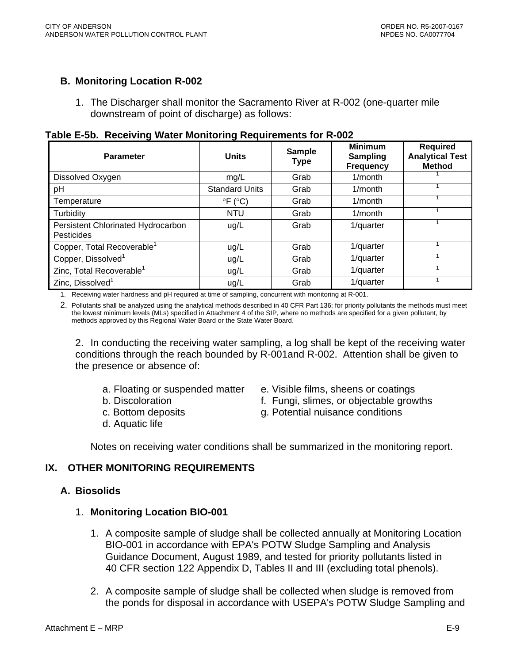### <span id="page-54-0"></span>**B. Monitoring Location R-002**

1. The Discharger shall monitor the Sacramento River at R-002 (one-quarter mile downstream of point of discharge) as follows:

| <b>Parameter</b>                                 | <b>Units</b>               | <b>Sample</b><br><b>Type</b> | <b>Minimum</b><br><b>Sampling</b><br><b>Frequency</b> | <b>Required</b><br><b>Analytical Test</b><br><b>Method</b> |
|--------------------------------------------------|----------------------------|------------------------------|-------------------------------------------------------|------------------------------------------------------------|
| Dissolved Oxygen                                 | mg/L                       | Grab                         | $1/m$ onth                                            |                                                            |
| pH                                               | <b>Standard Units</b>      | Grab                         | $1/m$ onth                                            |                                                            |
| Temperature                                      | $\degree$ F ( $\degree$ C) | Grab                         | 1/month                                               |                                                            |
| Turbidity                                        | <b>NTU</b>                 | Grab                         | $1/m$ onth                                            |                                                            |
| Persistent Chlorinated Hydrocarbon<br>Pesticides | ug/L                       | Grab                         | 1/quarter                                             |                                                            |
| Copper, Total Recoverable <sup>1</sup>           | ug/L                       | Grab                         | 1/quarter                                             |                                                            |
| Copper, Dissolved <sup>1</sup>                   | ug/L                       | Grab                         | 1/quarter                                             |                                                            |
| Zinc, Total Recoverable <sup>1</sup>             | ug/L                       | Grab                         | 1/quarter                                             |                                                            |
| Zinc, Dissolved <sup>1</sup>                     | ug/L                       | Grab                         | 1/quarter                                             |                                                            |

#### **Table E-5b. Receiving Water Monitoring Requirements for R-002**

1. Receiving water hardness and pH required at time of sampling, concurrent with monitoring at R-001.

2. Pollutants shall be analyzed using the analytical methods described in 40 CFR Part 136; for priority pollutants the methods must meet the lowest minimum levels (MLs) specified in Attachment 4 of the SIP, where no methods are specified for a given pollutant, by methods approved by this Regional Water Board or the State Water Board.

2. In conducting the receiving water sampling, a log shall be kept of the receiving water conditions through the reach bounded by R-001and R-002. Attention shall be given to the presence or absence of:

- 
- 
- 
- d. Aquatic life
- a. Floating or suspended matter e. Visible films, sheens or coatings
- b. Discoloration f. Fungi, slimes, or objectable growths
- c. Bottom deposits g. Potential nuisance conditions

Notes on receiving water conditions shall be summarized in the monitoring report.

#### **IX. OTHER MONITORING REQUIREMENTS**

#### **A. Biosolids**

#### 1. **Monitoring Location BIO-001**

- 1. A composite sample of sludge shall be collected annually at Monitoring Location BIO-001 in accordance with EPA's POTW Sludge Sampling and Analysis Guidance Document, August 1989, and tested for priority pollutants listed in 40 CFR section 122 Appendix D, Tables II and III (excluding total phenols).
- 2. A composite sample of sludge shall be collected when sludge is removed from the ponds for disposal in accordance with USEPA's POTW Sludge Sampling and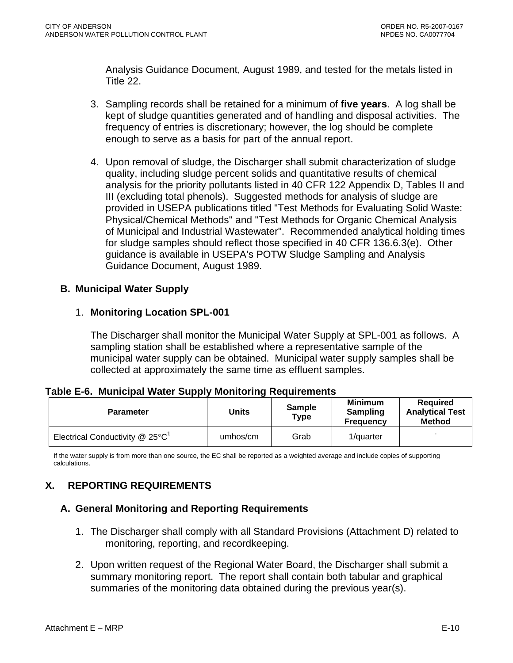<span id="page-55-0"></span>Analysis Guidance Document, August 1989, and tested for the metals listed in Title 22.

- 3. Sampling records shall be retained for a minimum of **five years**. A log shall be kept of sludge quantities generated and of handling and disposal activities. The frequency of entries is discretionary; however, the log should be complete enough to serve as a basis for part of the annual report.
- 4. Upon removal of sludge, the Discharger shall submit characterization of sludge quality, including sludge percent solids and quantitative results of chemical analysis for the priority pollutants listed in 40 CFR 122 Appendix D, Tables II and III (excluding total phenols). Suggested methods for analysis of sludge are provided in USEPA publications titled "Test Methods for Evaluating Solid Waste: Physical/Chemical Methods" and "Test Methods for Organic Chemical Analysis of Municipal and Industrial Wastewater". Recommended analytical holding times for sludge samples should reflect those specified in 40 CFR 136.6.3(e). Other guidance is available in USEPA's POTW Sludge Sampling and Analysis Guidance Document, August 1989.

### **B. Municipal Water Supply**

### 1. **Monitoring Location SPL-001**

The Discharger shall monitor the Municipal Water Supply at SPL-001 as follows. A sampling station shall be established where a representative sample of the municipal water supply can be obtained. Municipal water supply samples shall be collected at approximately the same time as effluent samples.

#### **Table E-6. Municipal Water Supply Monitoring Requirements**

| <b>Parameter</b>                     | Units    | <b>Sample</b><br>Type | <b>Minimum</b><br>Sampling<br><b>Frequency</b> | <b>Required</b><br><b>Analytical Test</b><br><b>Method</b> |
|--------------------------------------|----------|-----------------------|------------------------------------------------|------------------------------------------------------------|
| Electrical Conductivity $@$ 25 $°C1$ | umhos/cm | Grab                  | 1/quarter                                      | -                                                          |

If the water supply is from more than one source, the EC shall be reported as a weighted average and include copies of supporting calculations.

# **X. REPORTING REQUIREMENTS**

### **A. General Monitoring and Reporting Requirements**

- 1. The Discharger shall comply with all Standard Provisions (Attachment D) related to monitoring, reporting, and recordkeeping.
- 2. Upon written request of the Regional Water Board, the Discharger shall submit a summary monitoring report. The report shall contain both tabular and graphical summaries of the monitoring data obtained during the previous year(s).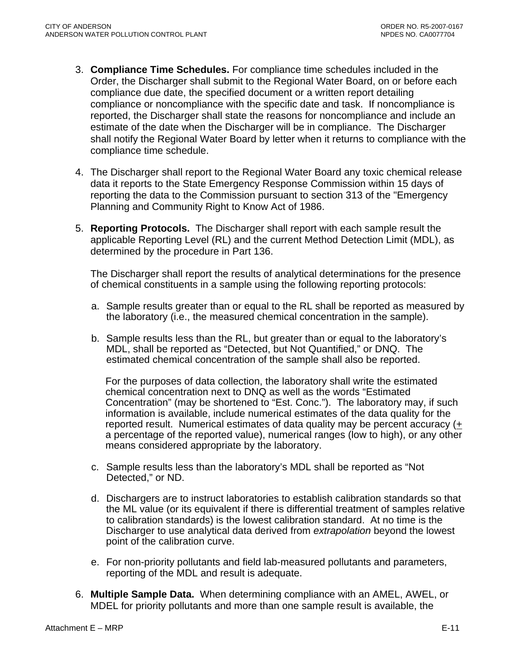- 3. **Compliance Time Schedules.** For compliance time schedules included in the Order, the Discharger shall submit to the Regional Water Board, on or before each compliance due date, the specified document or a written report detailing compliance or noncompliance with the specific date and task. If noncompliance is reported, the Discharger shall state the reasons for noncompliance and include an estimate of the date when the Discharger will be in compliance. The Discharger shall notify the Regional Water Board by letter when it returns to compliance with the compliance time schedule.
- 4. The Discharger shall report to the Regional Water Board any toxic chemical release data it reports to the State Emergency Response Commission within 15 days of reporting the data to the Commission pursuant to section 313 of the "Emergency Planning and Community Right to Know Act of 1986.
- 5. **Reporting Protocols.** The Discharger shall report with each sample result the applicable Reporting Level (RL) and the current Method Detection Limit (MDL), as determined by the procedure in Part 136.

The Discharger shall report the results of analytical determinations for the presence of chemical constituents in a sample using the following reporting protocols:

- a. Sample results greater than or equal to the RL shall be reported as measured by the laboratory (i.e., the measured chemical concentration in the sample).
- b. Sample results less than the RL, but greater than or equal to the laboratory's MDL, shall be reported as "Detected, but Not Quantified," or DNQ. The estimated chemical concentration of the sample shall also be reported.

For the purposes of data collection, the laboratory shall write the estimated chemical concentration next to DNQ as well as the words "Estimated Concentration" (may be shortened to "Est. Conc."). The laboratory may, if such information is available, include numerical estimates of the data quality for the reported result. Numerical estimates of data quality may be percent accuracy (+ a percentage of the reported value), numerical ranges (low to high), or any other means considered appropriate by the laboratory.

- c. Sample results less than the laboratory's MDL shall be reported as "Not Detected," or ND.
- d. Dischargers are to instruct laboratories to establish calibration standards so that the ML value (or its equivalent if there is differential treatment of samples relative to calibration standards) is the lowest calibration standard. At no time is the Discharger to use analytical data derived from *extrapolation* beyond the lowest point of the calibration curve.
- e. For non-priority pollutants and field lab-measured pollutants and parameters, reporting of the MDL and result is adequate.
- 6. **Multiple Sample Data.** When determining compliance with an AMEL, AWEL, or MDEL for priority pollutants and more than one sample result is available, the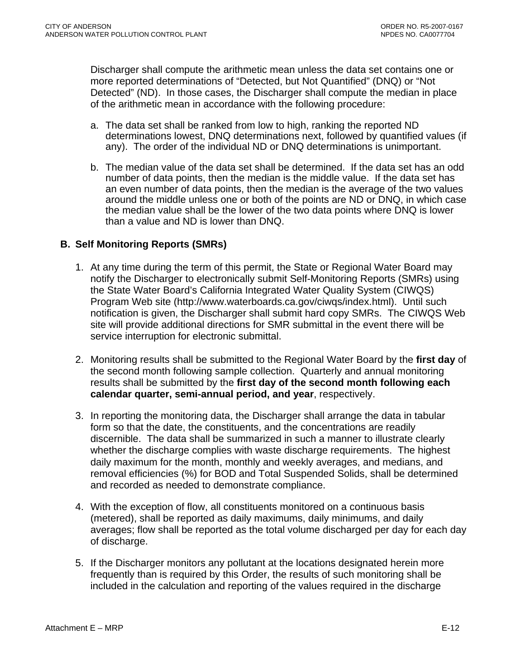<span id="page-57-0"></span>Discharger shall compute the arithmetic mean unless the data set contains one or more reported determinations of "Detected, but Not Quantified" (DNQ) or "Not Detected" (ND). In those cases, the Discharger shall compute the median in place of the arithmetic mean in accordance with the following procedure:

- a. The data set shall be ranked from low to high, ranking the reported ND determinations lowest, DNQ determinations next, followed by quantified values (if any). The order of the individual ND or DNQ determinations is unimportant.
- b. The median value of the data set shall be determined. If the data set has an odd number of data points, then the median is the middle value. If the data set has an even number of data points, then the median is the average of the two values around the middle unless one or both of the points are ND or DNQ, in which case the median value shall be the lower of the two data points where DNQ is lower than a value and ND is lower than DNQ.

### **B. Self Monitoring Reports (SMRs)**

- 1. At any time during the term of this permit, the State or Regional Water Board may notify the Discharger to electronically submit Self-Monitoring Reports (SMRs) using the State Water Board's California Integrated Water Quality System (CIWQS) Program Web site (http://www.waterboards.ca.gov/ciwqs/index.html). Until such notification is given, the Discharger shall submit hard copy SMRs. The CIWQS Web site will provide additional directions for SMR submittal in the event there will be service interruption for electronic submittal.
- 2. Monitoring results shall be submitted to the Regional Water Board by the **first day** of the second month following sample collection. Quarterly and annual monitoring results shall be submitted by the **first day of the second month following each calendar quarter, semi-annual period, and year**, respectively.
- 3. In reporting the monitoring data, the Discharger shall arrange the data in tabular form so that the date, the constituents, and the concentrations are readily discernible. The data shall be summarized in such a manner to illustrate clearly whether the discharge complies with waste discharge requirements. The highest daily maximum for the month, monthly and weekly averages, and medians, and removal efficiencies (%) for BOD and Total Suspended Solids, shall be determined and recorded as needed to demonstrate compliance.
- 4. With the exception of flow, all constituents monitored on a continuous basis (metered), shall be reported as daily maximums, daily minimums, and daily averages; flow shall be reported as the total volume discharged per day for each day of discharge.
- 5. If the Discharger monitors any pollutant at the locations designated herein more frequently than is required by this Order, the results of such monitoring shall be included in the calculation and reporting of the values required in the discharge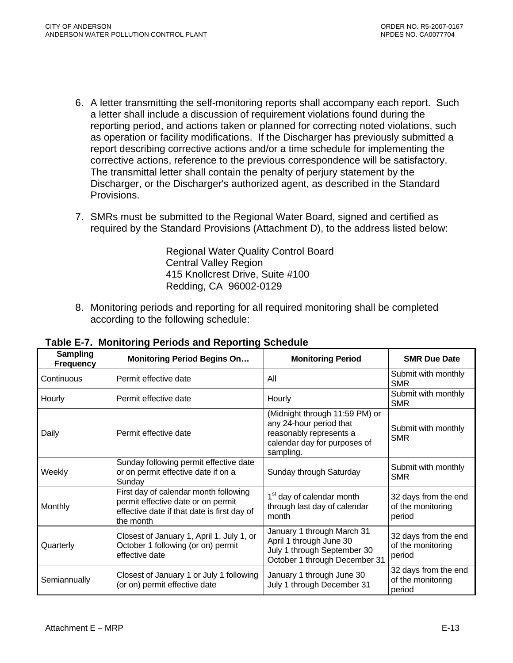- <span id="page-58-0"></span>6. A letter transmitting the self-monitoring reports shall accompany each report. Such a letter shall include a discussion of requirement violations found during the reporting period, and actions taken or planned for correcting noted violations, such as operation or facility modifications. If the Discharger has previously submitted a report describing corrective actions and/or a time schedule for implementing the corrective actions, reference to the previous correspondence will be satisfactory. The transmittal letter shall contain the penalty of perjury statement by the Discharger, or the Discharger's authorized agent, as described in the Standard Provisions.
- 7. SMRs must be submitted to the Regional Water Board, signed and certified as required by the Standard Provisions (Attachment D), to the address listed below:

Regional Water Quality Control Board Central Valley Region 415 Knollcrest Drive, Suite #100 Redding, CA 96002-0129

8. Monitoring periods and reporting for all required monitoring shall be completed according to the following schedule:

| <b>Sampling</b><br><b>Frequency</b> | <b>Monitoring Period Begins On</b>                                                                                                      | <b>Monitoring Period</b>                                                                                                          | <b>SMR Due Date</b>                                 |
|-------------------------------------|-----------------------------------------------------------------------------------------------------------------------------------------|-----------------------------------------------------------------------------------------------------------------------------------|-----------------------------------------------------|
| Continuous                          | Permit effective date                                                                                                                   | All                                                                                                                               | Submit with monthly<br><b>SMR</b>                   |
| Hourly                              | Permit effective date                                                                                                                   | Hourly                                                                                                                            | Submit with monthly<br><b>SMR</b>                   |
| Daily                               | Permit effective date                                                                                                                   | (Midnight through 11:59 PM) or<br>any 24-hour period that<br>reasonably represents a<br>calendar day for purposes of<br>sampling. | Submit with monthly<br><b>SMR</b>                   |
| Weekly                              | Sunday following permit effective date<br>or on permit effective date if on a<br>Sunday                                                 | Sunday through Saturday                                                                                                           | Submit with monthly<br><b>SMR</b>                   |
| Monthly                             | First day of calendar month following<br>permit effective date or on permit<br>effective date if that date is first day of<br>the month | 1 <sup>st</sup> day of calendar month<br>through last day of calendar<br>month                                                    | 32 days from the end<br>of the monitoring<br>period |
| Quarterly                           | Closest of January 1, April 1, July 1, or<br>October 1 following (or on) permit<br>effective date                                       | January 1 through March 31<br>April 1 through June 30<br>July 1 through September 30<br>October 1 through December 31             | 32 days from the end<br>of the monitoring<br>period |
| Semiannually                        | Closest of January 1 or July 1 following<br>(or on) permit effective date                                                               | January 1 through June 30<br>July 1 through December 31                                                                           | 32 days from the end<br>of the monitoring<br>period |

**Table E-7. Monitoring Periods and Reporting Schedule**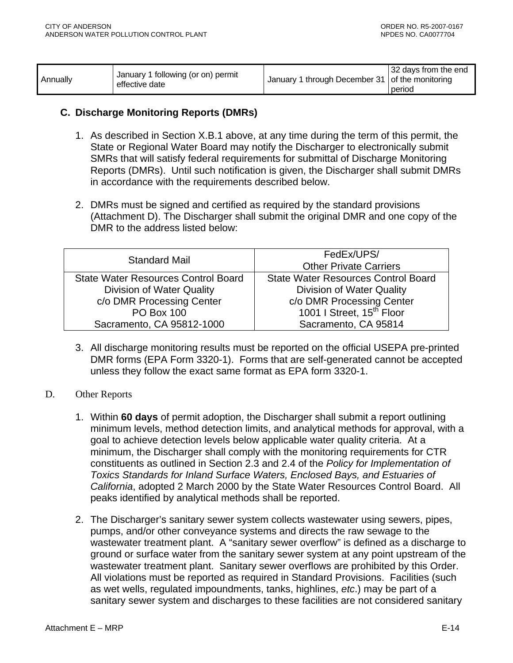<span id="page-59-0"></span>

| Annually | January 1 following (or on) permit<br>effective date | January 1 through December 31 of the monitoring | 32 days from the end<br>period |
|----------|------------------------------------------------------|-------------------------------------------------|--------------------------------|
|----------|------------------------------------------------------|-------------------------------------------------|--------------------------------|

#### **C. Discharge Monitoring Reports (DMRs)**

- 1. As described in Section X.B.1 above, at any time during the term of this permit, the State or Regional Water Board may notify the Discharger to electronically submit SMRs that will satisfy federal requirements for submittal of Discharge Monitoring Reports (DMRs). Until such notification is given, the Discharger shall submit DMRs in accordance with the requirements described below.
- 2. DMRs must be signed and certified as required by the standard provisions (Attachment D). The Discharger shall submit the original DMR and one copy of the DMR to the address listed below:

| <b>Standard Mail</b>                       | FedEx/UPS/<br><b>Other Private Carriers</b> |
|--------------------------------------------|---------------------------------------------|
| <b>State Water Resources Control Board</b> | <b>State Water Resources Control Board</b>  |
| Division of Water Quality                  | <b>Division of Water Quality</b>            |
| c/o DMR Processing Center                  | c/o DMR Processing Center                   |
| <b>PO Box 100</b>                          | 1001   Street, 15 <sup>th</sup> Floor       |
| Sacramento, CA 95812-1000                  | Sacramento, CA 95814                        |

- 3. All discharge monitoring results must be reported on the official USEPA pre-printed DMR forms (EPA Form 3320-1). Forms that are self-generated cannot be accepted unless they follow the exact same format as EPA form 3320-1.
- D. Other Reports
	- 1. Within **60 days** of permit adoption, the Discharger shall submit a report outlining minimum levels, method detection limits, and analytical methods for approval, with a goal to achieve detection levels below applicable water quality criteria. At a minimum, the Discharger shall comply with the monitoring requirements for CTR constituents as outlined in Section 2.3 and 2.4 of the *Policy for Implementation of Toxics Standards for Inland Surface Waters, Enclosed Bays, and Estuaries of California*, adopted 2 March 2000 by the State Water Resources Control Board. All peaks identified by analytical methods shall be reported.
	- 2. The Discharger's sanitary sewer system collects wastewater using sewers, pipes, pumps, and/or other conveyance systems and directs the raw sewage to the wastewater treatment plant. A "sanitary sewer overflow" is defined as a discharge to ground or surface water from the sanitary sewer system at any point upstream of the wastewater treatment plant. Sanitary sewer overflows are prohibited by this Order. All violations must be reported as required in Standard Provisions. Facilities (such as wet wells, regulated impoundments, tanks, highlines, *etc*.) may be part of a sanitary sewer system and discharges to these facilities are not considered sanitary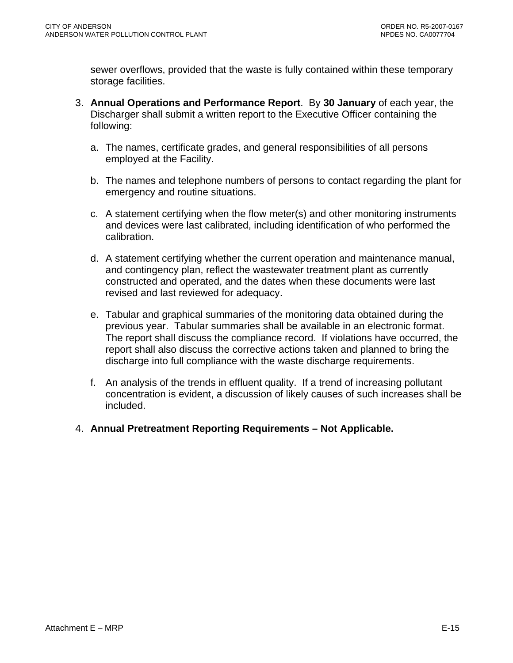sewer overflows, provided that the waste is fully contained within these temporary storage facilities.

- 3. **Annual Operations and Performance Report**. By **30 January** of each year, the Discharger shall submit a written report to the Executive Officer containing the following:
	- a. The names, certificate grades, and general responsibilities of all persons employed at the Facility.
	- b. The names and telephone numbers of persons to contact regarding the plant for emergency and routine situations.
	- c. A statement certifying when the flow meter(s) and other monitoring instruments and devices were last calibrated, including identification of who performed the calibration.
	- d. A statement certifying whether the current operation and maintenance manual, and contingency plan, reflect the wastewater treatment plant as currently constructed and operated, and the dates when these documents were last revised and last reviewed for adequacy.
	- e. Tabular and graphical summaries of the monitoring data obtained during the previous year. Tabular summaries shall be available in an electronic format. The report shall discuss the compliance record. If violations have occurred, the report shall also discuss the corrective actions taken and planned to bring the discharge into full compliance with the waste discharge requirements.
	- f. An analysis of the trends in effluent quality. If a trend of increasing pollutant concentration is evident, a discussion of likely causes of such increases shall be included.
- 4. **Annual Pretreatment Reporting Requirements Not Applicable.**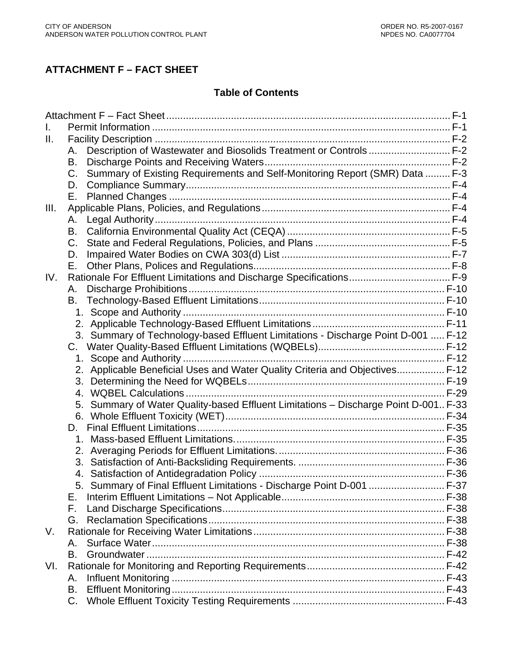# **ATTACHMENT F – FACT SHEET**

#### **Table of Contents**

| II.  |                                                                                            |  |
|------|--------------------------------------------------------------------------------------------|--|
|      | Description of Wastewater and Biosolids Treatment or Controls F-2<br>Α.                    |  |
|      | B.                                                                                         |  |
|      | Summary of Existing Requirements and Self-Monitoring Report (SMR) Data  F-3<br>$C_{\cdot}$ |  |
|      | D.                                                                                         |  |
|      | Е.                                                                                         |  |
| III. |                                                                                            |  |
|      | А.                                                                                         |  |
|      | B.                                                                                         |  |
|      | $C_{1}$                                                                                    |  |
|      | D.                                                                                         |  |
|      | Е.                                                                                         |  |
| IV.  |                                                                                            |  |
|      | Α.                                                                                         |  |
|      | В.                                                                                         |  |
|      |                                                                                            |  |
|      |                                                                                            |  |
|      | 3. Summary of Technology-based Effluent Limitations - Discharge Point D-001  F-12          |  |
|      | C.                                                                                         |  |
|      |                                                                                            |  |
|      | 2. Applicable Beneficial Uses and Water Quality Criteria and Objectives F-12               |  |
|      |                                                                                            |  |
|      |                                                                                            |  |
|      | Summary of Water Quality-based Effluent Limitations - Discharge Point D-001 F-33<br>5.     |  |
|      |                                                                                            |  |
|      | D.                                                                                         |  |
|      |                                                                                            |  |
|      |                                                                                            |  |
|      |                                                                                            |  |
|      |                                                                                            |  |
|      | 5. Summary of Final Effluent Limitations - Discharge Point D-001  F-37                     |  |
|      | Е.                                                                                         |  |
|      | F.                                                                                         |  |
|      | G.                                                                                         |  |
| V.   |                                                                                            |  |
|      | Α.                                                                                         |  |
|      | В.                                                                                         |  |
| VI.  |                                                                                            |  |
|      | А.                                                                                         |  |
|      | В.                                                                                         |  |
|      | C.                                                                                         |  |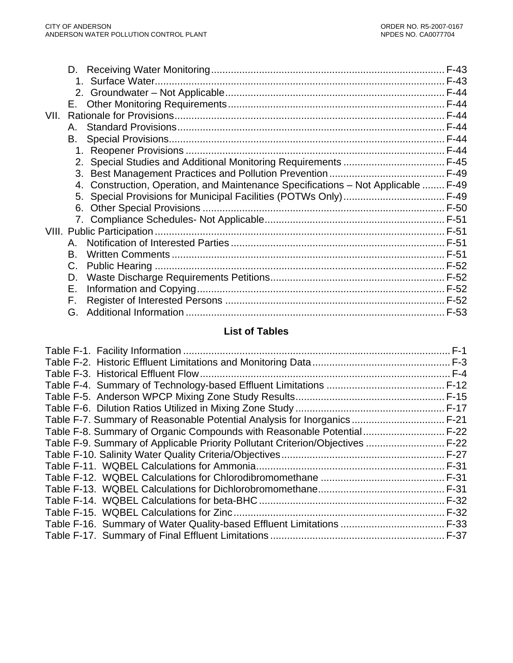| VII. |    |                                                                                   |  |
|------|----|-----------------------------------------------------------------------------------|--|
|      | Α. |                                                                                   |  |
|      | В. |                                                                                   |  |
|      |    |                                                                                   |  |
|      |    |                                                                                   |  |
|      |    |                                                                                   |  |
|      |    | 4. Construction, Operation, and Maintenance Specifications - Not Applicable  F-49 |  |
|      |    |                                                                                   |  |
|      |    |                                                                                   |  |
|      |    |                                                                                   |  |
|      |    |                                                                                   |  |
|      | Α. |                                                                                   |  |
|      | В. |                                                                                   |  |
|      | C. |                                                                                   |  |
|      | D. |                                                                                   |  |
|      | Е. |                                                                                   |  |
|      | F. |                                                                                   |  |
|      | G. |                                                                                   |  |

# **List of Tables**

|                                                                                | $F-17$ |
|--------------------------------------------------------------------------------|--------|
| Table F-7. Summary of Reasonable Potential Analysis for Inorganics             | $F-21$ |
| Table F-8. Summary of Organic Compounds with Reasonable Potential F-22         |        |
| Table F-9. Summary of Applicable Priority Pollutant Criterion/Objectives  F-22 |        |
|                                                                                |        |
|                                                                                | F-31   |
|                                                                                |        |
|                                                                                |        |
|                                                                                |        |
|                                                                                |        |
|                                                                                |        |
|                                                                                |        |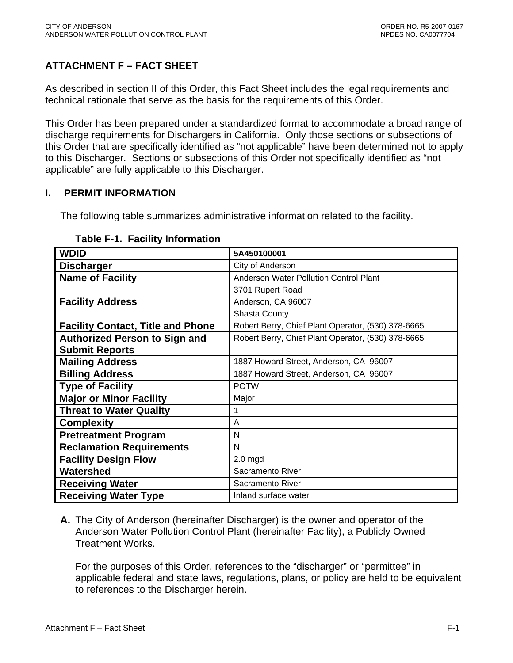# <span id="page-63-0"></span>**ATTACHMENT F – FACT SHEET**

As described in section II of this Order, this Fact Sheet includes the legal requirements and technical rationale that serve as the basis for the requirements of this Order.

This Order has been prepared under a standardized format to accommodate a broad range of discharge requirements for Dischargers in California. Only those sections or subsections of this Order that are specifically identified as "not applicable" have been determined not to apply to this Discharger. Sections or subsections of this Order not specifically identified as "not applicable" are fully applicable to this Discharger.

#### **I. PERMIT INFORMATION**

The following table summarizes administrative information related to the facility.

| <b>WDID</b>                              | 5A450100001                                        |
|------------------------------------------|----------------------------------------------------|
| <b>Discharger</b>                        | City of Anderson                                   |
| <b>Name of Facility</b>                  | Anderson Water Pollution Control Plant             |
|                                          | 3701 Rupert Road                                   |
| <b>Facility Address</b>                  | Anderson, CA 96007                                 |
|                                          | Shasta County                                      |
| <b>Facility Contact, Title and Phone</b> | Robert Berry, Chief Plant Operator, (530) 378-6665 |
| <b>Authorized Person to Sign and</b>     | Robert Berry, Chief Plant Operator, (530) 378-6665 |
| <b>Submit Reports</b>                    |                                                    |
| <b>Mailing Address</b>                   | 1887 Howard Street, Anderson, CA 96007             |
| <b>Billing Address</b>                   | 1887 Howard Street, Anderson, CA 96007             |
| <b>Type of Facility</b>                  | <b>POTW</b>                                        |
| <b>Major or Minor Facility</b>           | Major                                              |
| <b>Threat to Water Quality</b>           | 1                                                  |
| <b>Complexity</b>                        | A                                                  |
| <b>Pretreatment Program</b>              | N                                                  |
| <b>Reclamation Requirements</b>          | N                                                  |
| <b>Facility Design Flow</b>              | $2.0$ mgd                                          |
| Watershed                                | Sacramento River                                   |
| <b>Receiving Water</b>                   | Sacramento River                                   |
| <b>Receiving Water Type</b>              | Inland surface water                               |

#### **Table F-1. Facility Information**

**A.** The City of Anderson (hereinafter Discharger) is the owner and operator of the Anderson Water Pollution Control Plant (hereinafter Facility), a Publicly Owned Treatment Works.

For the purposes of this Order, references to the "discharger" or "permittee" in applicable federal and state laws, regulations, plans, or policy are held to be equivalent to references to the Discharger herein.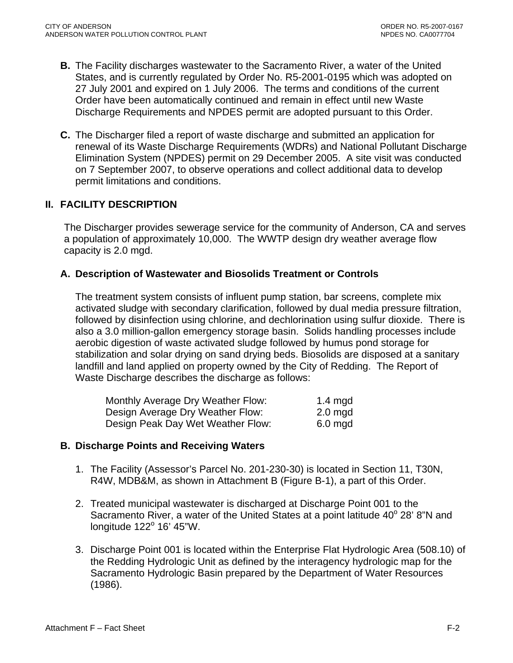- <span id="page-64-0"></span>**B.** The Facility discharges wastewater to the Sacramento River, a water of the United States, and is currently regulated by Order No. R5-2001-0195 which was adopted on 27 July 2001 and expired on 1 July 2006. The terms and conditions of the current Order have been automatically continued and remain in effect until new Waste Discharge Requirements and NPDES permit are adopted pursuant to this Order.
- **C.** The Discharger filed a report of waste discharge and submitted an application for renewal of its Waste Discharge Requirements (WDRs) and National Pollutant Discharge Elimination System (NPDES) permit on 29 December 2005. A site visit was conducted on 7 September 2007, to observe operations and collect additional data to develop permit limitations and conditions.

### **II. FACILITY DESCRIPTION**

The Discharger provides sewerage service for the community of Anderson, CA and serves a population of approximately 10,000. The WWTP design dry weather average flow capacity is 2.0 mgd.

#### **A. Description of Wastewater and Biosolids Treatment or Controls**

The treatment system consists of influent pump station, bar screens, complete mix activated sludge with secondary clarification, followed by dual media pressure filtration, followed by disinfection using chlorine, and dechlorination using sulfur dioxide. There is also a 3.0 million-gallon emergency storage basin. Solids handling processes include aerobic digestion of waste activated sludge followed by humus pond storage for stabilization and solar drying on sand drying beds. Biosolids are disposed at a sanitary landfill and land applied on property owned by the City of Redding. The Report of Waste Discharge describes the discharge as follows:

| Monthly Average Dry Weather Flow: | 1.4 mgd           |
|-----------------------------------|-------------------|
| Design Average Dry Weather Flow:  | $2.0 \text{ mgd}$ |
| Design Peak Day Wet Weather Flow: | $6.0$ mgd         |

#### **B. Discharge Points and Receiving Waters**

- 1. The Facility (Assessor's Parcel No. 201-230-30) is located in Section 11, T30N, R4W, MDB&M, as shown in Attachment B (Figure B-1), a part of this Order.
- 2. Treated municipal wastewater is discharged at Discharge Point 001 to the Sacramento River, a water of the United States at a point latitude 40° 28' 8"N and longitude 122° 16' 45"W.
- 3. Discharge Point 001 is located within the Enterprise Flat Hydrologic Area (508.10) of the Redding Hydrologic Unit as defined by the interagency hydrologic map for the Sacramento Hydrologic Basin prepared by the Department of Water Resources (1986).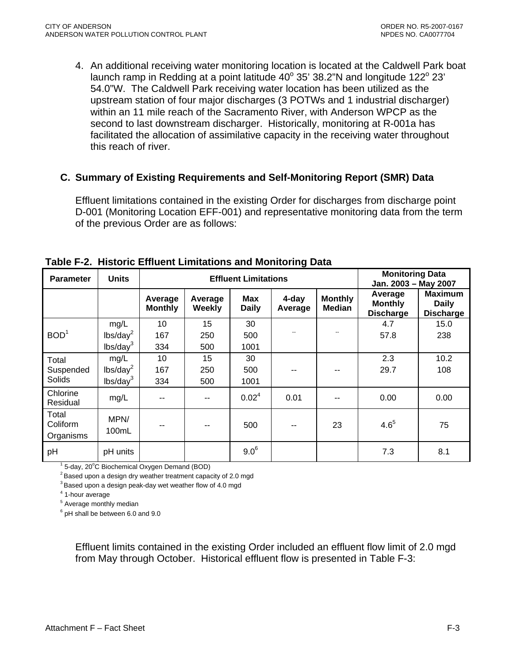<span id="page-65-0"></span>4. An additional receiving water monitoring location is located at the Caldwell Park boat launch ramp in Redding at a point latitude  $40^{\circ}$  35' 38.2"N and longitude 122 $^{\circ}$  23' 54.0"W. The Caldwell Park receiving water location has been utilized as the upstream station of four major discharges (3 POTWs and 1 industrial discharger) within an 11 mile reach of the Sacramento River, with Anderson WPCP as the second to last downstream discharger. Historically, monitoring at R-001a has facilitated the allocation of assimilative capacity in the receiving water throughout this reach of river.

#### **C. Summary of Existing Requirements and Self-Monitoring Report (SMR) Data**

Effluent limitations contained in the existing Order for discharges from discharge point D-001 (Monitoring Location EFF-001) and representative monitoring data from the term of the previous Order are as follows:

| <b>Parameter</b>               | <b>Units</b>         | <b>Effluent Limitations</b> |                   |                     |                  | <b>Monitoring Data</b><br>Jan. 2003 - May 2007 |                                               |                                                    |
|--------------------------------|----------------------|-----------------------------|-------------------|---------------------|------------------|------------------------------------------------|-----------------------------------------------|----------------------------------------------------|
|                                |                      | Average<br><b>Monthly</b>   | Average<br>Weekly | Max<br><b>Daily</b> | 4-day<br>Average | <b>Monthly</b><br><b>Median</b>                | Average<br><b>Monthly</b><br><b>Discharge</b> | <b>Maximum</b><br><b>Daily</b><br><b>Discharge</b> |
|                                | mg/L                 | 10                          | 15                | 30                  |                  |                                                | 4.7                                           | 15.0                                               |
| BOD <sup>1</sup>               | lbs/day <sup>2</sup> | 167                         | 250               | 500                 |                  |                                                | 57.8                                          | 238                                                |
|                                | lbs/day <sup>3</sup> | 334                         | 500               | 1001                |                  |                                                |                                               |                                                    |
| Total<br>Suspended<br>Solids   | mg/L                 | 10                          | 15                | 30                  |                  |                                                | 2.3                                           | 10.2                                               |
|                                | lbs/day <sup>2</sup> | 167                         | 250               | 500                 |                  |                                                | 29.7                                          | 108                                                |
|                                | lbs/day <sup>3</sup> | 334                         | 500               | 1001                |                  |                                                |                                               |                                                    |
| Chlorine<br>Residual           | mg/L                 |                             |                   | 0.02 <sup>4</sup>   | 0.01             |                                                | 0.00                                          | 0.00                                               |
| Total<br>Coliform<br>Organisms | MPN/<br>100mL        | --                          |                   | 500                 |                  | 23                                             | $4.6^{5}$                                     | 75                                                 |
| pH                             | pH units             |                             |                   | $9.0^6$             |                  |                                                | 7.3                                           | 8.1                                                |

**Table F-2. Historic Effluent Limitations and Monitoring Data** 

 $<sup>1</sup>$  5-day, 20 $<sup>0</sup>$ </sup></sup>

 $2$  Based upon a design dry weather treatment capacity of 2.0 mgd

 $3$  Based upon a design peak-day wet weather flow of 4.0 mgd

<sup>4</sup> 1-hour average

<sup>5</sup> Average monthly median

 $6$  pH shall be between 6.0 and 9.0

Effluent limits contained in the existing Order included an effluent flow limit of 2.0 mgd from May through October. Historical effluent flow is presented in Table F-3: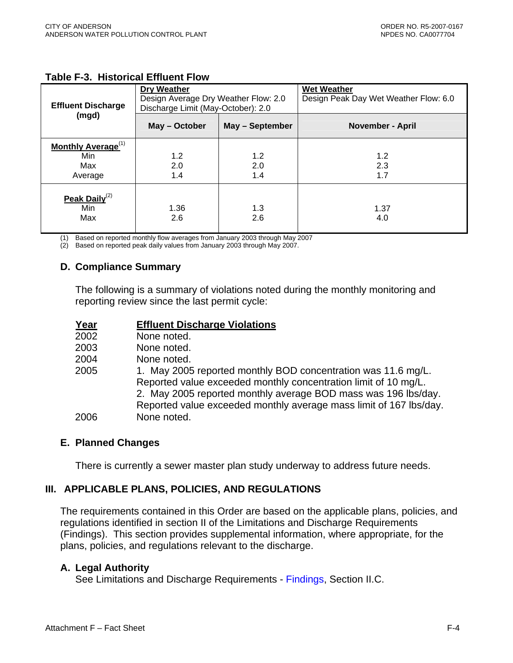| <b>Effluent Discharge</b>                                      | <b>Dry Weather</b><br>Design Average Dry Weather Flow: 2.0<br>Discharge Limit (May-October): 2.0 |                   | <b>Wet Weather</b><br>Design Peak Day Wet Weather Flow: 6.0 |
|----------------------------------------------------------------|--------------------------------------------------------------------------------------------------|-------------------|-------------------------------------------------------------|
| (mgd)                                                          | May - October                                                                                    | May - September   | <b>November - April</b>                                     |
| <b>Monthly Average</b> <sup>(1)</sup><br>Min<br>Max<br>Average | 1.2<br>2.0<br>1.4                                                                                | 1.2<br>2.0<br>1.4 | 1.2<br>2.3<br>1.7                                           |
| <b>Peak Daily</b> <sup>(2)</sup><br>Min<br>Max                 | 1.36<br>2.6                                                                                      | 1.3<br>2.6        | 1.37<br>4.0                                                 |

#### <span id="page-66-0"></span>**Table F-3. Historical Effluent Flow**

(1) Based on reported monthly flow averages from January 2003 through May 2007

(2) Based on reported peak daily values from January 2003 through May 2007.

### **D. Compliance Summary**

The following is a summary of violations noted during the monthly monitoring and reporting review since the last permit cycle:

| Year | <b>Effluent Discharge Violations</b>                               |
|------|--------------------------------------------------------------------|
| 2002 | None noted.                                                        |
| 2003 | None noted.                                                        |
| 2004 | None noted.                                                        |
| 2005 | 1. May 2005 reported monthly BOD concentration was 11.6 mg/L.      |
|      | Reported value exceeded monthly concentration limit of 10 mg/L.    |
|      | 2. May 2005 reported monthly average BOD mass was 196 lbs/day.     |
|      | Reported value exceeded monthly average mass limit of 167 lbs/day. |
| 2006 | None noted.                                                        |

#### **E. Planned Changes**

There is currently a sewer master plan study underway to address future needs.

### **III. APPLICABLE PLANS, POLICIES, AND REGULATIONS**

The requirements contained in this Order are based on the applicable plans, policies, and regulations identified in section II of the Limitations and Discharge Requirements ([Findings](#page-2-0)). This section provides supplemental information, where appropriate, for the plans, policies, and regulations relevant to the discharge.

#### **A. Legal Authority**

See Limitations and Discharge Requirements - [Findings, Section II.C.](#page-3-0)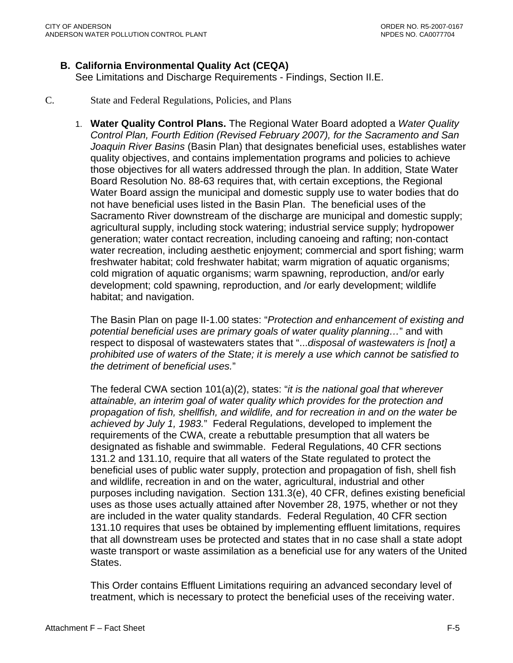### <span id="page-67-0"></span>**B. California Environmental Quality Act (CEQA)**

See Limitations and Discharge Requirements - [Findings, Section II.E.](#page-3-0)

#### C. State and Federal Regulations, Policies, and Plans

1. **Water Quality Control Plans.** The Regional Water Board adopted a *Water Quality Control Plan, Fourth Edition (Revised February 2007), for the Sacramento and San Joaquin River Basins* (Basin Plan) that designates beneficial uses, establishes water quality objectives, and contains implementation programs and policies to achieve those objectives for all waters addressed through the plan. In addition, State Water Board Resolution No. 88-63 requires that, with certain exceptions, the Regional Water Board assign the municipal and domestic supply use to water bodies that do not have beneficial uses listed in the Basin Plan. The beneficial uses of the Sacramento River downstream of the discharge are municipal and domestic supply; agricultural supply, including stock watering; industrial service supply; hydropower generation; water contact recreation, including canoeing and rafting; non-contact water recreation, including aesthetic enjoyment; commercial and sport fishing; warm freshwater habitat; cold freshwater habitat; warm migration of aquatic organisms; cold migration of aquatic organisms; warm spawning, reproduction, and/or early development; cold spawning, reproduction, and /or early development; wildlife habitat; and navigation.

The Basin Plan on page II-1.00 states: "*Protection and enhancement of existing and potential beneficial uses are primary goals of water quality planning…*" and with respect to disposal of wastewaters states that "...*disposal of wastewaters is [not] a prohibited use of waters of the State; it is merely a use which cannot be satisfied to the detriment of beneficial uses.*"

The federal CWA section 101(a)(2), states: "*it is the national goal that wherever attainable, an interim goal of water quality which provides for the protection and propagation of fish, shellfish, and wildlife, and for recreation in and on the water be achieved by July 1, 1983.*" Federal Regulations, developed to implement the requirements of the CWA, create a rebuttable presumption that all waters be designated as fishable and swimmable. Federal Regulations, 40 CFR sections 131.2 and 131.10, require that all waters of the State regulated to protect the beneficial uses of public water supply, protection and propagation of fish, shell fish and wildlife, recreation in and on the water, agricultural, industrial and other purposes including navigation. Section 131.3(e), 40 CFR, defines existing beneficial uses as those uses actually attained after November 28, 1975, whether or not they are included in the water quality standards. Federal Regulation, 40 CFR section 131.10 requires that uses be obtained by implementing effluent limitations, requires that all downstream uses be protected and states that in no case shall a state adopt waste transport or waste assimilation as a beneficial use for any waters of the United States.

This Order contains Effluent Limitations requiring an advanced secondary level of treatment, which is necessary to protect the beneficial uses of the receiving water.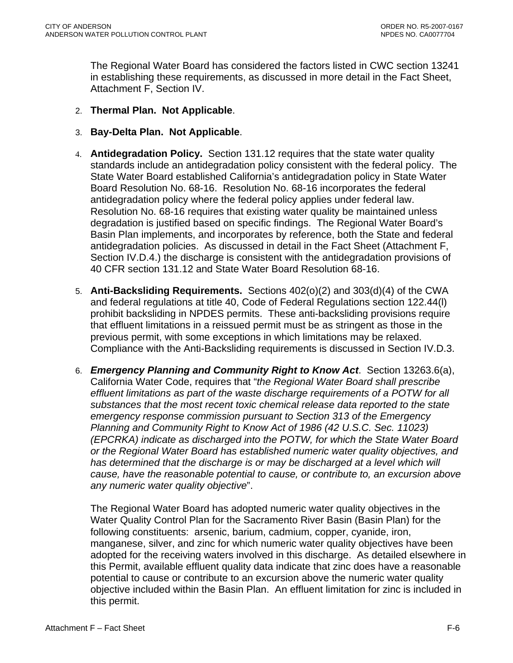The Regional Water Board has considered the factors listed in CWC section 13241 in establishing these requirements, as discussed in more detail in the Fact Sheet, Attachment F, Section IV.

- 2. **Thermal Plan. Not Applicable**.
- 3. **Bay-Delta Plan. Not Applicable**.
- 4. **Antidegradation Policy.** Section 131.12 requires that the state water quality standards include an antidegradation policy consistent with the federal policy. The State Water Board established California's antidegradation policy in State Water Board Resolution No. 68-16. Resolution No. 68-16 incorporates the federal antidegradation policy where the federal policy applies under federal law. Resolution No. 68-16 requires that existing water quality be maintained unless degradation is justified based on specific findings. The Regional Water Board's Basin Plan implements, and incorporates by reference, both the State and federal antidegradation policies. As discussed in detail in the Fact Sheet ([Attachment F,](#page-98-0)  [Section IV.D.4.](#page-98-0)) the discharge is consistent with the antidegradation provisions of 40 CFR section 131.12 and State Water Board Resolution 68-16.
- 5. **Anti-Backsliding Requirements.** Sections 402(o)(2) and 303(d)(4) of the CWA and federal regulations at title 40, Code of Federal Regulations section 122.44(l) prohibit backsliding in NPDES permits. These anti-backsliding provisions require that effluent limitations in a reissued permit must be as stringent as those in the previous permit, with some exceptions in which limitations may be relaxed. Compliance with the Anti-Backsliding requirements is discussed in [Section IV.D.3.](#page-98-0)
- 6. *Emergency Planning and Community Right to Know Act*. Section 13263.6(a), California Water Code, requires that "*the Regional Water Board shall prescribe effluent limitations as part of the waste discharge requirements of a POTW for all substances that the most recent toxic chemical release data reported to the state emergency response commission pursuant to Section 313 of the Emergency Planning and Community Right to Know Act of 1986 (42 U.S.C. Sec. 11023) (EPCRKA) indicate as discharged into the POTW, for which the State Water Board or the Regional Water Board has established numeric water quality objectives, and*  has determined that the discharge is or may be discharged at a level which will *cause, have the reasonable potential to cause, or contribute to, an excursion above any numeric water quality objective*".

The Regional Water Board has adopted numeric water quality objectives in the Water Quality Control Plan for the Sacramento River Basin (Basin Plan) for the following constituents: arsenic, barium, cadmium, copper, cyanide, iron, manganese, silver, and zinc for which numeric water quality objectives have been adopted for the receiving waters involved in this discharge. As detailed elsewhere in this Permit, available effluent quality data indicate that zinc does have a reasonable potential to cause or contribute to an excursion above the numeric water quality objective included within the Basin Plan. An effluent limitation for zinc is included in this permit.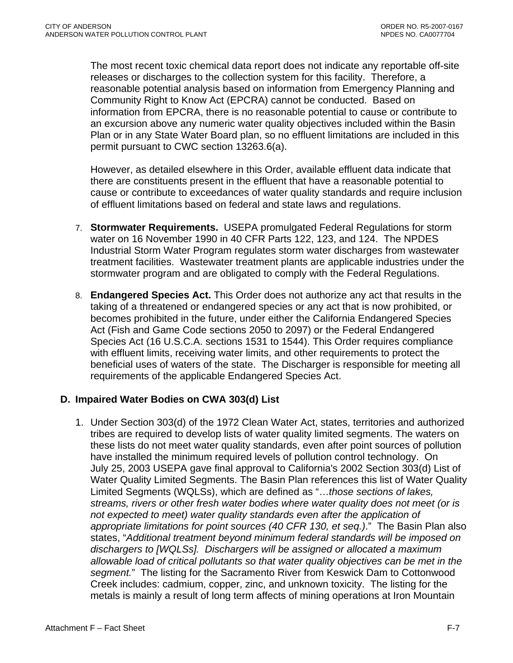<span id="page-69-0"></span>The most recent toxic chemical data report does not indicate any reportable off-site releases or discharges to the collection system for this facility. Therefore, a reasonable potential analysis based on information from Emergency Planning and Community Right to Know Act (EPCRA) cannot be conducted. Based on information from EPCRA, there is no reasonable potential to cause or contribute to an excursion above any numeric water quality objectives included within the Basin Plan or in any State Water Board plan, so no effluent limitations are included in this permit pursuant to CWC section 13263.6(a).

However, as detailed elsewhere in this Order, available effluent data indicate that there are constituents present in the effluent that have a reasonable potential to cause or contribute to exceedances of water quality standards and require inclusion of effluent limitations based on federal and state laws and regulations.

- 7. **Stormwater Requirements.** USEPA promulgated Federal Regulations for storm water on 16 November 1990 in 40 CFR Parts 122, 123, and 124. The NPDES Industrial Storm Water Program regulates storm water discharges from wastewater treatment facilities. Wastewater treatment plants are applicable industries under the stormwater program and are obligated to comply with the Federal Regulations.
- 8. **Endangered Species Act.** This Order does not authorize any act that results in the taking of a threatened or endangered species or any act that is now prohibited, or becomes prohibited in the future, under either the California Endangered Species Act (Fish and Game Code sections 2050 to 2097) or the Federal Endangered Species Act (16 U.S.C.A. sections 1531 to 1544). This Order requires compliance with effluent limits, receiving water limits, and other requirements to protect the beneficial uses of waters of the state. The Discharger is responsible for meeting all requirements of the applicable Endangered Species Act.

#### **D. Impaired Water Bodies on CWA 303(d) List**

1. Under Section 303(d) of the 1972 Clean Water Act, states, territories and authorized tribes are required to develop lists of water quality limited segments. The waters on these lists do not meet water quality standards, even after point sources of pollution have installed the minimum required levels of pollution control technology. On July 25, 2003 USEPA gave final approval to California's 2002 Section 303(d) List of Water Quality Limited Segments. The Basin Plan references this list of Water Quality Limited Segments (WQLSs), which are defined as "…*those sections of lakes, streams, rivers or other fresh water bodies where water quality does not meet (or is not expected to meet) water quality standards even after the application of appropriate limitations for point sources (40 CFR 130, et seq.)*." The Basin Plan also states, "*Additional treatment beyond minimum federal standards will be imposed on dischargers to [WQLSs]. Dischargers will be assigned or allocated a maximum allowable load of critical pollutants so that water quality objectives can be met in the segment.*" The listing for the Sacramento River from Keswick Dam to Cottonwood Creek includes: cadmium, copper, zinc, and unknown toxicity. The listing for the metals is mainly a result of long term affects of mining operations at Iron Mountain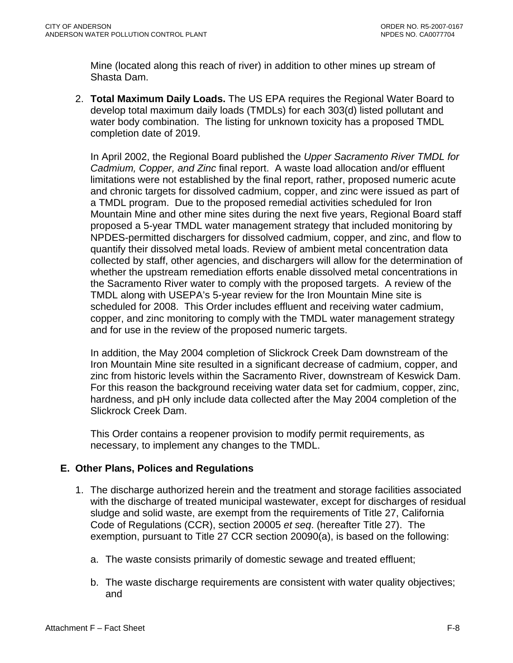<span id="page-70-0"></span>Mine (located along this reach of river) in addition to other mines up stream of Shasta Dam.

2. **Total Maximum Daily Loads.** The US EPA requires the Regional Water Board to develop total maximum daily loads (TMDLs) for each 303(d) listed pollutant and water body combination. The listing for unknown toxicity has a proposed TMDL completion date of 2019.

In April 2002, the Regional Board published the *Upper Sacramento River TMDL for Cadmium, Copper, and Zinc* final report. A waste load allocation and/or effluent limitations were not established by the final report, rather, proposed numeric acute and chronic targets for dissolved cadmium, copper, and zinc were issued as part of a TMDL program. Due to the proposed remedial activities scheduled for Iron Mountain Mine and other mine sites during the next five years, Regional Board staff proposed a 5-year TMDL water management strategy that included monitoring by NPDES-permitted dischargers for dissolved cadmium, copper, and zinc, and flow to quantify their dissolved metal loads. Review of ambient metal concentration data collected by staff, other agencies, and dischargers will allow for the determination of whether the upstream remediation efforts enable dissolved metal concentrations in the Sacramento River water to comply with the proposed targets. A review of the TMDL along with USEPA's 5-year review for the Iron Mountain Mine site is scheduled for 2008. This Order includes effluent and receiving water cadmium, copper, and zinc monitoring to comply with the TMDL water management strategy and for use in the review of the proposed numeric targets.

In addition, the May 2004 completion of Slickrock Creek Dam downstream of the Iron Mountain Mine site resulted in a significant decrease of cadmium, copper, and zinc from historic levels within the Sacramento River, downstream of Keswick Dam. For this reason the background receiving water data set for cadmium, copper, zinc, hardness, and pH only include data collected after the May 2004 completion of the Slickrock Creek Dam.

This Order contains a reopener provision to modify permit requirements, as necessary, to implement any changes to the TMDL.

### **E. Other Plans, Polices and Regulations**

- 1. The discharge authorized herein and the treatment and storage facilities associated with the discharge of treated municipal wastewater, except for discharges of residual sludge and solid waste, are exempt from the requirements of Title 27, California Code of Regulations (CCR), section 20005 *et seq*. (hereafter Title 27). The exemption, pursuant to Title 27 CCR section 20090(a), is based on the following:
	- a. The waste consists primarily of domestic sewage and treated effluent;
	- b. The waste discharge requirements are consistent with water quality objectives; and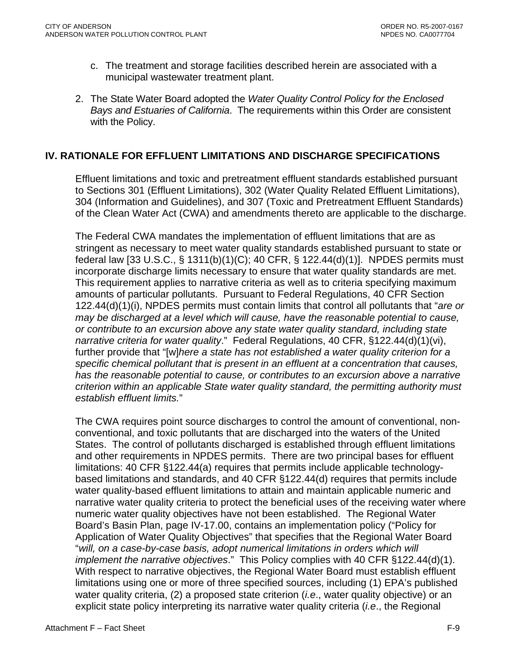- <span id="page-71-0"></span>c. The treatment and storage facilities described herein are associated with a municipal wastewater treatment plant.
- 2. The State Water Board adopted the *Water Quality Control Policy for the Enclosed Bays and Estuaries of California*. The requirements within this Order are consistent with the Policy.

### **IV. RATIONALE FOR EFFLUENT LIMITATIONS AND DISCHARGE SPECIFICATIONS**

Effluent limitations and toxic and pretreatment effluent standards established pursuant to Sections 301 (Effluent Limitations), 302 (Water Quality Related Effluent Limitations), 304 (Information and Guidelines), and 307 (Toxic and Pretreatment Effluent Standards) of the Clean Water Act (CWA) and amendments thereto are applicable to the discharge.

The Federal CWA mandates the implementation of effluent limitations that are as stringent as necessary to meet water quality standards established pursuant to state or federal law [33 U.S.C., § 1311(b)(1)(C); 40 CFR, § 122.44(d)(1)]. NPDES permits must incorporate discharge limits necessary to ensure that water quality standards are met. This requirement applies to narrative criteria as well as to criteria specifying maximum amounts of particular pollutants. Pursuant to Federal Regulations, 40 CFR Section 122.44(d)(1)(i), NPDES permits must contain limits that control all pollutants that "*are or may be discharged at a level which will cause, have the reasonable potential to cause, or contribute to an excursion above any state water quality standard, including state narrative criteria for water quality*." Federal Regulations, 40 CFR, §122.44(d)(1)(vi), further provide that "[w]*here a state has not established a water quality criterion for a specific chemical pollutant that is present in an effluent at a concentration that causes, has the reasonable potential to cause, or contributes to an excursion above a narrative criterion within an applicable State water quality standard, the permitting authority must establish effluent limits.*"

The CWA requires point source discharges to control the amount of conventional, nonconventional, and toxic pollutants that are discharged into the waters of the United States. The control of pollutants discharged is established through effluent limitations and other requirements in NPDES permits. There are two principal bases for effluent limitations: 40 CFR §122.44(a) requires that permits include applicable technologybased limitations and standards, and 40 CFR §122.44(d) requires that permits include water quality-based effluent limitations to attain and maintain applicable numeric and narrative water quality criteria to protect the beneficial uses of the receiving water where numeric water quality objectives have not been established. The Regional Water Board's Basin Plan, page IV-17.00, contains an implementation policy ("Policy for Application of Water Quality Objectives" that specifies that the Regional Water Board "*will, on a case-by-case basis, adopt numerical limitations in orders which will implement the narrative objectives*." This Policy complies with 40 CFR §122.44(d)(1). With respect to narrative objectives, the Regional Water Board must establish effluent limitations using one or more of three specified sources, including (1) EPA's published water quality criteria, (2) a proposed state criterion (*i.e*., water quality objective) or an explicit state policy interpreting its narrative water quality criteria (*i.e*., the Regional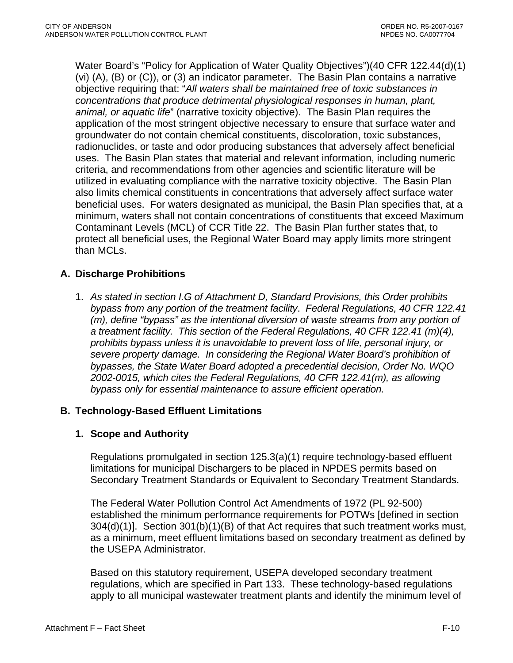Water Board's "Policy for Application of Water Quality Objectives")(40 CFR 122.44(d)(1) (vi) (A), (B) or (C)), or (3) an indicator parameter. The Basin Plan contains a narrative objective requiring that: "*All waters shall be maintained free of toxic substances in concentrations that produce detrimental physiological responses in human, plant, animal, or aquatic life*" (narrative toxicity objective). The Basin Plan requires the application of the most stringent objective necessary to ensure that surface water and groundwater do not contain chemical constituents, discoloration, toxic substances, radionuclides, or taste and odor producing substances that adversely affect beneficial uses. The Basin Plan states that material and relevant information, including numeric criteria, and recommendations from other agencies and scientific literature will be utilized in evaluating compliance with the narrative toxicity objective. The Basin Plan also limits chemical constituents in concentrations that adversely affect surface water beneficial uses. For waters designated as municipal, the Basin Plan specifies that, at a minimum, waters shall not contain concentrations of constituents that exceed Maximum Contaminant Levels (MCL) of CCR Title 22. The Basin Plan further states that, to protect all beneficial uses, the Regional Water Board may apply limits more stringent than MCLs.

## **A. Discharge Prohibitions**

1. *As stated in section I.G of Attachment D, Standard Provisions, this Order prohibits bypass from any portion of the treatment facility*. *Federal Regulations, 40 CFR 122.41 (m), define "bypass" as the intentional diversion of waste streams from any portion of a treatment facility. This section of the Federal Regulations, 40 CFR 122.41 (m)(4), prohibits bypass unless it is unavoidable to prevent loss of life, personal injury, or severe property damage. In considering the Regional Water Board's prohibition of bypasses, the State Water Board adopted a precedential decision, Order No. WQO 2002-0015, which cites the Federal Regulations, 40 CFR 122.41(m), as allowing bypass only for essential maintenance to assure efficient operation.* 

## **B. Technology-Based Effluent Limitations**

## **1. Scope and Authority**

Regulations promulgated in section 125.3(a)(1) require technology-based effluent limitations for municipal Dischargers to be placed in NPDES permits based on Secondary Treatment Standards or Equivalent to Secondary Treatment Standards.

The Federal Water Pollution Control Act Amendments of 1972 (PL 92-500) established the minimum performance requirements for POTWs [defined in section 304(d)(1)]. Section 301(b)(1)(B) of that Act requires that such treatment works must, as a minimum, meet effluent limitations based on secondary treatment as defined by the USEPA Administrator.

Based on this statutory requirement, USEPA developed secondary treatment regulations, which are specified in Part 133. These technology-based regulations apply to all municipal wastewater treatment plants and identify the minimum level of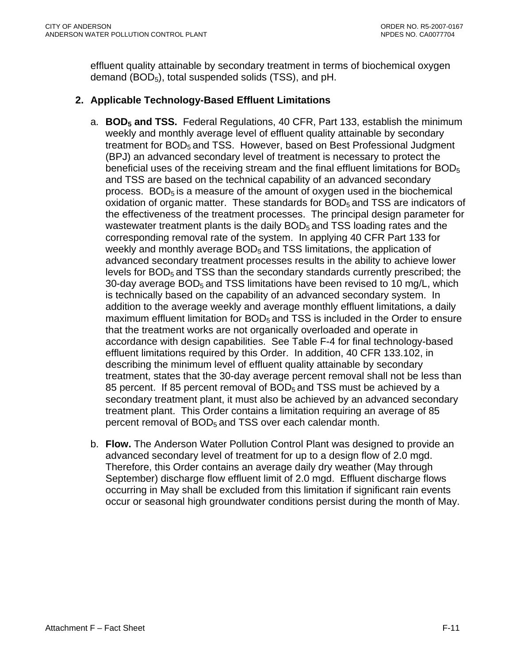effluent quality attainable by secondary treatment in terms of biochemical oxygen demand  $(BOD<sub>5</sub>)$ , total suspended solids (TSS), and pH.

## **2. Applicable Technology-Based Effluent Limitations**

- a. **BOD5 and TSS.** Federal Regulations, 40 CFR, Part 133, establish the minimum weekly and monthly average level of effluent quality attainable by secondary treatment for  $BOD<sub>5</sub>$  and TSS. However, based on Best Professional Judgment (BPJ) an advanced secondary level of treatment is necessary to protect the beneficial uses of the receiving stream and the final effluent limitations for  $BOD<sub>5</sub>$ and TSS are based on the technical capability of an advanced secondary process.  $BOD<sub>5</sub>$  is a measure of the amount of oxygen used in the biochemical oxidation of organic matter. These standards for BOD<sub>5</sub> and TSS are indicators of the effectiveness of the treatment processes. The principal design parameter for wastewater treatment plants is the daily BOD<sub>5</sub> and TSS loading rates and the corresponding removal rate of the system. In applying 40 CFR Part 133 for weekly and monthly average  $BOD<sub>5</sub>$  and TSS limitations, the application of advanced secondary treatment processes results in the ability to achieve lower levels for BOD<sub>5</sub> and TSS than the secondary standards currently prescribed; the 30-day average BOD<sub>5</sub> and TSS limitations have been revised to 10 mg/L, which is technically based on the capability of an advanced secondary system. In addition to the average weekly and average monthly effluent limitations, a daily maximum effluent limitation for  $BOD<sub>5</sub>$  and TSS is included in the Order to ensure that the treatment works are not organically overloaded and operate in accordance with design capabilities. See Table F-4 for final technology-based effluent limitations required by this Order. In addition, 40 CFR 133.102, in describing the minimum level of effluent quality attainable by secondary treatment, states that the 30-day average percent removal shall not be less than 85 percent. If 85 percent removal of  $BOD<sub>5</sub>$  and TSS must be achieved by a secondary treatment plant, it must also be achieved by an advanced secondary treatment plant. This Order contains a limitation requiring an average of 85 percent removal of BOD<sub>5</sub> and TSS over each calendar month.
- b. **Flow.** The Anderson Water Pollution Control Plant was designed to provide an advanced secondary level of treatment for up to a design flow of 2.0 mgd. Therefore, this Order contains an average daily dry weather (May through September) discharge flow effluent limit of 2.0 mgd. Effluent discharge flows occurring in May shall be excluded from this limitation if significant rain events occur or seasonal high groundwater conditions persist during the month of May.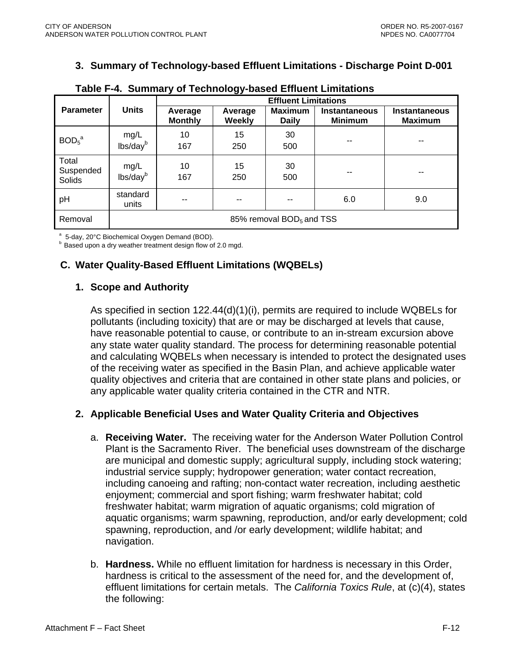## **3. Summary of Technology-based Effluent Limitations - Discharge Point D-001**

|                               |                                      | <b>Effluent Limitations</b> |                   |                                |                                        |                                        |  |
|-------------------------------|--------------------------------------|-----------------------------|-------------------|--------------------------------|----------------------------------------|----------------------------------------|--|
| <b>Parameter</b>              | <b>Units</b>                         | Average<br><b>Monthly</b>   | Average<br>Weekly | <b>Maximum</b><br><b>Daily</b> | <b>Instantaneous</b><br><b>Minimum</b> | <b>Instantaneous</b><br><b>Maximum</b> |  |
| BOD <sub>5</sub> <sup>a</sup> | mg/L<br>lbs/day <sup>b</sup>         | 10<br>167                   | 15<br>250         | 30<br>500                      | --                                     | --                                     |  |
| Total<br>Suspended<br>Solids  | mg/L<br>lbs/dayb                     | 10<br>167                   | 15<br>250         | 30<br>500                      |                                        | --                                     |  |
| pH                            | standard<br>units                    | --                          | $- -$             |                                | 6.0                                    | 9.0                                    |  |
| Removal                       | 85% removal BOD <sub>5</sub> and TSS |                             |                   |                                |                                        |                                        |  |

|  |  |  |  |  | Table F-4. Summary of Technology-based Effluent Limitations |
|--|--|--|--|--|-------------------------------------------------------------|
|--|--|--|--|--|-------------------------------------------------------------|

a

<sup>a</sup> 5-day, 20°C Biochemical Oxygen Demand (BOD).<br><sup>b</sup> Based upon a dry weather treatment design flow of 2.0 mgd.

# **C. Water Quality-Based Effluent Limitations (WQBELs)**

## **1. Scope and Authority**

As specified in section 122.44(d)(1)(i), permits are required to include WQBELs for and calculating WQBELs when necessary is intended to protect the designated uses pollutants (including toxicity) that are or may be discharged at levels that cause, have reasonable potential to cause, or contribute to an in-stream excursion above any state water quality standard. The process for determining reasonable potential of the receiving water as specified in the Basin Plan, and achieve applicable water quality objectives and criteria that are contained in other state plans and policies, or any applicable water quality criteria contained in the CTR and NTR.

## **2. Applicable Beneficial Uses and Water Quality Criteria and Objectives**

- a. **Receiving Water.** The receiving water for the Anderson Water Pollution Control including canoeing and rafting; non-contact water recreation, including aesthetic freshwater habitat; warm migration of aquatic organisms; cold migration of aquatic organisms; warm spawning, reproduction, and/or early development; cold Plant is the Sacramento River. The beneficial uses downstream of the discharge are municipal and domestic supply; agricultural supply, including stock watering; industrial service supply; hydropower generation; water contact recreation, enjoyment; commercial and sport fishing; warm freshwater habitat; cold spawning, reproduction, and /or early development; wildlife habitat; and navigation.
- b. Hardness. While no effluent limitation for hardness is necessary in this Order, effluent limitations for certain metals. The *California Toxics Rule*, at (c)(4), states hardness is critical to the assessment of the need for, and the development of, the following: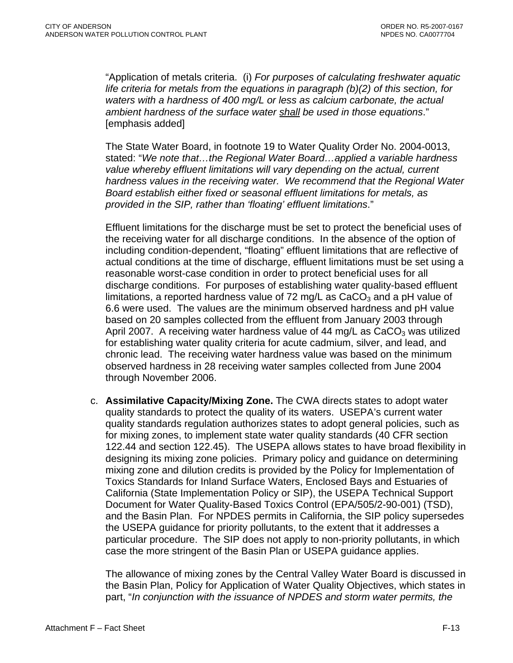"Application of metals criteria. (i) *For purposes of calculating freshwater aquatic life criteria for metals from the equations in paragraph (b)(2) of this section, for waters with a hardness of 400 mg/L or less as calcium carbonate, the actual ambient hardness of the surface water shall be used in those equations*." [emphasis added]

T he State Water Board, in footnote 19 to Water Quality Order No. 2004-0013, stated: "*We note that…the Regional Water Board…applied a variable hardness value whereby effluent limitations will vary depending on the actual, current hardness values in the receiving water. We recommend that the Regional W ater Board establish either fixed or seasonal effluent limitations for metals, as provided in the SIP, rather than 'floating' effluent limitations*."

E ffluent limitations for the discharge must be set to protect the beneficial uses of the receiving water for all discharge conditions. In the absence of the option of including condition-dependent, "floating" effluent limitations that are reflective of actual conditions at the time of discharge, effluent limitations must be set using a reasonable worst-case condition in order to protect beneficial uses for all discharge conditions. For purposes of establishing water quality-based ef fluent limitations, a reported hardness value of 72 mg/L as  $CaCO<sub>3</sub>$  and a pH value of 6.6 were used. The values are the minimum observed hardness and pH value based on 20 samples collected from the effluent from January 2003 through April 2007. A receiving water hardness value of 44 mg/L as  $CaCO<sub>3</sub>$  was utilized for establishing water quality criteria for acute cadmium, silver, and lead, and chronic lead. The receiving water hardness value was based on the minimum observed hardness in 28 receiving water samples collected from June 2004 through November 2006.

c. Assimilative Capacity/Mixing Zone. The CWA directs states to adopt water quality standards regulation authorizes states to adopt general policies, such as and the Basin Plan. For NPDES permits in California, the SIP policy supersedes particular procedure. The SIP does not apply to non-priority pollutants, in which quality standards to protect the quality of its waters. USEPA's current water for mixing zones, to implement state water quality standards (40 CFR section 122.44 and section 122.45). The USEPA allows states to have broad flexibility in designing its mixing zone policies. Primary policy and guidance on determining mixing zone and dilution credits is provided by the Policy for Implementation of Toxics Standards for Inland Surface Waters, Enclosed Bays and Estuaries of California (State Implementation Policy or SIP), the USEPA Technical Support Document for Water Quality-Based Toxics Control (EPA/505/2-90-001) (TSD), the USEPA guidance for priority pollutants, to the extent that it addresses a case the more stringent of the Basin Plan or USEPA guidance applies.

The allowance of mixing zones by the Central Valley Water Board is discussed in the Basin Plan, Policy for Application of Water Quality Objectives, which states in part, "*In conjunction with the issuance of NPDES and storm water permits, the*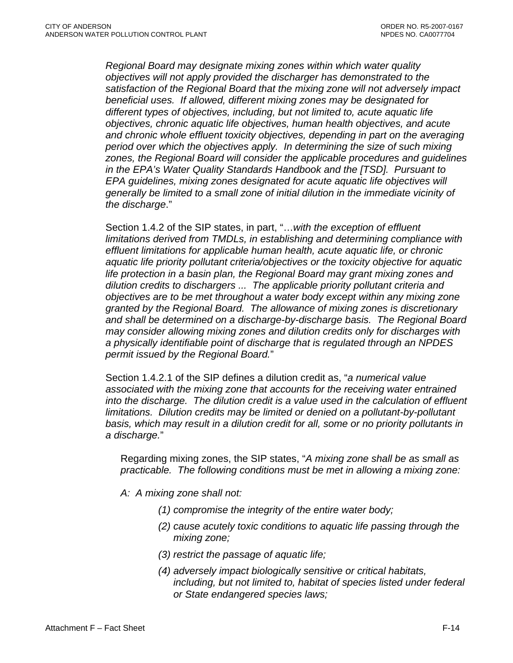satisfaction of the Regional Board that the mixing zone will not adversely impact objectives, chronic aquatic life objectives, human health objectives, and acute and chronic whole effluent toxicity objectives, depending in part on the averaging zones, the Regional Board will consider the applicable procedures and guidelines *f generally be limited to a small zone of initial dilution in the immediate vicinity o Regional Board may designate mixing zones within which water quality objectives will not apply provided the discharger has demonstrated to the beneficial uses. If allowed, different mixing zones may be designated for different types of objectives, including, but not limited to, acute aquatic life period over which the objectives apply. In determining the size of such mixing in the EPA's Water Quality Standards Handbook and the [TSD]. Pursuant to EPA guidelines, mixing zones designated for acute aquatic life objectives will the discharge*."

Section 1.4.2 of the SIP states, in part, "... with the exception of effluent *limitations derived from TMDLs, in establishing and determining compliance with* aquatic life priority pollutant criteria/objectives or the toxicity objective for aquatic objectives are to be met throughout a water body except within any mixing zone *effluent limitations for applicable human health, acute aquatic life, or chronic life protection in a basin plan, the Regional Board may grant mixing zones and dilution credits to dischargers ... The applicable priority pollutant criteria and granted by the Regional Board. The allowance of mixing zones is discretionary and shall be determined on a discharge-by-discharge basis. The Regional Board may consider allowing mixing zones and dilution credits only for discharges with a physically identifiable point of discharge that is regulated through an NPDES permit issued by the Regional Board.*"

Section 1.4.2.1 of the SIP defines a dilution credit as, "a numerical value associated with the mixing zone that accounts for the receiving water entrained into the discharge. The dilution credit is a value used in the calculation of effluent *limitations. Dilution credits may be limited or denied on a pollutant-by-pollutant basis, which may result in a dilution credit for all, some or no priority pollutants in a discharge.*"

Regarding mixing zones, the SIP states, "A mixing zone shall be as small as *practicable. The following conditions must be met in allowing a mixing zone:* 

- *: A mixing zone shall not: A*
	- *integrity of the entire water body; (1) compromise the*
	- (2) cause acutely toxic conditions to aquatic life passing through the *mixing zone;*
	- *ssage of aquatic life; (3) restrict the pa*
	- *(4) adversely impact biologically sensitive or critical habitats, federal including, but not limited to, habitat of species listed under or State endangered species laws;*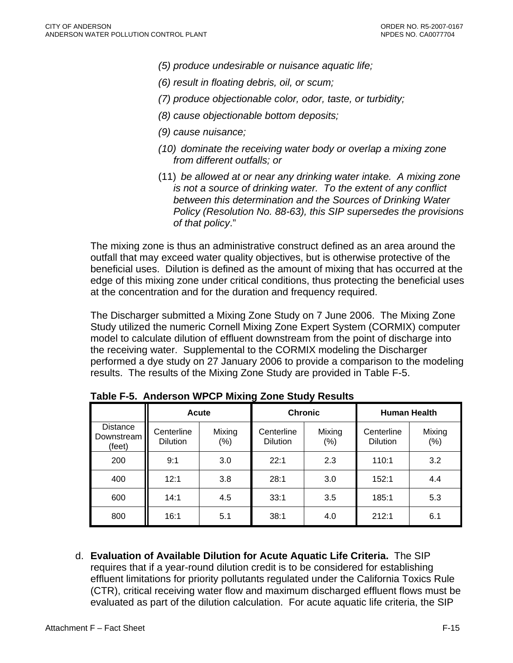- *(5) produce undesirable or nuisance aquatic life;*
- *(6) result in floating debris, oil, or scum;*
- *(7) produce objectionable color, odor, taste, or turbidity;*
- *(8) cause objectionable bottom deposits;*
- *(9) cause nuisance;*
- *(10) dominate the receiving water body or overlap a mixing zone from different outfalls; or*
- (11) *be allowed at or near any drinking water intake. A mixing zone is not a source of drinking water. To the extent of any conflict between this determination and the Sources of Drinking Water Policy (Resolution No. 88-63), this SIP supersedes the provisions of that policy*."

The mixing zone is thus an administrative construct defined as an area around the outfall that may exceed water quality objectives, but is otherwise protective of the beneficial uses. Dilution is defined as the amount of mixing that has occurred at the edge of this mixing zone under critical conditions, thus protecting the beneficial uses at the concentration and for the duration and frequency required.

The Discharger submitted a Mixing Zone Study on 7 June 2006. The Mixing Zone Study utilized the numeric Cornell Mixing Zone Expert System (CORMIX) computer model to calculate dilution of effluent downstream from the point of discharge into the receiving water. Supplemental to the CORMIX modeling the Discharger performed a dye study on 27 January 2006 to provide a comparison to the modeling results. The results of the Mixing Zone Study are provided in Table F-5.

|                                  | <b>Acute</b>                  |                   |                               | <b>Chronic</b>    | <b>Human Health</b>           |               |
|----------------------------------|-------------------------------|-------------------|-------------------------------|-------------------|-------------------------------|---------------|
| Distance<br>Downstream<br>(feet) | Centerline<br><b>Dilution</b> | Mixing<br>$(\% )$ | Centerline<br><b>Dilution</b> | Mixing<br>$(\% )$ | Centerline<br><b>Dilution</b> | Mixing<br>(%) |
| 200                              | 9:1                           | 3.0               | 22:1                          | 2.3               | 110:1                         | 3.2           |
| 400                              | 12:1                          | 3.8               | 28:1                          | 3.0               | 152:1                         | 4.4           |
| 600                              | 14:1                          | 4.5               | 33:1                          | 3.5               | 185:1                         | 5.3           |
| 800                              | 16:1                          | 5.1               | 38:1                          | 4.0               | 212:1                         | 6.1           |

**Table F-5. Anderson WPCP Mixing Zone Study Results** 

d. **Evaluation of Available Dilution for Acute Aquatic Life Criteria.** The SIP requires that if a year-round dilution credit is to be considered for establishing effluent limitations for priority pollutants regulated under the California Toxics Rule (CTR), critical receiving water flow and maximum discharged effluent flows must be evaluated as part of the dilution calculation. For acute aquatic life criteria, the SIP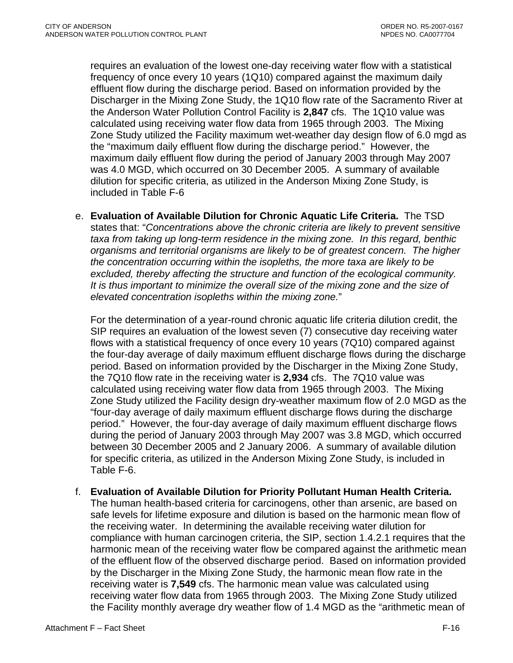requires an evaluation of the lowest one-day receiving water flow with a statistical frequency of once every 10 years (1Q10) compared against the maximum daily effluent flow during the discharge period. Based on information provided by the Discharger in the Mixing Zone Study, the 1Q10 flow rate of the Sacramento River at the Anderson Water Pollution Control Facility is **2,847** cfs. The 1Q10 value was calculated using receiving water flow data from 1965 through 2003. The Mixing Zone Study utilized the Facility maximum wet-weather day design flow of 6.0 mgd as the "maximum daily effluent flow during the discharge period." However, the maximum daily effluent flow during the period of January 2003 through May 2007 was 4.0 MGD, which occurred on 30 December 2005. A summary of available dilution for specific criteria, as utilized in the Anderson Mixing Zone Study, is included in Table F-6

e. **Evaluation of Available Dilution for Chronic Aquatic Life Criteria.** The TSD states that: "*Concentrations above the chronic criteria are likely to prevent sensitive taxa from taking up long-term residence in the mixing zone. In this regard, benthic organisms and territorial organisms are likely to be of greatest concern. The higher the concentration occurring within the isopleths, the more taxa are likely to be excluded, thereby affecting the structure and function of the ecological community. It is thus important to minimize the overall size of the mixing zone and the size of elevated concentration isopleths within the mixing zone.*"

For the determination of a year-round chronic aquatic life criteria dilution credit, the SIP requires an evaluation of the lowest seven (7) consecutive day receiving water flows with a statistical frequency of once every 10 years (7Q10) compared against the four-day average of daily maximum effluent discharge flows during the discharge period. Based on information provided by the Discharger in the Mixing Zone Study, the 7Q10 flow rate in the receiving water is **2,934** cfs. The 7Q10 value was calculated using receiving water flow data from 1965 through 2003. The Mixing Zone Study utilized the Facility design dry-weather maximum flow of 2.0 MGD as the "four-day average of daily maximum effluent discharge flows during the discharge period." However, the four-day average of daily maximum effluent discharge flows during the period of January 2003 through May 2007 was 3.8 MGD, which occurred between 30 December 2005 and 2 January 2006. A summary of available dilution for specific criteria, as utilized in the Anderson Mixing Zone Study, is included in Table F-6.

f. **Evaluation of Available Dilution for Priority Pollutant Human Health Criteria.** The human health-based criteria for carcinogens, other than arsenic, are based on safe levels for lifetime exposure and dilution is based on the harmonic mean flow of the receiving water. In determining the available receiving water dilution for compliance with human carcinogen criteria, the SIP, section 1.4.2.1 requires that the harmonic mean of the receiving water flow be compared against the arithmetic mean of the effluent flow of the observed discharge period. Based on information provided by the Discharger in the Mixing Zone Study, the harmonic mean flow rate in the receiving water is **7,549** cfs. The harmonic mean value was calculated using receiving water flow data from 1965 through 2003. The Mixing Zone Study utilized the Facility monthly average dry weather flow of 1.4 MGD as the "arithmetic mean of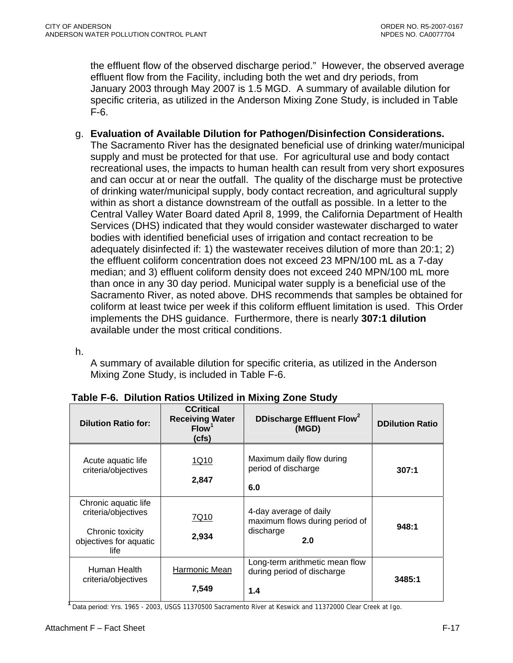the effluent flow of the observed discharge period." However, the observed average effluent flow from the Facility, including both the wet and dry periods, from January 2003 through May 2007 is 1.5 MGD. A summary of available dilution for specific criteria, as utilized in the Anderson Mixing Zone Study, is included in Table F-6.

g. **Evaluation of Available Dilution for Pathogen/Disinfection Considerations.**

The Sacramento River has the designated beneficial use of drinking water/municipal supply and must be protected for that use. For agricultural use and body contact recreational uses, the impacts to human health can result from very short exposures and can occur at or near the outfall. The quality of the discharge must be protective of drinking water/municipal supply, body contact recreation, and agricultural supply within as short a distance downstream of the outfall as possible. In a letter to the Central Valley Water Board dated April 8, 1999, the California Department of Health Services (DHS) indicated that they would consider wastewater discharged to water bodies with identified beneficial uses of irrigation and contact recreation to be adequately disinfected if: 1) the wastewater receives dilution of more than 20:1; 2) the effluent coliform concentration does not exceed 23 MPN/100 mL as a 7-day median; and 3) effluent coliform density does not exceed 240 MPN/100 mL more than once in any 30 day period. Municipal water supply is a beneficial use of the Sacramento River, as noted above. DHS recommends that samples be obtained for coliform at least twice per week if this coliform effluent limitation is used. This Order implements the DHS guidance. Furthermore, there is nearly **307:1 dilution** available under the most critical conditions.

h.

A summary of available dilution for specific criteria, as utilized in the Anderson Mixing Zone Study, is included in Table F-6.

| <b>Dilution Ratio for:</b>                                                                        | <b>CCritical</b><br><b>Receiving Water</b><br>Flow <sup>1</sup><br>(cfs) | DDischarge Effluent Flow <sup>2</sup><br>(MGD)                               | <b>DDilution Ratio</b> |
|---------------------------------------------------------------------------------------------------|--------------------------------------------------------------------------|------------------------------------------------------------------------------|------------------------|
| Acute aquatic life<br>criteria/objectives                                                         | 1Q10<br>2,847                                                            | Maximum daily flow during<br>period of discharge<br>6.0                      | 307:1                  |
| Chronic aquatic life<br>criteria/objectives<br>Chronic toxicity<br>objectives for aquatic<br>life | 7Q10<br>2,934                                                            | 4-day average of daily<br>maximum flows during period of<br>discharge<br>2.0 | 948:1                  |
| Human Health<br>criteria/objectives                                                               | Harmonic Mean<br>7,549                                                   | Long-term arithmetic mean flow<br>during period of discharge<br>1.4          | 3485:1                 |

## **Table F-6. Dilution Ratios Utilized in Mixing Zone Study**

**<sup>1</sup>**Data period: Yrs. 1965 - 2003, USGS 11370500 Sacramento River at Keswick and 11372000 Clear Creek at Igo.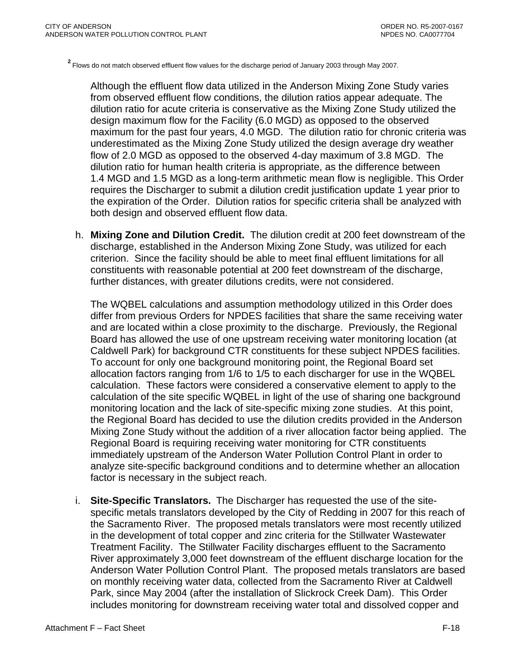**<sup>2</sup>**Flows do not match observed effluent flow values for the discharge period of January 2003 through May 2007.

Although the effluent flow data utilized in the Anderson Mixing Zone Study varies from observed effluent flow conditions, the dilution ratios appear adequate. The dilution ratio for acute criteria is conservative as the Mixing Zone Study utilized the design maximum flow for the Facility (6.0 MGD) as opposed to the observed maximum for the past four years, 4.0 MGD. The dilution ratio for chronic criteria was underestimated as the Mixing Zone Study utilized the design average dry weather flow of 2.0 MGD as opposed to the observed 4-day maximum of 3.8 MGD. The dilution ratio for human health criteria is appropriate, as the difference between 1.4 MGD and 1.5 MGD as a long-term arithmetic mean flow is negligible. This Order requires the Discharger to submit a dilution credit justification update 1 year prior to the expiration of the Order. Dilution ratios for specific criteria shall be analyzed with both design and observed effluent flow data.

h. **Mixing Zone and Dilution Credit.** The dilution credit at 200 feet downstream of the discharge, established in the Anderson Mixing Zone Study, was utilized for each criterion. Since the facility should be able to meet final effluent limitations for all constituents with reasonable potential at 200 feet downstream of the discharge, further distances, with greater dilutions credits, were not considered.

The WQBEL calculations and assumption methodology utilized in this Order does differ from previous Orders for NPDES facilities that share the same receiving water and are located within a close proximity to the discharge. Previously, the Regional Board has allowed the use of one upstream receiving water monitoring location (at Caldwell Park) for background CTR constituents for these subject NPDES facilities. To account for only one background monitoring point, the Regional Board set allocation factors ranging from 1/6 to 1/5 to each discharger for use in the WQBEL calculation. These factors were considered a conservative element to apply to the calculation of the site specific WQBEL in light of the use of sharing one background monitoring location and the lack of site-specific mixing zone studies. At this point, the Regional Board has decided to use the dilution credits provided in the Anderson Mixing Zone Study without the addition of a river allocation factor being applied. The Regional Board is requiring receiving water monitoring for CTR constituents immediately upstream of the Anderson Water Pollution Control Plant in order to analyze site-specific background conditions and to determine whether an allocation factor is necessary in the subject reach.

i. **Site-Specific Translators.** The Discharger has requested the use of the sitespecific metals translators developed by the City of Redding in 2007 for this reach of the Sacramento River. The proposed metals translators were most recently utilized in the development of total copper and zinc criteria for the Stillwater Wastewater Treatment Facility. The Stillwater Facility discharges effluent to the Sacramento River approximately 3,000 feet downstream of the effluent discharge location for the Anderson Water Pollution Control Plant. The proposed metals translators are based on monthly receiving water data, collected from the Sacramento River at Caldwell Park, since May 2004 (after the installation of Slickrock Creek Dam). This Order includes monitoring for downstream receiving water total and dissolved copper and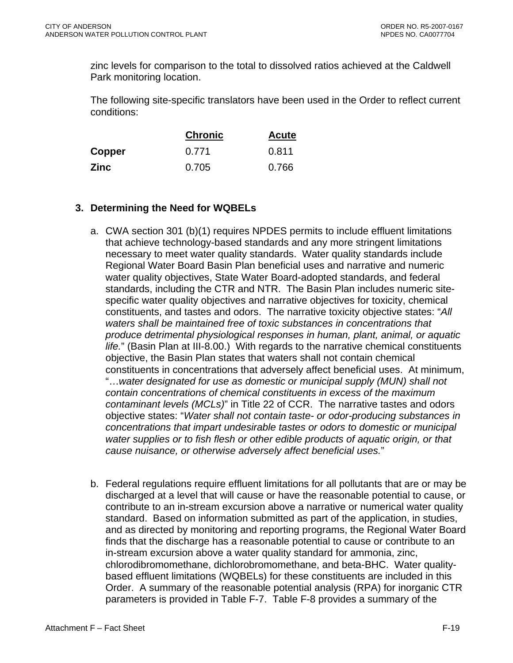zinc levels for comparison to the total to dissolved ratios achieved at the Caldwell Park monitoring location.

The following site-specific translators have been used in the Order to reflect current conditions:

|             | <b>Chronic</b> | <b>Acute</b> |
|-------------|----------------|--------------|
| Copper      | 0.771          | 0.811        |
| <b>Zinc</b> | 0.705          | 0.766        |

## **3. Determining the Need for WQBELs**

- a. CWA section 301 (b)(1) requires NPDES permits to include effluent limitations that achieve technology-based standards and any more stringent limitations necessary to meet water quality standards. Water quality standards include Regional Water Board Basin Plan beneficial uses and narrative and numeric water quality objectives, State Water Board-adopted standards, and federal standards, including the CTR and NTR. The Basin Plan includes numeric sitespecific water quality objectives and narrative objectives for toxicity, chemical constituents, and tastes and odors. The narrative toxicity objective states: "*All waters shall be maintained free of toxic substances in concentrations that produce detrimental physiological responses in human, plant, animal, or aquatic life.*" (Basin Plan at III-8.00.) With regards to the narrative chemical constituents objective, the Basin Plan states that waters shall not contain chemical constituents in concentrations that adversely affect beneficial uses. At minimum, "…*water designated for use as domestic or municipal supply (MUN) shall not contain concentrations of chemical constituents in excess of the maximum contaminant levels (MCLs)*" in Title 22 of CCR. The narrative tastes and odors objective states: "*Water shall not contain taste- or odor-producing substances in concentrations that impart undesirable tastes or odors to domestic or municipal water supplies or to fish flesh or other edible products of aquatic origin, or that cause nuisance, or otherwise adversely affect beneficial uses.*"
- b. Federal regulations require effluent limitations for all pollutants that are or may be discharged at a level that will cause or have the reasonable potential to cause, or contribute to an in-stream excursion above a narrative or numerical water quality standard. Based on information submitted as part of the application, in studies, and as directed by monitoring and reporting programs, the Regional Water Board finds that the discharge has a reasonable potential to cause or contribute to an in-stream excursion above a water quality standard for ammonia, zinc, chlorodibromomethane, dichlorobromomethane, and beta-BHC. Water qualitybased effluent limitations (WQBELs) for these constituents are included in this Order. A summary of the reasonable potential analysis (RPA) for inorganic CTR parameters is provided in Table F-7. Table F-8 provides a summary of the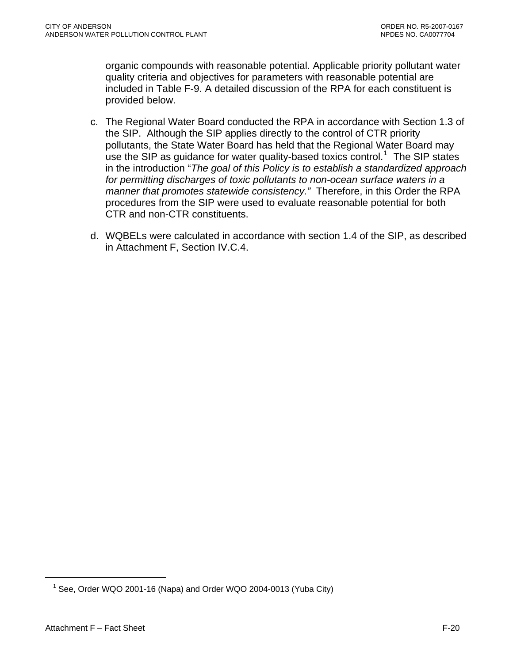organic compounds with reasonable potential. Applicable priority pollutant water quality criteria and objectives for parameters with reasonable potential are included in Table F-9. A detailed discussion of the RPA for each constituent is provided below.

- c. The Regional Water Board conducted the RPA in accordance with Section 1.3 of the SIP. Although the SIP applies directly to the control of CTR priority pollutants, the State Water Board has held that the Regional Water Board may use the SIP as guidance for water quality-based toxics control.<sup>[1](#page-83-0)</sup> The SIP states in the introduction "*The goal of this Policy is to establish a standardized approach for permitting discharges of toxic pollutants to non-ocean surface waters in a manner that promotes statewide consistency."* Therefore, in this Order the RPA procedures from the SIP were used to evaluate reasonable potential for both CTR and non-CTR constituents.
- d. WQBELs were calculated in accordance with section 1.4 of the SIP, as described in [Attachment F, Section IV.C.4.](#page-91-0)

<sup>&</sup>lt;sup>1</sup> See, Order WQO 2001-16 (Napa) and Order WQO 2004-0013 (Yuba City)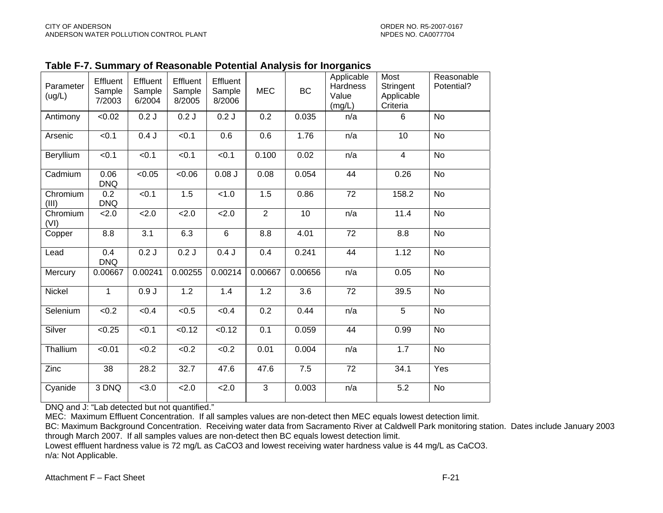|  | Table F-7. Summary of Reasonable Potential Analysis for Inorganics |
|--|--------------------------------------------------------------------|
|--|--------------------------------------------------------------------|

| Parameter<br>(ug/L) | Effluent<br>Sample<br>7/2003 | Effluent<br>Sample<br>6/2004 | Effluent<br>Sample<br>8/2005 | Effluent<br>Sample<br>8/2006 | <b>MEC</b>       | <b>BC</b>        | Applicable<br><b>Hardness</b><br>Value<br>(mg/L) | Most<br>Stringent<br>Applicable<br>Criteria | Reasonable<br>Potential? |
|---------------------|------------------------------|------------------------------|------------------------------|------------------------------|------------------|------------------|--------------------------------------------------|---------------------------------------------|--------------------------|
| Antimony            | <0.02                        | 0.2J                         | 0.2J                         | 0.2J                         | 0.2              | 0.035            | n/a                                              | 6                                           | <b>No</b>                |
| Arsenic             | < 0.1                        | 0.4J                         | < 0.1                        | 0.6                          | 0.6              | 1.76             | n/a                                              | 10                                          | <b>No</b>                |
| Beryllium           | $\overline{50.1}$            | < 0.1                        | < 0.1                        | < 0.1                        | 0.100            | 0.02             | n/a                                              | $\overline{4}$                              | <b>No</b>                |
| Cadmium             | 0.06<br><b>DNQ</b>           | < 0.05                       | <0.06                        | $0.08$ J                     | 0.08             | 0.054            | $\overline{44}$                                  | 0.26                                        | $\overline{N}$           |
| Chromium<br>(III)   | 0.2<br><b>DNQ</b>            | < 0.1                        | 1.5                          | $\overline{$ -1.0            | 1.5              | 0.86             | $\overline{72}$                                  | 158.2                                       | $\overline{N}$           |
| Chromium<br>(VI)    | 2.0                          | 2.0                          | 2.0                          | $\overline{2.0}$             | $\overline{2}$   | $\overline{10}$  | n/a                                              | 11.4                                        | $\overline{N}$           |
| Copper              | 8.8                          | $\overline{3.1}$             | 6.3                          | $\overline{6}$               | 8.8              | 4.01             | $\overline{72}$                                  | $\overline{8.8}$                            | $\overline{N}$           |
| Lead                | 0.4<br><b>DNQ</b>            | 0.2J                         | 0.2J                         | 0.4J                         | 0.4              | 0.241            | $\overline{44}$                                  | 1.12                                        | <b>No</b>                |
| Mercury             | 0.00667                      | 0.00241                      | 0.00255                      | 0.00214                      | 0.00667          | 0.00656          | n/a                                              | 0.05                                        | <b>No</b>                |
| Nickel              | $\overline{1}$               | 0.9J                         | 1.2                          | 1.4                          | 1.2              | $\overline{3.6}$ | $\overline{72}$                                  | 39.5                                        | <b>No</b>                |
| Selenium            | < 0.2                        | < 0.4                        | $\sqrt{6.5}$                 | < 0.4                        | $\overline{0.2}$ | 0.44             | n/a                                              | $\overline{5}$                              | <b>No</b>                |
| Silver              | < 0.25                       | < 0.1                        | < 0.12                       | < 0.12                       | 0.1              | 0.059            | 44                                               | 0.99                                        | <b>No</b>                |
| Thallium            | $\sqrt{0.01}$                | $\sqrt{0.2}$                 | $\sqrt{6.2}$                 | <0.2                         | 0.01             | 0.004            | n/a                                              | 1.7                                         | No                       |
| Zinc                | 38                           | 28.2                         | 32.7                         | 47.6                         | 47.6             | 7.5              | $\overline{72}$                                  | 34.1                                        | Yes                      |
| Cyanide             | 3 DNQ                        | < 3.0                        | 2.0                          | 2.0                          | 3                | 0.003            | n/a                                              | 5.2                                         | <b>No</b>                |

DNQ and J: "Lab detected but not quantified."

MEC: Maximum Effluent Concentration. If all samples values are non-detect then MEC equals lowest detection limit.

BC: Maximum Background Concentration. Receiving water data from Sacramento River at Caldwell Park monitoring station. Dates include January 2003 through March 2007. If all samples values are non-detect then BC equals lowest detection limit.

<span id="page-83-0"></span>Lowest effluent hardness value is 72 mg/L as CaCO3 and lowest receiving water hardness value is 44 mg/L as CaCO3. n/a: Not Applicable.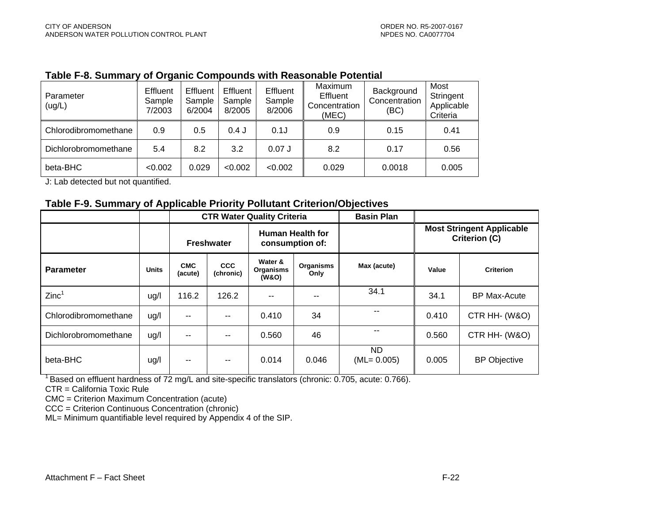#### **Table F-8. Summary of Organic Compounds with Reasonable Potential**

| Parameter<br>(ug/L)  | Effluent<br>Sample<br>7/2003 | Effluent<br>Sample<br>6/2004 | Effluent<br>Sample<br>8/2005 | Effluent<br>Sample<br>8/2006 | Maximum<br><b>Effluent</b><br>Concentration<br>(MEC) | Background<br>Concentration<br>(BC) | Most<br>Stringent<br>Applicable<br>Criteria |
|----------------------|------------------------------|------------------------------|------------------------------|------------------------------|------------------------------------------------------|-------------------------------------|---------------------------------------------|
| Chlorodibromomethane | 0.9                          | 0.5                          | $0.4$ J                      | 0.1J                         | 0.9                                                  | 0.15                                | 0.41                                        |
| Dichlorobromomethane | 5.4                          | 8.2                          | 3.2                          | $0.07$ J                     | 8.2                                                  | 0.17                                | 0.56                                        |
| beta-BHC             | < 0.002                      | 0.029                        | < 0.002                      | < 0.002                      | 0.029                                                | 0.0018                              | 0.005                                       |

J: Lab detected but not quantified.

#### **Table F-9. Summary of Applicable Priority Pollutant Criterion/Objectives**

|                      |              |                       |                         | <b>CTR Water Quality Criteria</b>   |                          | <b>Basin Plan</b>     |                                                          |                     |
|----------------------|--------------|-----------------------|-------------------------|-------------------------------------|--------------------------|-----------------------|----------------------------------------------------------|---------------------|
|                      |              | <b>Freshwater</b>     |                         | Human Health for<br>consumption of: |                          |                       | <b>Most Stringent Applicable</b><br><b>Criterion (C)</b> |                     |
| <b>Parameter</b>     | <b>Units</b> | <b>CMC</b><br>(acute) | <b>CCC</b><br>(chronic) | Water &<br>Organisms<br>(W&O)       | <b>Organisms</b><br>Only | Max (acute)           | Value                                                    | <b>Criterion</b>    |
| Zinc <sup>1</sup>    | ug/l         | 116.2                 | 126.2                   | $-$                                 | --                       | 34.1                  | 34.1                                                     | <b>BP Max-Acute</b> |
| Chlorodibromomethane | ug/l         | --                    |                         | 0.410                               | 34                       | --                    | 0.410                                                    | CTR HH- (W&O)       |
| Dichlorobromomethane | ug/l         | --                    |                         | 0.560                               | 46                       | --                    | 0.560                                                    | CTR HH- (W&O)       |
| beta-BHC             | ug/l         | --                    | --                      | 0.014                               | 0.046                    | ND.<br>$(ML = 0.005)$ | 0.005                                                    | <b>BP Objective</b> |

<sup>1</sup> Based on effluent hardness of 72 mg/L and site-specific translators (chronic: 0.705, acute: 0.766).

CTR = California Toxic Rule

CMC = Criterion Maximum Concentration (acute)

CCC = Criterion Continuous Concentration (chronic)

ML= Minimum quantifiable level required by Appendix 4 of the SIP.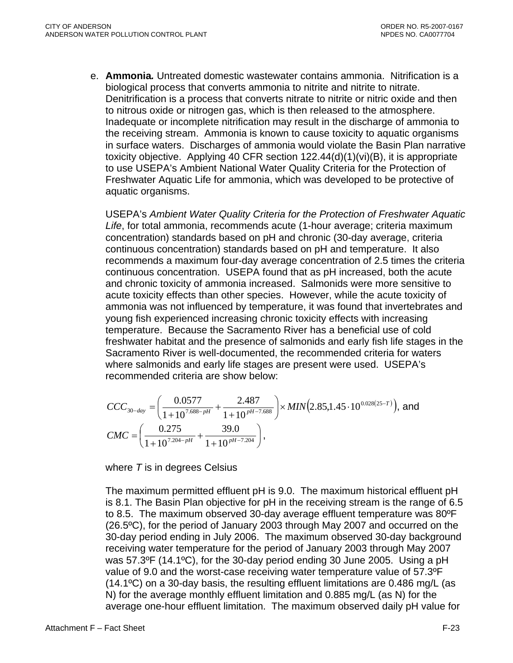e. **Ammonia***.* Untreated domestic wastewater contains ammonia. Nitrification is a biological process that converts ammonia to nitrite and nitrite to nitrate. Denitrification is a process that converts nitrate to nitrite or nitric oxide and then to nitrous oxide or nitrogen gas, which is then released to the atmosphere. Inadequate or incomplete nitrification may result in the discharge of ammonia to the receiving stream. Ammonia is known to cause toxicity to aquatic organisms in surface waters. Discharges of ammonia would violate the Basin Plan narrative toxicity objective. Applying 40 CFR section 122.44(d)(1)(vi)(B), it is appropriate to use USEPA's Ambient National Water Quality Criteria for the Protection of Freshwater Aquatic Life for ammonia, which was developed to be protective of aquatic organisms.

USEPA's *Ambient Water Quality Criteria for the Protection of Freshwater Aquatic Life*, for total ammonia, recommends acute (1-hour average; criteria maximum concentration) standards based on pH and chronic (30-day average, criteria continuous concentration) standards based on pH and temperature. It also recommends a maximum four-day average concentration of 2.5 times the criteria continuous concentration. USEPA found that as pH increased, both the acute and chronic toxicity of ammonia increased. Salmonids were more sensitive to acute toxicity effects than other species. However, while the acute toxicity of ammonia was not influenced by temperature, it was found that invertebrates and young fish experienced increasing chronic toxicity effects with increasing temperature. Because the Sacramento River has a beneficial use of cold freshwater habitat and the presence of salmonids and early fish life stages in the Sacramento River is well-documented, the recommended criteria for waters where salmonids and early life stages are present were used. USEPA's recommended criteria are show below:

$$
CCC_{30-day} = \left(\frac{0.0577}{1+10^{7.688-pH}} + \frac{2.487}{1+10^{pH-7.688}}\right) \times MIN(2.85,1.45 \cdot 10^{0.028(25-T)}), and
$$
  
\n
$$
CMC = \left(\frac{0.275}{1+10^{7.204-pH}} + \frac{39.0}{1+10^{pH-7.204}}\right),
$$

where *T* is in degrees Celsius

The maximum permitted effluent pH is 9.0. The maximum historical effluent pH is 8.1. The Basin Plan objective for pH in the receiving stream is the range of 6.5 to 8.5. The maximum observed 30-day average effluent temperature was 80ºF (26.5ºC), for the period of January 2003 through May 2007 and occurred on the 30-day period ending in July 2006. The maximum observed 30-day background receiving water temperature for the period of January 2003 through May 2007 was 57.3ºF (14.1ºC), for the 30-day period ending 30 June 2005. Using a pH value of 9.0 and the worst-case receiving water temperature value of 57.3ºF (14.1ºC) on a 30-day basis, the resulting effluent limitations are 0.486 mg/L (as N) for the average monthly effluent limitation and 0.885 mg/L (as N) for the average one-hour effluent limitation. The maximum observed daily pH value for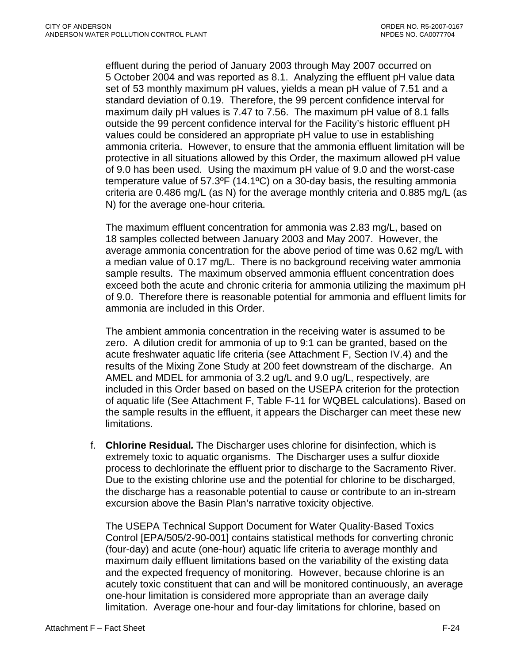effluent during the period of January 2003 through May 2007 occurred on 5 October 2004 and was reported as 8.1. Analyzing the effluent pH value data set of 53 monthly maximum pH values, yields a mean pH value of 7.51 and a standard deviation of 0.19. Therefore, the 99 percent confidence interval for maximum daily pH values is 7.47 to 7.56. The maximum pH value of 8.1 falls outside the 99 percent confidence interval for the Facility's historic effluent pH values could be considered an appropriate pH value to use in establishing ammonia criteria. However, to ensure that the ammonia effluent limitation will be protective in all situations allowed by this Order, the maximum allowed pH value of 9.0 has been used. Using the maximum pH value of 9.0 and the worst-case temperature value of 57.3ºF (14.1ºC) on a 30-day basis, the resulting ammonia criteria are 0.486 mg/L (as N) for the average monthly criteria and 0.885 mg/L (as N) for the average one-hour criteria.

The maximum effluent concentration for ammonia was 2.83 mg/L, based on 18 samples collected between January 2003 and May 2007. However, the average ammonia concentration for the above period of time was 0.62 mg/L with a median value of 0.17 mg/L. There is no background receiving water ammonia sample results. The maximum observed ammonia effluent concentration does exceed both the acute and chronic criteria for ammonia utilizing the maximum pH of 9.0. Therefore there is reasonable potential for ammonia and effluent limits for ammonia are included in this Order.

The ambient ammonia concentration in the receiving water is assumed to be zero. A dilution credit for ammonia of up to 9:1 can be granted, based on the acute freshwater aquatic life criteria (see Attachment F, Section IV.4) and the results of the Mixing Zone Study at 200 feet downstream of the discharge. An AMEL and MDEL for ammonia of 3.2 ug/L and 9.0 ug/L, respectively, are included in this Order based on based on the USEPA criterion for the protection of aquatic life (See Attachment F, Table F-11 for WQBEL calculations). Based on the sample results in the effluent, it appears the Discharger can meet these new limitations.

f. **Chlorine Residual***.* The Discharger uses chlorine for disinfection, which is extremely toxic to aquatic organisms. The Discharger uses a sulfur dioxide process to dechlorinate the effluent prior to discharge to the Sacramento River. Due to the existing chlorine use and the potential for chlorine to be discharged, the discharge has a reasonable potential to cause or contribute to an in-stream excursion above the Basin Plan's narrative toxicity objective.

The USEPA Technical Support Document for Water Quality-Based Toxics Control [EPA/505/2-90-001] contains statistical methods for converting chronic (four-day) and acute (one-hour) aquatic life criteria to average monthly and maximum daily effluent limitations based on the variability of the existing data and the expected frequency of monitoring. However, because chlorine is an acutely toxic constituent that can and will be monitored continuously, an average one-hour limitation is considered more appropriate than an average daily limitation. Average one-hour and four-day limitations for chlorine, based on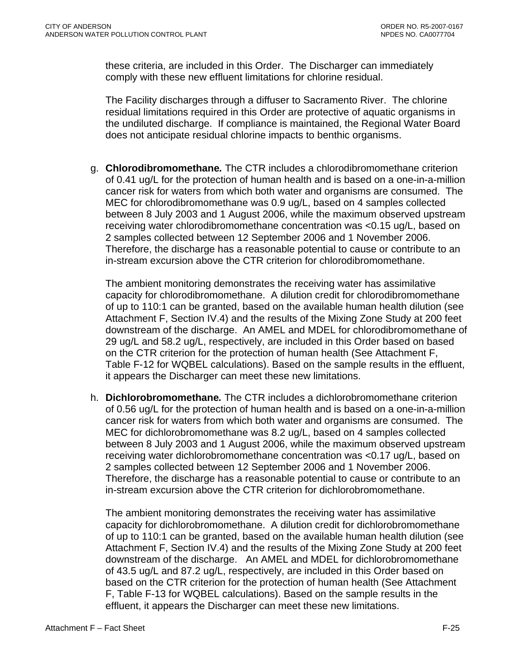these criteria, are included in this Order. The Discharger can immediately comply with these new effluent limitations for chlorine residual.

The Facility discharges through a diffuser to Sacramento River. The chlorine residual limitations required in this Order are protective of aquatic organisms in the undiluted discharge. If compliance is maintained, the Regional Water Board does not anticipate residual chlorine impacts to benthic organisms.

g. **Chlorodibromomethane***.* The CTR includes a chlorodibromomethane criterion of 0.41 ug/L for the protection of human health and is based on a one-in-a-million cancer risk for waters from which both water and organisms are consumed. The MEC for chlorodibromomethane was 0.9 ug/L, based on 4 samples collected between 8 July 2003 and 1 August 2006, while the maximum observed upstream receiving water chlorodibromomethane concentration was <0.15 ug/L, based on 2 samples collected between 12 September 2006 and 1 November 2006. Therefore, the discharge has a reasonable potential to cause or contribute to an in-stream excursion above the CTR criterion for chlorodibromomethane.

The ambient monitoring demonstrates the receiving water has assimilative capacity for chlorodibromomethane. A dilution credit for chlorodibromomethane of up to 110:1 can be granted, based on the available human health dilution (see Attachment F, Section IV.4) and the results of the Mixing Zone Study at 200 feet downstream of the discharge. An AMEL and MDEL for chlorodibromomethane of 29 ug/L and 58.2 ug/L, respectively, are included in this Order based on based on the CTR criterion for the protection of human health (See Attachment F, Table F-12 for WQBEL calculations). Based on the sample results in the effluent, it appears the Discharger can meet these new limitations.

h. **Dichlorobromomethane***.* The CTR includes a dichlorobromomethane criterion of 0.56 ug/L for the protection of human health and is based on a one-in-a-million cancer risk for waters from which both water and organisms are consumed. The MEC for dichlorobromomethane was 8.2 ug/L, based on 4 samples collected between 8 July 2003 and 1 August 2006, while the maximum observed upstream receiving water dichlorobromomethane concentration was <0.17 ug/L, based on 2 samples collected between 12 September 2006 and 1 November 2006. Therefore, the discharge has a reasonable potential to cause or contribute to an in-stream excursion above the CTR criterion for dichlorobromomethane.

The ambient monitoring demonstrates the receiving water has assimilative capacity for dichlorobromomethane. A dilution credit for dichlorobromomethane of up to 110:1 can be granted, based on the available human health dilution (see Attachment F, Section IV.4) and the results of the Mixing Zone Study at 200 feet downstream of the discharge. An AMEL and MDEL for dichlorobromomethane of 43.5 ug/L and 87.2 ug/L, respectively, are included in this Order based on based on the CTR criterion for the protection of human health (See Attachment F, Table F-13 for WQBEL calculations). Based on the sample results in the effluent, it appears the Discharger can meet these new limitations.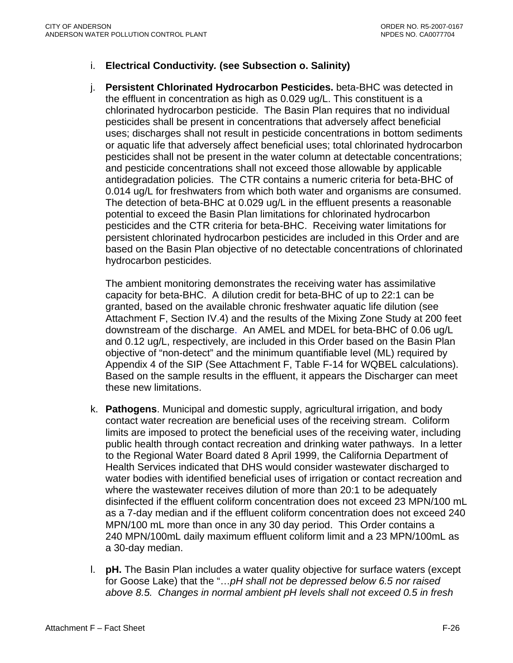### i. **Electrical Conductivity***.* **(see Subsection o. Salinity)**

j. **Persistent Chlorinated Hydrocarbon Pesticides.** beta-BHC was detected in the effluent in concentration as high as 0.029 ug/L. This constituent is a chlorinated hydrocarbon pesticide. The Basin Plan requires that no individual pesticides shall be present in concentrations that adversely affect beneficial uses; discharges shall not result in pesticide concentrations in bottom sediments or aquatic life that adversely affect beneficial uses; total chlorinated hydrocarbon pesticides shall not be present in the water column at detectable concentrations; and pesticide concentrations shall not exceed those allowable by applicable antidegradation policies. The CTR contains a numeric criteria for beta-BHC of 0.014 ug/L for freshwaters from which both water and organisms are consumed. The detection of beta-BHC at 0.029 ug/L in the effluent presents a reasonable potential to exceed the Basin Plan limitations for chlorinated hydrocarbon pesticides and the CTR criteria for beta-BHC. Receiving water limitations for persistent chlorinated hydrocarbon pesticides are included in this Order and are based on the Basin Plan objective of no detectable concentrations of chlorinated hydrocarbon pesticides.

The ambient monitoring demonstrates the receiving water has assimilative capacity for beta-BHC. A dilution credit for beta-BHC of up to 22:1 can be granted, based on the available chronic freshwater aquatic life dilution (see Attachment F, Section IV.4) and the results of the Mixing Zone Study at 200 feet downstream of the discharge. An AMEL and MDEL for beta-BHC of 0.06 ug/L and 0.12 ug/L, respectively, are included in this Order based on the Basin Plan objective of "non-detect" and the minimum quantifiable level (ML) required by Appendix 4 of the SIP (See Attachment F, Table F-14 for WQBEL calculations). Based on the sample results in the effluent, it appears the Discharger can meet these new limitations.

- k. **Pathogens**. Municipal and domestic supply, agricultural irrigation, and body contact water recreation are beneficial uses of the receiving stream. Coliform limits are imposed to protect the beneficial uses of the receiving water, including public health through contact recreation and drinking water pathways. In a letter to the Regional Water Board dated 8 April 1999, the California Department of Health Services indicated that DHS would consider wastewater discharged to water bodies with identified beneficial uses of irrigation or contact recreation and where the wastewater receives dilution of more than 20:1 to be adequately disinfected if the effluent coliform concentration does not exceed 23 MPN/100 mL as a 7-day median and if the effluent coliform concentration does not exceed 240 MPN/100 mL more than once in any 30 day period. This Order contains a 240 MPN/100mL daily maximum effluent coliform limit and a 23 MPN/100mL as a 30-day median.
- l. **pH.** The Basin Plan includes a water quality objective for surface waters (except for Goose Lake) that the "…*pH shall not be depressed below 6.5 nor raised above 8.5. Changes in normal ambient pH levels shall not exceed 0.5 in fresh*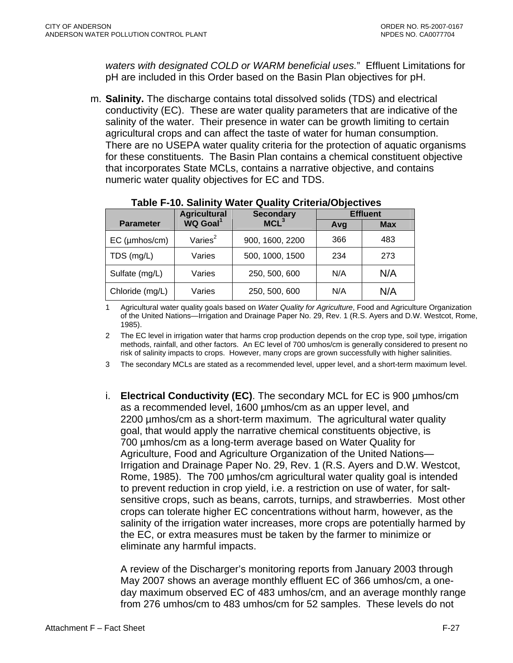*waters with designated COLD or WARM beneficial uses.*" Effluent Limitations for pH are included in this Order based on the Basin Plan objectives for pH.

m. **Salinity.** The discharge contains total dissolved solids (TDS) and electrical conductivity (EC). These are water quality parameters that are indicative of the salinity of the water. Their presence in water can be growth limiting to certain agricultural crops and can affect the taste of water for human consumption. There are no USEPA water quality criteria for the protection of aquatic organisms for these constituents. The Basin Plan contains a chemical constituent objective that incorporates State MCLs, contains a narrative objective, and contains numeric water quality objectives for EC and TDS.

|                     | <b>Agricultural</b>  | <b>Secondary</b> | <b>Effluent</b> |            |  |
|---------------------|----------------------|------------------|-----------------|------------|--|
| <b>Parameter</b>    | WQ Goal <sup>1</sup> | MCL <sup>3</sup> | Avg             | <b>Max</b> |  |
| $EC$ ( $µmbos/cm$ ) | Varies $2$           | 900, 1600, 2200  | 366             | 483        |  |
| TDS (mg/L)          | Varies               | 500, 1000, 1500  | 234             | 273        |  |
| Sulfate (mg/L)      | Varies               | 250, 500, 600    | N/A             | N/A        |  |
| Chloride (mg/L)     | Varies               | 250, 500, 600    | N/A             | N/A        |  |

#### **Table F-10. Salinity Water Quality Criteria/Objectives**

1 Agricultural water quality goals based on *Water Quality for Agriculture*, Food and Agriculture Organization of the United Nations—Irrigation and Drainage Paper No. 29, Rev. 1 (R.S. Ayers and D.W. Westcot, Rome, 1985).

2 The EC level in irrigation water that harms crop production depends on the crop type, soil type, irrigation methods, rainfall, and other factors. An EC level of 700 umhos/cm is generally considered to present no risk of salinity impacts to crops. However, many crops are grown successfully with higher salinities.

3 The secondary MCLs are stated as a recommended level, upper level, and a short-term maximum level.

i. **Electrical Conductivity (EC)**. The secondary MCL for EC is 900 µmhos/cm as a recommended level, 1600 µmhos/cm as an upper level, and 2200 umhos/cm as a short-term maximum. The agricultural water quality goal, that would apply the narrative chemical constituents objective, is 700 µmhos/cm as a long-term average based on Water Quality for Agriculture, Food and Agriculture Organization of the United Nations— Irrigation and Drainage Paper No. 29, Rev. 1 (R.S. Ayers and D.W. Westcot, Rome, 1985). The 700 µmhos/cm agricultural water quality goal is intended to prevent reduction in crop yield, i.e. a restriction on use of water, for saltsensitive crops, such as beans, carrots, turnips, and strawberries. Most other crops can tolerate higher EC concentrations without harm, however, as the salinity of the irrigation water increases, more crops are potentially harmed by the EC, or extra measures must be taken by the farmer to minimize or eliminate any harmful impacts.

A review of the Discharger's monitoring reports from January 2003 through May 2007 shows an average monthly effluent EC of 366 umhos/cm, a oneday maximum observed EC of 483 umhos/cm, and an average monthly range from 276 umhos/cm to 483 umhos/cm for 52 samples. These levels do not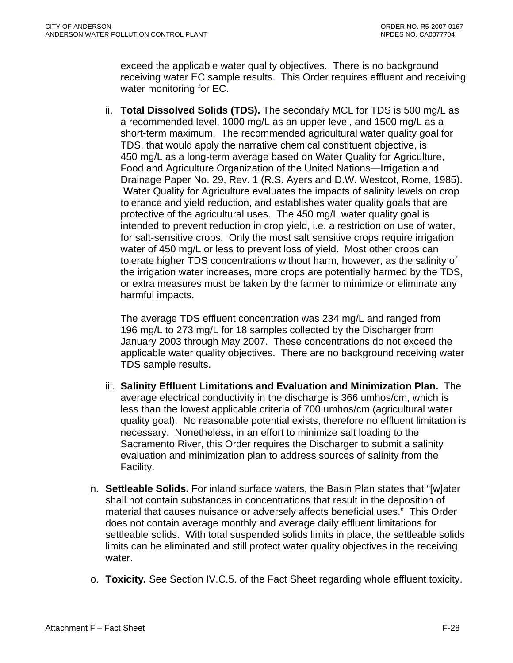exceed the applicable water quality objectives. There is no background receiving water EC sample results. This Order requires effluent and receiving water monitoring for EC.

ii. **Total Dissolved Solids (TDS).** The secondary MCL for TDS is 500 mg/L as a recommended level, 1000 mg/L as an upper level, and 1500 mg/L as a short-term maximum. The recommended agricultural water quality goal for TDS, that would apply the narrative chemical constituent objective, is 450 mg/L as a long-term average based on Water Quality for Agriculture, Food and Agriculture Organization of the United Nations—Irrigation and Drainage Paper No. 29, Rev. 1 (R.S. Ayers and D.W. Westcot, Rome, 1985). Water Quality for Agriculture evaluates the impacts of salinity levels on crop tolerance and yield reduction, and establishes water quality goals that are protective of the agricultural uses. The 450 mg/L water quality goal is intended to prevent reduction in crop yield, i.e. a restriction on use of water, for salt-sensitive crops. Only the most salt sensitive crops require irrigation water of 450 mg/L or less to prevent loss of yield. Most other crops can tolerate higher TDS concentrations without harm, however, as the salinity of the irrigation water increases, more crops are potentially harmed by the TDS, or extra measures must be taken by the farmer to minimize or eliminate any harmful impacts.

The average TDS effluent concentration was 234 mg/L and ranged from 196 mg/L to 273 mg/L for 18 samples collected by the Discharger from January 2003 through May 2007. These concentrations do not exceed the applicable water quality objectives. There are no background receiving water TDS sample results.

- iii. **Salinity Effluent Limitations and Evaluation and Minimization Plan.** The average electrical conductivity in the discharge is 366 umhos/cm, which is less than the lowest applicable criteria of 700 umhos/cm (agricultural water quality goal). No reasonable potential exists, therefore no effluent limitation is necessary. Nonetheless, in an effort to minimize salt loading to the Sacramento River, this Order requires the Discharger to submit a salinity evaluation and minimization plan to address sources of salinity from the Facility.
- n. **Settleable Solids.** For inland surface waters, the Basin Plan states that "[w]ater shall not contain substances in concentrations that result in the deposition of material that causes nuisance or adversely affects beneficial uses." This Order does not contain average monthly and average daily effluent limitations for settleable solids. With total suspended solids limits in place, the settleable solids limits can be eliminated and still protect water quality objectives in the receiving water.
- o. **Toxicity.** See Section IV.C.5. of the Fact Sheet regarding whole effluent toxicity.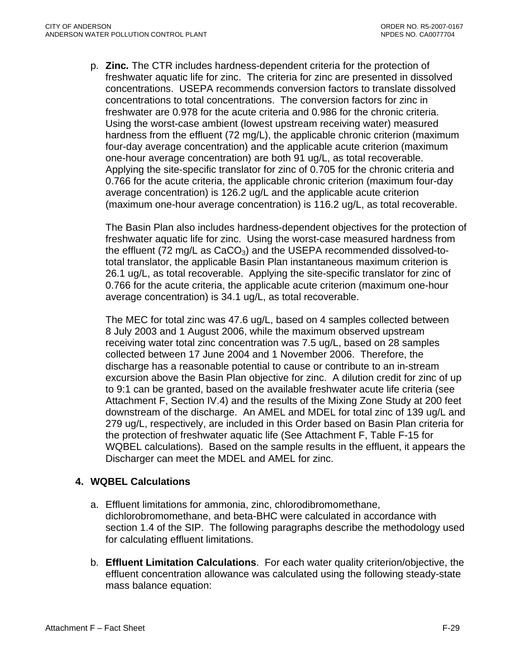<span id="page-91-0"></span>p. **Zinc***.* The CTR includes hardness-dependent criteria for the protection of freshwater aquatic life for zinc. The criteria for zinc are presented in dissolved concentrations. USEPA recommends conversion factors to translate dissolved concentrations to total concentrations. The conversion factors for zinc in freshwater are 0.978 for the acute criteria and 0.986 for the chronic criteria. Using the worst-case ambient (lowest upstream receiving water) measured hardness from the effluent (72 mg/L), the applicable chronic criterion (maximum four-day average concentration) and the applicable acute criterion (maximum one-hour average concentration) are both 91 ug/L, as total recoverable. Applying the site-specific translator for zinc of 0.705 for the chronic criteria and 0.766 for the acute criteria, the applicable chronic criterion (maximum four-day average concentration) is 126.2 ug/L and the applicable acute criterion (maximum one-hour average concentration) is 116.2 ug/L, as total recoverable.

The Basin Plan also includes hardness-dependent objectives for the protection of freshwater aquatic life for zinc. Using the worst-case measured hardness from the effluent (72 mg/L as  $CaCO<sub>3</sub>$ ) and the USEPA recommended dissolved-tototal translator, the applicable Basin Plan instantaneous maximum criterion is 26.1 ug/L, as total recoverable. Applying the site-specific translator for zinc of 0.766 for the acute criteria, the applicable acute criterion (maximum one-hour average concentration) is 34.1 ug/L, as total recoverable.

The MEC for total zinc was 47.6 ug/L, based on 4 samples collected between 8 July 2003 and 1 August 2006, while the maximum observed upstream receiving water total zinc concentration was 7.5 ug/L, based on 28 samples collected between 17 June 2004 and 1 November 2006. Therefore, the discharge has a reasonable potential to cause or contribute to an in-stream excursion above the Basin Plan objective for zinc. A dilution credit for zinc of up to 9:1 can be granted, based on the available freshwater acute life criteria (see Attachment F, Section IV.4) and the results of the Mixing Zone Study at 200 feet downstream of the discharge. An AMEL and MDEL for total zinc of 139 ug/L and 279 ug/L, respectively, are included in this Order based on Basin Plan criteria for the protection of freshwater aquatic life (See Attachment F, Table F-15 for WQBEL calculations). Based on the sample results in the effluent, it appears the Discharger can meet the MDEL and AMEL for zinc.

## **4. WQBEL Calculations**

- a. Effluent limitations for ammonia, zinc, chlorodibromomethane, dichlorobromomethane, and beta-BHC were calculated in accordance with section 1.4 of the SIP. The following paragraphs describe the methodology used for calculating effluent limitations.
- b. **Effluent Limitation Calculations**. For each water quality criterion/objective, the effluent concentration allowance was calculated using the following steady-state mass balance equation: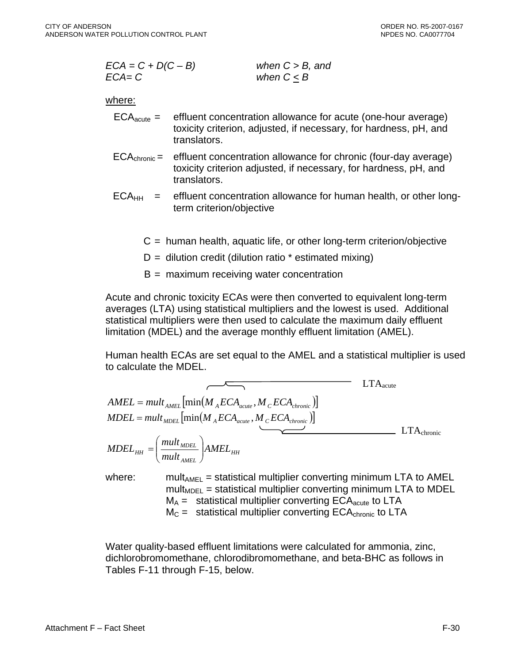$$
ECA = C + D(C - B)
$$
when  $C > B$ , and  

$$
ECA = C
$$
when  $C \leq B$ 

#### where:

- $ECA<sub>acute</sub> =$  effluent concentration allowance for acute (one-hour average) toxicity criterion, adjusted, if necessary, for hardness, pH, and translators.
- $ECA<sub>chronic</sub> =$  effluent concentration allowance for chronic (four-day average) toxicity criterion adjusted, if necessary, for hardness, pH, and translators.
- $ECA<sub>HH</sub>$  = effluent concentration allowance for human health, or other longterm criterion/objective
	- $C =$  human health, aquatic life, or other long-term criterion/objective
	- $D =$  dilution credit (dilution ratio  $*$  estimated mixing)
	- $B =$  maximum receiving water concentration

Acute and chronic toxicity ECAs were then converted to equivalent long-term averages (LTA) using statistical multipliers and the lowest is used. Additional statistical multipliers were then used to calculate the maximum daily effluent limitation (MDEL) and the average monthly effluent limitation (AMEL).

Human health ECAs are set equal to the AMEL and a statistical multiplier is used to calculate the MDEL.

$$
AMEL = mult_{AMEL} [\min(M_{A}ECA_{acute}, M_{c}ECA_{chronic})]
$$
  
\n
$$
MDEL = mult_{MDEL} [\min(M_{A}ECA_{acute}, M_{c}ECA_{chronic})]
$$
  
\n
$$
MDEL_{HH} = \left(\frac{mult_{MDEL}}{mult_{AMEL}}\right) AMEL_{HH}
$$
  
\nwhere:  
\n
$$
mult_{AMEL} = statistical multiplier converting minimum LTA to AMEL
$$

 $mult<sub>MDF1</sub>$  = statistical multiplier converting minimum LTA to MDEL  $M_A =$  statistical multiplier converting  $ECA<sub>acute</sub>$  to LTA  $M_C$  = statistical multiplier converting ECA<sub>chronic</sub> to LTA

Water quality-based effluent limitations were calculated for ammonia, zinc, dichlorobromomethane, chlorodibromomethane, and beta-BHC as follows in Tables F-11 through F-15, below.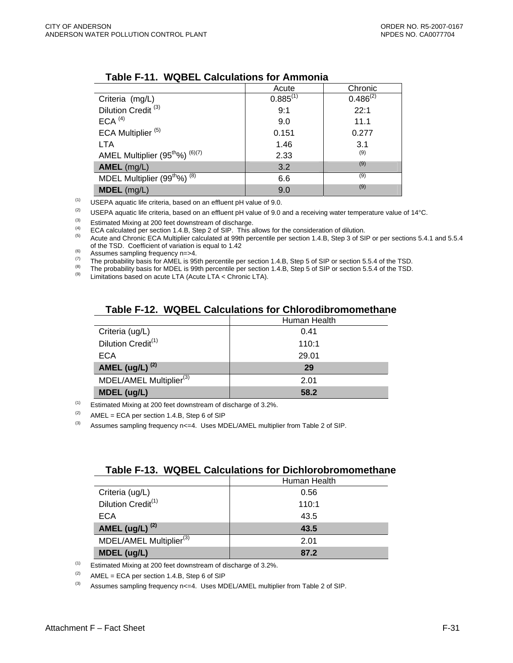|                                                        | Acute         | Chronic       |
|--------------------------------------------------------|---------------|---------------|
| Criteria (mg/L)                                        | $0.885^{(1)}$ | $0.486^{(2)}$ |
| Dilution Credit <sup>(3)</sup>                         | 9:1           | 22:1          |
| $ECA$ <sup>(4)</sup>                                   | 9.0           | 11.1          |
| ECA Multiplier <sup>(5)</sup>                          | 0.151         | 0.277         |
| <b>LTA</b>                                             | 1.46          | 3.1           |
| AMEL Multiplier (95 <sup>th</sup> %) <sup>(6)(7)</sup> | 2.33          | (9)           |
| AMEL (mg/L)                                            | 3.2           | (9)           |
| MDEL Multiplier (99 <sup>th</sup> %) <sup>(8)</sup>    | 6.6           | (9)           |
| $MDEL$ (mg/L)                                          | 9.0           | (9)           |

#### **Table F-11. WQBEL Calculations for Ammonia**

 $(1)$  USEPA aquatic life criteria, based on an effluent pH value of 9.0.

(2) USEPA aquatic life criteria, based on an effluent pH value of 9.0 and a receiving water temperature value of 14°C.

<sup>(3)</sup> Estimated Mixing at 200 feet downstream of discharge.<br>
ECA calculated per section 1.4.B, Step 2 of SIP. This allows for the consideration of dilution.<br>
Acute and Chronic ECA Multiplier calculated at 99th percentile

Assumes sampling frequency n=>4.<br>
The probability basis for AMEL is 95th percentile per section 1.4.B, Step 5 of SIP or section 5.5.4 of the TSD.<br>
The probability basis for MDEL is 99th percentile per section 1.4.B, Step

#### **Table F-12. WQBEL Calculations for Chlorodibromomethane**

|                                     | Human Health |
|-------------------------------------|--------------|
| Criteria (ug/L)                     | 0.41         |
| Dilution Credit <sup>(1)</sup>      | 110:1        |
| ECA                                 | 29.01        |
| AMEL (ug/L) $(2)$                   | 29           |
| MDEL/AMEL Multiplier <sup>(3)</sup> | 2.01         |
| <b>MDEL (ug/L)</b>                  | 58.2         |

 $(1)$  Estimated Mixing at 200 feet downstream of discharge of 3.2%.

 $(2)$  AMEL = ECA per section 1.4.B, Step 6 of SIP

 $^{(3)}$  Assumes sampling frequency n<=4. Uses MDEL/AMEL multiplier from Table 2 of SIP.

#### **Table F-13. WQBEL Calculations for Dichlorobromomethane**

|                                     | Human Health |
|-------------------------------------|--------------|
| Criteria (ug/L)                     | 0.56         |
| Dilution Credit <sup>(1)</sup>      | 110:1        |
| ECA                                 | 43.5         |
| AMEL (ug/L) $^{(2)}$                | 43.5         |
| MDEL/AMEL Multiplier <sup>(3)</sup> | 2.01         |
| <b>MDEL (ug/L)</b>                  | 87.2         |

 $(1)$  Estimated Mixing at 200 feet downstream of discharge of 3.2%.

 $(2)$  AMEL = ECA per section 1.4.B, Step 6 of SIP

 $^{(3)}$  Assumes sampling frequency n<=4. Uses MDEL/AMEL multiplier from Table 2 of SIP.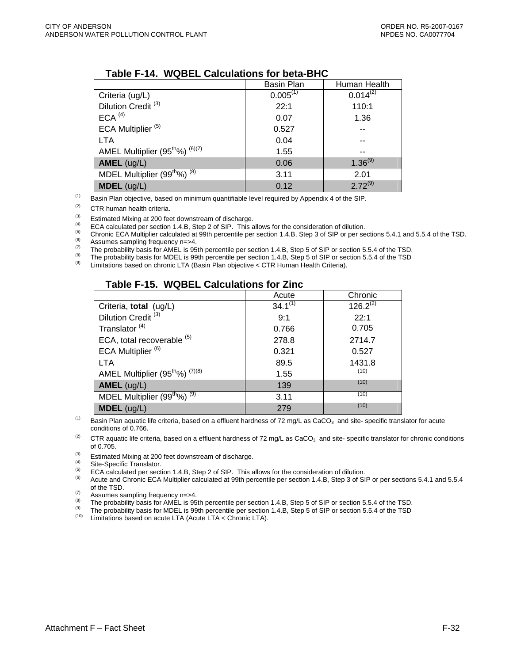|                                                        | <b>Basin Plan</b> | Human Health  |
|--------------------------------------------------------|-------------------|---------------|
| Criteria (ug/L)                                        | $0.005^{(1)}$     | $0.014^{(2)}$ |
| Dilution Credit <sup>(3)</sup>                         | 22:1              | 110:1         |
| $ECA$ <sup>(4)</sup>                                   | 0.07              | 1.36          |
| ECA Multiplier <sup>(5)</sup>                          | 0.527             |               |
| <b>LTA</b>                                             | 0.04              | --            |
| AMEL Multiplier (95 <sup>th</sup> %) <sup>(6)(7)</sup> | 1.55              | --            |
| $AMEL$ (ug/L)                                          | 0.06              | $1.36^{(9)}$  |
| MDEL Multiplier (99 <sup>th</sup> %) <sup>(8)</sup>    | 3.11              | 2.01          |
| $MDEL$ (ug/L)                                          | 0.12              | $2.72^{(9)}$  |

#### **Table F-14. WQBEL Calculations for beta-BHC**

 $<sup>(1)</sup>$  Basin Plan objective, based on minimum quantifiable level required by Appendix 4 of the SIP.</sup>

(2) CTR human health criteria.

<sup>(3)</sup> Estimated Mixing at 200 feet downstream of discharge.<br>
ECA calculated per section 1.4.B, Step 2 of SIP. This allows for the consideration of dilution.<br>
Chronic ECA Multiplier calculated at 99th percentile per sectio

<sup>(6)</sup> Assumes sampling frequency n=>4.<br>
The probability basis for AMEL is 95th percentile per section 1.4.B, Step 5 of SIP or section 5.5.4 of the TSD.<br>
The probability basis for MDEL is 99th percentile per section 1.4.B,

#### **Table F-15. WQBEL Calculations for Zinc**

|                                                         | Acute        | Chronic       |
|---------------------------------------------------------|--------------|---------------|
| Criteria, total (ug/L)                                  | $34.1^{(1)}$ | $126.2^{(2)}$ |
| Dilution Credit <sup>(3)</sup>                          | 9:1          | 22:1          |
| Translator <sup>(4)</sup>                               | 0.766        | 0.705         |
| ECA, total recoverable (5)                              | 278.8        | 2714.7        |
| ECA Multiplier <sup>(6)</sup>                           | 0.321        | 0.527         |
| <b>LTA</b>                                              | 89.5         | 1431.8        |
| AMEL Multiplier (95 <sup>tho</sup> %) <sup>(7)(8)</sup> | 1.55         | (10)          |
| $AMEL$ (ug/L)                                           | 139          | (10)          |
| MDEL Multiplier $(99^{\text{th}}\%)$ <sup>(9)</sup>     | 3.11         | (10)          |
| $MDEL$ (ug/L)                                           | 279          | (10)          |

<sup>(1)</sup> Basin Plan aquatic life criteria, based on a effluent hardness of 72 mg/L as CaCO<sub>3</sub> and site- specific translator for acute conditions of 0.766.

 $(2)$  CTR aquatic life criteria, based on a effluent hardness of 72 mg/L as CaCO<sub>3</sub> and site-specific translator for chronic conditions of 0.705.

<sup>(3)</sup> Estimated Mixing at 200 feet downstream of discharge.<br>
<sup>(4)</sup> Site-Specific Translator.<br>
ECA calculated per section 1.4.B, Step 2 of SIP. This allows for the consideration of dilution.<br>
<sup>(5)</sup> Acute and Chronic ECA Mu of the TSD.<br>Assumes sampling frequency n=>4.

Assumes sampling frequency n=>4.<br>
(b) Assumes sampling frequency n=>4.<br>
(b) The probability basis for AMEL is 95th percentile per section 1.4.B, Step 5 of SIP or section 5.5.4 of the TSD.<br>
(b) The probability basis for MD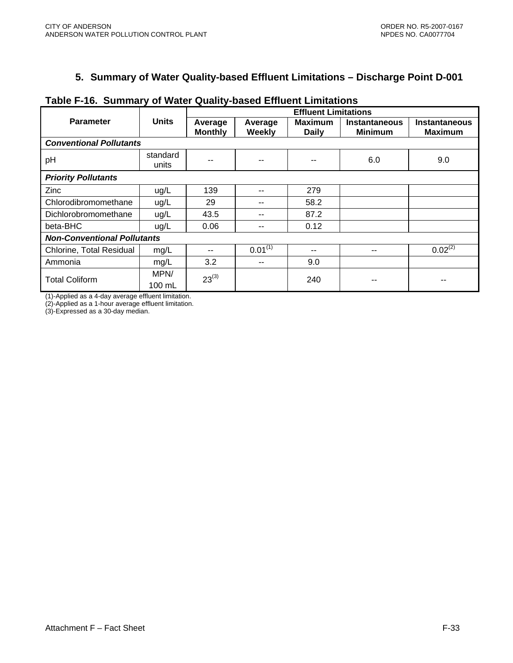# **5. Summary of Water Quality-based Effluent Limitations – Discharge Point D-001**

|                                    |                          | <b>Effluent Limitations</b> |                   |                                |                                        |                                        |
|------------------------------------|--------------------------|-----------------------------|-------------------|--------------------------------|----------------------------------------|----------------------------------------|
| <b>Parameter</b>                   | <b>Units</b>             | Average<br><b>Monthly</b>   | Average<br>Weekly | <b>Maximum</b><br><b>Daily</b> | <b>Instantaneous</b><br><b>Minimum</b> | <b>Instantaneous</b><br><b>Maximum</b> |
| <b>Conventional Pollutants</b>     |                          |                             |                   |                                |                                        |                                        |
| pH                                 | standard<br>units        |                             | --                | --                             | 6.0                                    | 9.0                                    |
| <b>Priority Pollutants</b>         |                          |                             |                   |                                |                                        |                                        |
| Zinc                               | ug/L                     | 139                         | --                | 279                            |                                        |                                        |
| Chlorodibromomethane               | ug/L                     | 29                          | --                | 58.2                           |                                        |                                        |
| Dichlorobromomethane               | ug/L                     | 43.5                        | --                | 87.2                           |                                        |                                        |
| beta-BHC                           | ug/L                     | 0.06                        | --                | 0.12                           |                                        |                                        |
| <b>Non-Conventional Pollutants</b> |                          |                             |                   |                                |                                        |                                        |
| Chlorine, Total Residual           | mg/L                     | $\overline{\phantom{m}}$    | $0.01^{(1)}$      | --                             | --                                     | $0.02^{(2)}$                           |
| Ammonia                            | mg/L                     | 3.2                         | --                | 9.0                            |                                        |                                        |
| <b>Total Coliform</b>              | MPN/<br>$100 \text{ mL}$ | $23^{(3)}$                  |                   | 240                            | --                                     | --                                     |

### **Table F-16. Summary of Water Quality-based Effluent Limitations**

(1)-Applied as a 4-day average effluent limitation.

(2)-Applied as a 1-hour average effluent limitation.

(3)-Expressed as a 30-day median.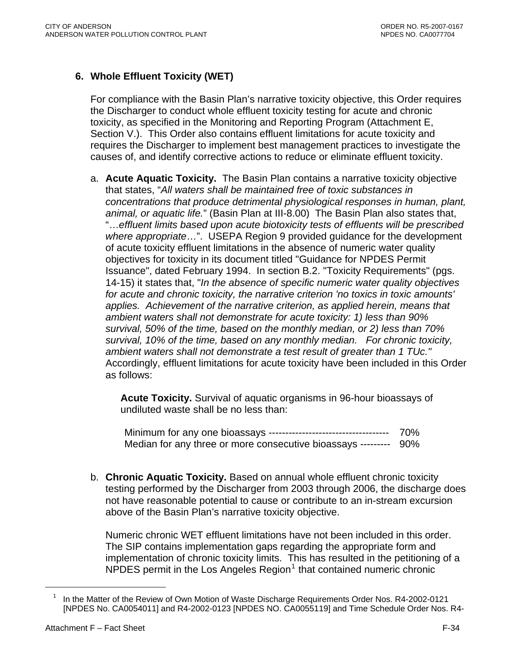# **6. Whole Effluent Toxicity (WET)**

For compliance with the Basin Plan's narrative toxicity objective, this Order requires the Discharger to conduct whole effluent toxicity testing for acute and chronic toxicity, as specified in the Monitoring and Reporting Program (Attachment E, Section V.). This Order also contains effluent limitations for acute toxicity and requires the Discharger to implement best management practices to investigate the causes of, and identify corrective actions to reduce or eliminate effluent toxicity.

a. **Acute Aquatic Toxicity.** The Basin Plan contains a narrative toxicity objective that states, "*All waters shall be maintained free of toxic substances in concentrations that produce detrimental physiological responses in human, plant, animal, or aquatic life.*" (Basin Plan at III-8.00) The Basin Plan also states that, "…*effluent limits based upon acute biotoxicity tests of effluents will be prescribed where appropriate*…". USEPA Region 9 provided guidance for the development of acute toxicity effluent limitations in the absence of numeric water quality objectives for toxicity in its document titled "Guidance for NPDES Permit Issuance", dated February 1994. In section B.2. "Toxicity Requirements" (pgs. 14-15) it states that, "*In the absence of specific numeric water quality objectives for acute and chronic toxicity, the narrative criterion 'no toxics in toxic amounts' applies. Achievement of the narrative criterion, as applied herein, means that ambient waters shall not demonstrate for acute toxicity: 1) less than 90% survival, 50% of the time, based on the monthly median, or 2) less than 70% survival, 10% of the time, based on any monthly median. For chronic toxicity, ambient waters shall not demonstrate a test result of greater than 1 TUc."* Accordingly, effluent limitations for acute toxicity have been included in this Order as follows:

**Acute Toxicity.** Survival of aquatic organisms in 96-hour bioassays of undiluted waste shall be no less than:

Minimum for any one bioassays ------------------------------------ 70% Median for any three or more consecutive bioassays --------- 90%

b. **Chronic Aquatic Toxicity.** Based on annual whole effluent chronic toxicity testing performed by the Discharger from 2003 through 2006, the discharge does not have reasonable potential to cause or contribute to an in-stream excursion above of the Basin Plan's narrative toxicity objective.

Numeric chronic WET effluent limitations have not been included in this order. The SIP contains implementation gaps regarding the appropriate form and implementation of chronic toxicity limits. This has resulted in the petitioning of a  $N$ PDES permit in the Los Angeles Region<sup>[1](#page-97-0)</sup> that contained numeric chronic

<sup>1</sup> In the Matter of the Review of Own Motion of Waste Discharge Requirements Order Nos. R4-2002-0121 [NPDES No. CA0054011] and R4-2002-0123 [NPDES NO. CA0055119] and Time Schedule Order Nos. R4-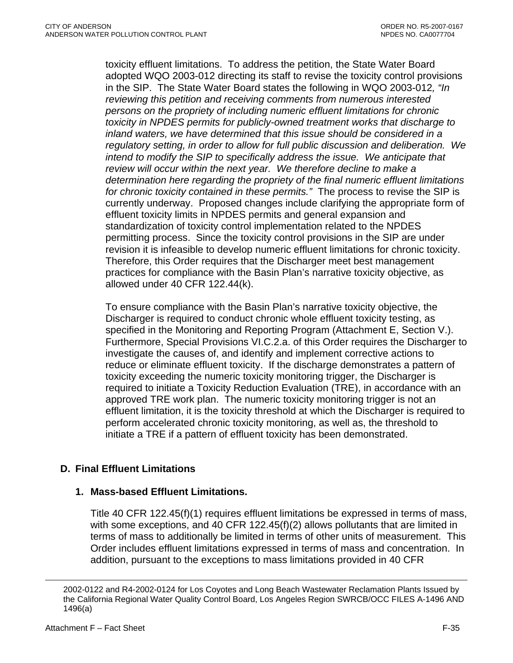<span id="page-97-0"></span>toxicity effluent limitations. To address the petition, the State Water Board adopted WQO 2003-012 directing its staff to revise the toxicity control provisions in the SIP. The State Water Board states the following in WQO 2003-012*, "In reviewing this petition and receiving comments from numerous interested persons on the propriety of including numeric effluent limitations for chronic toxicity in NPDES permits for publicly-owned treatment works that discharge to inland waters, we have determined that this issue should be considered in a regulatory setting, in order to allow for full public discussion and deliberation. We intend to modify the SIP to specifically address the issue. We anticipate that review will occur within the next year. We therefore decline to make a determination here regarding the propriety of the final numeric effluent limitations for chronic toxicity contained in these permits."* The process to revise the SIP is currently underway. Proposed changes include clarifying the appropriate form of effluent toxicity limits in NPDES permits and general expansion and standardization of toxicity control implementation related to the NPDES permitting process. Since the toxicity control provisions in the SIP are under revision it is infeasible to develop numeric effluent limitations for chronic toxicity. Therefore, this Order requires that the Discharger meet best management practices for compliance with the Basin Plan's narrative toxicity objective, as allowed under 40 CFR 122.44(k).

To ensure compliance with the Basin Plan's narrative toxicity objective, the Discharger is required to conduct chronic whole effluent toxicity testing, as specified in the Monitoring and Reporting Program (Attachment E, Section V.). Furthermore, Special Provisions VI.C.2.a. of this Order requires the Discharger to investigate the causes of, and identify and implement corrective actions to reduce or eliminate effluent toxicity. If the discharge demonstrates a pattern of toxicity exceeding the numeric toxicity monitoring trigger, the Discharger is required to initiate a Toxicity Reduction Evaluation (TRE), in accordance with an approved TRE work plan. The numeric toxicity monitoring trigger is not an effluent limitation, it is the toxicity threshold at which the Discharger is required to perform accelerated chronic toxicity monitoring, as well as, the threshold to initiate a TRE if a pattern of effluent toxicity has been demonstrated.

## **D. Final Effluent Limitations**

#### **1. Mass-based Effluent Limitations.**

Title 40 CFR 122.45(f)(1) requires effluent limitations be expressed in terms of mass, with some exceptions, and 40 CFR 122.45(f)(2) allows pollutants that are limited in terms of mass to additionally be limited in terms of other units of measurement. This Order includes effluent limitations expressed in terms of mass and concentration. In addition, pursuant to the exceptions to mass limitations provided in 40 CFR

<sup>2002-0122</sup> and R4-2002-0124 for Los Coyotes and Long Beach Wastewater Reclamation Plants Issued by the California Regional Water Quality Control Board, Los Angeles Region SWRCB/OCC FILES A-1496 AND 1496(a)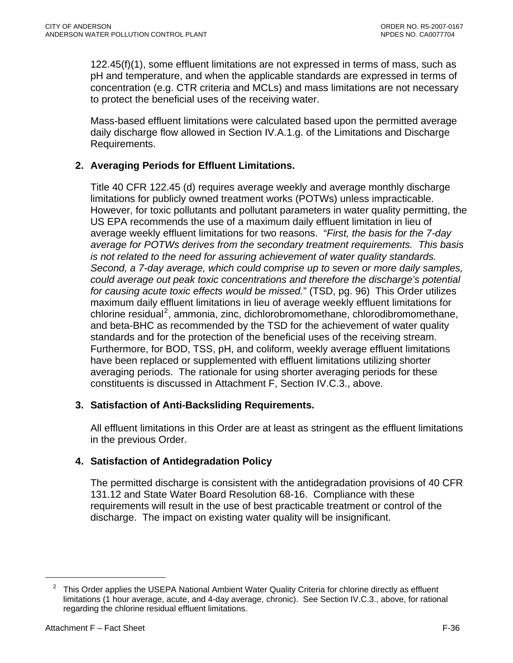122.45(f)(1), some effluent limitations are not expressed in terms of mass, such as pH and temperature, and when the applicable standards are expressed in terms of concentration (e.g. CTR criteria and MCLs) and mass limitations are not necessary to protect the beneficial uses of the receiving water.

Mass-based effluent limitations were calculated based upon the permitted average daily discharge flow allowed in Section IV.A.1.g. of the Limitations and Discharge Requirements.

## **2. Averaging Periods for Effluent Limitations.**

Title 40 CFR 122.45 (d) requires average weekly and average monthly discharge limitations for publicly owned treatment works (POTWs) unless impracticable. However, for toxic pollutants and pollutant parameters in water quality permitting, the US EPA recommends the use of a maximum daily effluent limitation in lieu of average weekly effluent limitations for two reasons. "*First, the basis for the 7-day average for POTWs derives from the secondary treatment requirements. This basis is not related to the need for assuring achievement of water quality standards. Second, a 7-day average, which could comprise up to seven or more daily samples, could average out peak toxic concentrations and therefore the discharge's potential for causing acute toxic effects would be missed.*" (TSD, pg. 96) This Order utilizes maximum daily effluent limitations in lieu of average weekly effluent limitations for chlorine residual<sup>[2](#page-99-0)</sup>, ammonia, zinc, dichlorobromomethane, chlorodibromomethane, and beta-BHC as recommended by the TSD for the achievement of water quality standards and for the protection of the beneficial uses of the receiving stream. Furthermore, for BOD, TSS, pH, and coliform, weekly average effluent limitations have been replaced or supplemented with effluent limitations utilizing shorter averaging periods. The rationale for using shorter averaging periods for these constituents is discussed in Attachment F, Section IV.C.3., above.

## **3. Satisfaction of Anti-Backsliding Requirements.**

All effluent limitations in this Order are at least as stringent as the effluent limitations in the previous Order.

# **4. Satisfaction of Antidegradation Policy**

The permitted discharge is consistent with the antidegradation provisions of 40 CFR 131.12 and State Water Board Resolution 68-16. Compliance with these requirements will result in the use of best practicable treatment or control of the discharge. The impact on existing water quality will be insignificant.

<sup>2</sup> This Order applies the USEPA National Ambient Water Quality Criteria for chlorine directly as effluent limitations (1 hour average, acute, and 4-day average, chronic). See Section IV.C.3., above, for rational regarding the chlorine residual effluent limitations.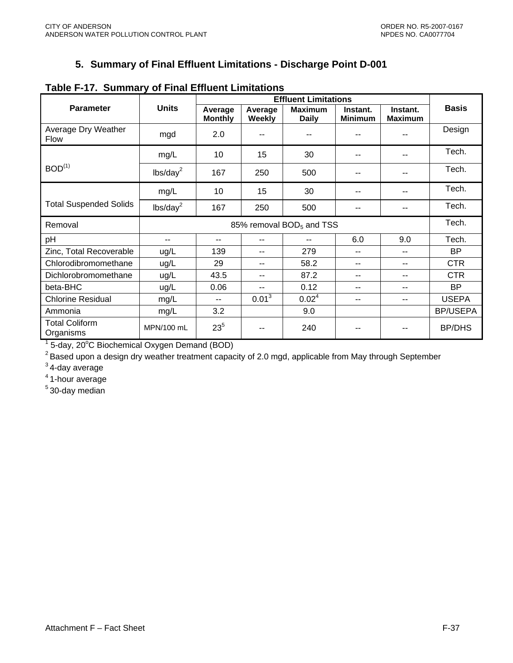# **5. Summary of Final Effluent Limitations - Discharge Point D-001**

|                                    |                                      | <b>Effluent Limitations</b> |                   |                                |                            |                            |                 |
|------------------------------------|--------------------------------------|-----------------------------|-------------------|--------------------------------|----------------------------|----------------------------|-----------------|
| <b>Parameter</b>                   | <b>Units</b>                         | Average<br><b>Monthly</b>   | Average<br>Weekly | <b>Maximum</b><br><b>Daily</b> | Instant.<br><b>Minimum</b> | Instant.<br><b>Maximum</b> | <b>Basis</b>    |
| Average Dry Weather<br><b>Flow</b> | mgd                                  | 2.0                         | --                | --                             |                            | --                         | Design          |
|                                    | mg/L                                 | 10                          | 15                | 30                             | --                         | --                         | Tech.           |
| BOD <sup>(1)</sup>                 | lbs/day <sup>2</sup>                 | 167                         | 250               | 500                            |                            | --                         | Tech.           |
|                                    | mg/L                                 | 10                          | 15                | 30                             | --                         | --                         | Tech.           |
| <b>Total Suspended Solids</b>      | lbs/day <sup>2</sup>                 | 167                         | 250               | 500                            |                            |                            | Tech.           |
| Removal                            | 85% removal BOD <sub>5</sub> and TSS |                             |                   |                                |                            |                            | Tech.           |
| pH                                 | $-$                                  | --                          | --                | --                             | 6.0                        | 9.0                        | Tech.           |
| Zinc, Total Recoverable            | ug/L                                 | 139                         | --                | 279                            | $-$                        | $- -$                      | <b>BP</b>       |
| Chlorodibromomethane               | ug/L                                 | 29                          | --                | 58.2                           | $\overline{\phantom{a}}$   | --                         | <b>CTR</b>      |
| Dichlorobromomethane               | ug/L                                 | 43.5                        | --                | 87.2                           | --                         | --                         | <b>CTR</b>      |
| beta-BHC                           | ug/L                                 | 0.06                        | --                | 0.12                           | --                         | --                         | <b>BP</b>       |
| <b>Chlorine Residual</b>           | mg/L                                 | --                          | $0.01^{3}$        | 0.02 <sup>4</sup>              | --                         | --                         | <b>USEPA</b>    |
| Ammonia                            | mg/L                                 | 3.2                         |                   | 9.0                            |                            |                            | <b>BP/USEPA</b> |
| <b>Total Coliform</b><br>Organisms | MPN/100 mL                           | $23^{5}$                    |                   | 240                            |                            |                            | <b>BP/DHS</b>   |

## <span id="page-99-0"></span>**Table F-17. Summary of Final Effluent Limitations**

 $1$  5-day, 20 $^{\circ}$ C Biochemical Oxygen Demand (BOD)

<sup>2</sup> Based upon a design dry weather treatment capacity of 2.0 mgd, applicable from May through September

 $3$  4-day average

4 1-hour average

 $5$  30-day median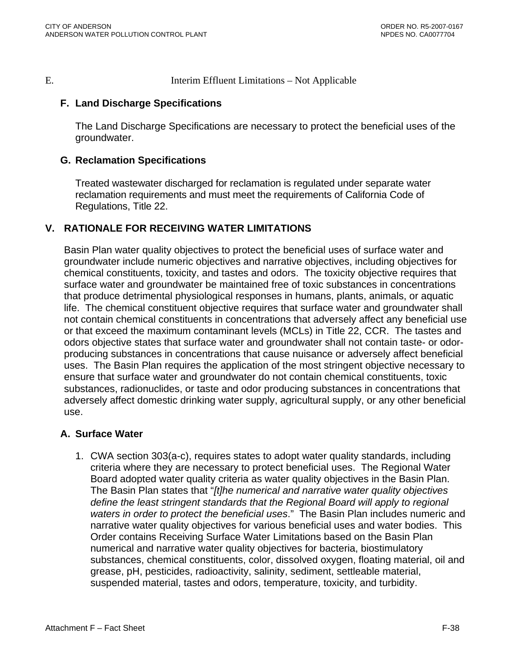E. Interim Effluent Limitations – Not Applicable

### **F. Land Discharge Specifications**

The Land Discharge Specifications are necessary to protect the beneficial uses of the groundwater.

#### **G. Reclamation Specifications**

Treated wastewater discharged for reclamation is regulated under separate water reclamation requirements and must meet the requirements of California Code of Regulations, Title 22.

## **V. RATIONALE FOR RECEIVING WATER LIMITATIONS**

Basin Plan water quality objectives to protect the beneficial uses of surface water and groundwater include numeric objectives and narrative objectives, including objectives for chemical constituents, toxicity, and tastes and odors. The toxicity objective requires that surface water and groundwater be maintained free of toxic substances in concentrations that produce detrimental physiological responses in humans, plants, animals, or aquatic life. The chemical constituent objective requires that surface water and groundwater shall not contain chemical constituents in concentrations that adversely affect any beneficial use or that exceed the maximum contaminant levels (MCLs) in Title 22, CCR. The tastes and odors objective states that surface water and groundwater shall not contain taste- or odorproducing substances in concentrations that cause nuisance or adversely affect beneficial uses. The Basin Plan requires the application of the most stringent objective necessary to ensure that surface water and groundwater do not contain chemical constituents, toxic substances, radionuclides, or taste and odor producing substances in concentrations that adversely affect domestic drinking water supply, agricultural supply, or any other beneficial use.

#### **A. Surface Water**

1. CWA section 303(a-c), requires states to adopt water quality standards, including criteria where they are necessary to protect beneficial uses. The Regional Water Board adopted water quality criteria as water quality objectives in the Basin Plan. The Basin Plan states that "*[t]he numerical and narrative water quality objectives define the least stringent standards that the Regional Board will apply to regional waters in order to protect the beneficial uses*." The Basin Plan includes numeric and narrative water quality objectives for various beneficial uses and water bodies. This Order contains Receiving Surface Water Limitations based on the Basin Plan numerical and narrative water quality objectives for bacteria, biostimulatory substances, chemical constituents, color, dissolved oxygen, floating material, oil and grease, pH, pesticides, radioactivity, salinity, sediment, settleable material, suspended material, tastes and odors, temperature, toxicity, and turbidity.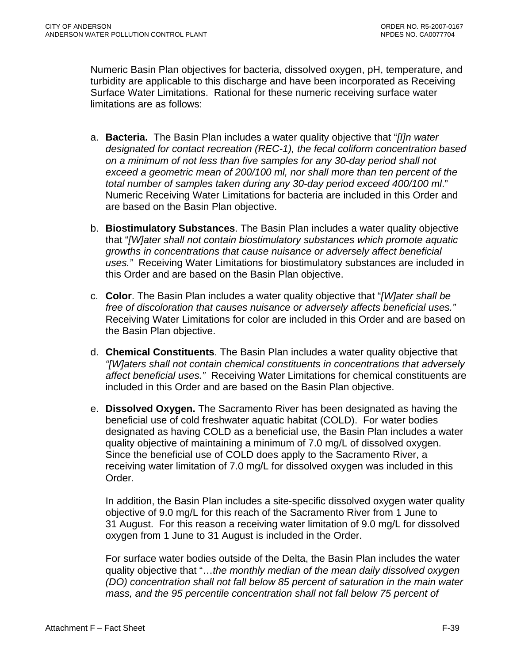Numeric Basin Plan objectives for bacteria, dissolved oxygen, pH, temperature, and turbidity are applicable to this discharge and have been incorporated as Receiving Surface Water Limitations. Rational for these numeric receiving surface water limitations are as follows:

- a. **Bacteria.** The Basin Plan includes a water quality objective that "*[I]n water designated for contact recreation (REC-1), the fecal coliform concentration based on a minimum of not less than five samples for any 30-day period shall not exceed a geometric mean of 200/100 ml, nor shall more than ten percent of the total number of samples taken during any 30-day period exceed 400/100 ml*." Numeric Receiving Water Limitations for bacteria are included in this Order and are based on the Basin Plan objective.
- b. **Biostimulatory Substances**. The Basin Plan includes a water quality objective that "*[W]ater shall not contain biostimulatory substances which promote aquatic growths in concentrations that cause nuisance or adversely affect beneficial uses."* Receiving Water Limitations for biostimulatory substances are included in this Order and are based on the Basin Plan objective.
- c. **Color**. The Basin Plan includes a water quality objective that "*[W]ater shall be free of discoloration that causes nuisance or adversely affects beneficial uses."*  Receiving Water Limitations for color are included in this Order and are based on the Basin Plan objective.
- d. **Chemical Constituents**. The Basin Plan includes a water quality objective that *"[W]aters shall not contain chemical constituents in concentrations that adversely affect beneficial uses."* Receiving Water Limitations for chemical constituents are included in this Order and are based on the Basin Plan objective.
- e. **Dissolved Oxygen.** The Sacramento River has been designated as having the beneficial use of cold freshwater aquatic habitat (COLD). For water bodies designated as having COLD as a beneficial use, the Basin Plan includes a water quality objective of maintaining a minimum of 7.0 mg/L of dissolved oxygen. Since the beneficial use of COLD does apply to the Sacramento River, a receiving water limitation of 7.0 mg/L for dissolved oxygen was included in this Order.

In addition, the Basin Plan includes a site-specific dissolved oxygen water quality objective of 9.0 mg/L for this reach of the Sacramento River from 1 June to 31 August. For this reason a receiving water limitation of 9.0 mg/L for dissolved oxygen from 1 June to 31 August is included in the Order.

For surface water bodies outside of the Delta, the Basin Plan includes the water quality objective that "…*the monthly median of the mean daily dissolved oxygen (DO) concentration shall not fall below 85 percent of saturation in the main water mass, and the 95 percentile concentration shall not fall below 75 percent of*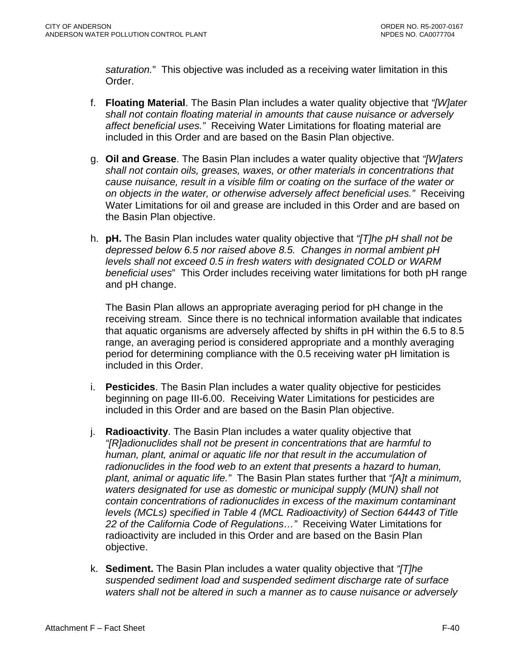*saturation.*" This objective was included as a receiving water limitation in this Order.

- f. **Floating Material**. The Basin Plan includes a water quality objective that *"[W]ater shall not contain floating material in amounts that cause nuisance or adversely affect beneficial uses."* Receiving Water Limitations for floating material are included in this Order and are based on the Basin Plan objective.
- g. **Oil and Grease**. The Basin Plan includes a water quality objective that *"[W]aters shall not contain oils, greases, waxes, or other materials in concentrations that cause nuisance, result in a visible film or coating on the surface of the water or on objects in the water, or otherwise adversely affect beneficial uses."* Receiving Water Limitations for oil and grease are included in this Order and are based on the Basin Plan objective.
- h. **pH.** The Basin Plan includes water quality objective that *"[T]he pH shall not be depressed below 6.5 nor raised above 8.5. Changes in normal ambient pH levels shall not exceed 0.5 in fresh waters with designated COLD or WARM beneficial uses*" This Order includes receiving water limitations for both pH range and pH change.

The Basin Plan allows an appropriate averaging period for pH change in the receiving stream. Since there is no technical information available that indicates that aquatic organisms are adversely affected by shifts in pH within the 6.5 to 8.5 range, an averaging period is considered appropriate and a monthly averaging period for determining compliance with the 0.5 receiving water pH limitation is included in this Order.

- i. **Pesticides**. The Basin Plan includes a water quality objective for pesticides beginning on page III-6.00. Receiving Water Limitations for pesticides are included in this Order and are based on the Basin Plan objective.
- j. **Radioactivity**. The Basin Plan includes a water quality objective that *"[R]adionuclides shall not be present in concentrations that are harmful to human, plant, animal or aquatic life nor that result in the accumulation of radionuclides in the food web to an extent that presents a hazard to human, plant, animal or aquatic life."* The Basin Plan states further that *"[A]t a minimum, waters designated for use as domestic or municipal supply (MUN) shall not contain concentrations of radionuclides in excess of the maximum contaminant levels (MCLs) specified in Table 4 (MCL Radioactivity) of Section 64443 of Title 22 of the California Code of Regulations…"* Receiving Water Limitations for radioactivity are included in this Order and are based on the Basin Plan objective.
- k. **Sediment.** The Basin Plan includes a water quality objective that *"[T]he suspended sediment load and suspended sediment discharge rate of surface waters shall not be altered in such a manner as to cause nuisance or adversely*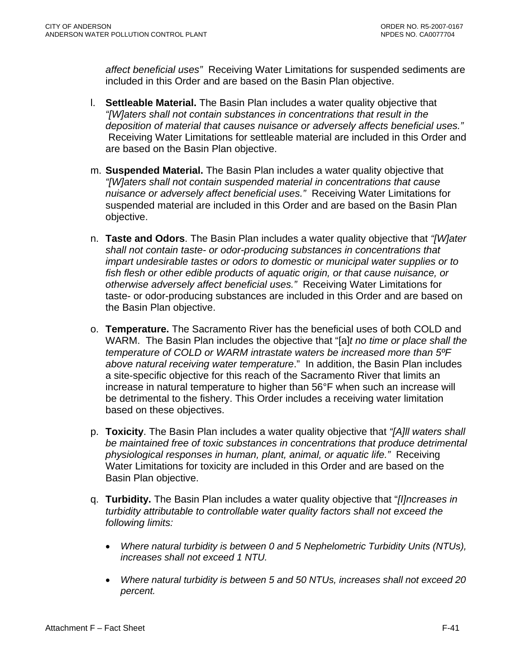*affect beneficial uses"* Receiving Water Limitations for suspended sediments are included in this Order and are based on the Basin Plan objective.

- l. **Settleable Material.** The Basin Plan includes a water quality objective that *"[W]aters shall not contain substances in concentrations that result in the deposition of material that causes nuisance or adversely affects beneficial uses."* Receiving Water Limitations for settleable material are included in this Order and are based on the Basin Plan objective.
- m. **Suspended Material.** The Basin Plan includes a water quality objective that *"[W]aters shall not contain suspended material in concentrations that cause nuisance or adversely affect beneficial uses."* Receiving Water Limitations for suspended material are included in this Order and are based on the Basin Plan objective.
- n. **Taste and Odors**. The Basin Plan includes a water quality objective that *"[W]ater shall not contain taste- or odor-producing substances in concentrations that impart undesirable tastes or odors to domestic or municipal water supplies or to fish flesh or other edible products of aquatic origin, or that cause nuisance, or otherwise adversely affect beneficial uses."* Receiving Water Limitations for taste- or odor-producing substances are included in this Order and are based on the Basin Plan objective.
- o. **Temperature.** The Sacramento River has the beneficial uses of both COLD and WARM. The Basin Plan includes the objective that "[a]*t no time or place shall the temperature of COLD or WARM intrastate waters be increased more than 5ºF above natural receiving water temperature*." In addition, the Basin Plan includes a site-specific objective for this reach of the Sacramento River that limits an increase in natural temperature to higher than 56°F when such an increase will be detrimental to the fishery. This Order includes a receiving water limitation based on these objectives.
- p. **Toxicity**. The Basin Plan includes a water quality objective that *"[A]ll waters shall be maintained free of toxic substances in concentrations that produce detrimental physiological responses in human, plant, animal, or aquatic life."* Receiving Water Limitations for toxicity are included in this Order and are based on the Basin Plan objective.
- q. **Turbidity.** The Basin Plan includes a water quality objective that "*[I]ncreases in turbidity attributable to controllable water quality factors shall not exceed the following limits:* 
	- *Where natural turbidity is between 0 and 5 Nephelometric Turbidity Units (NTUs), increases shall not exceed 1 NTU.*
	- *Where natural turbidity is between 5 and 50 NTUs, increases shall not exceed 20 percent.*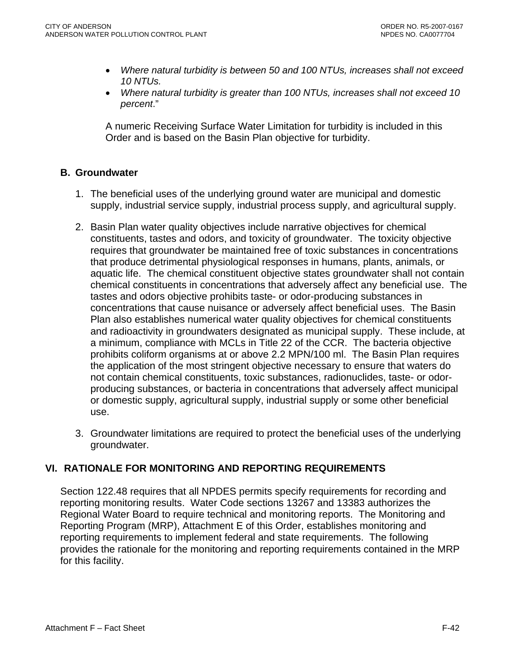- *Where natural turbidity is between 50 and 100 NTUs, increases shall not exceed 10 NTUs.*
- *Where natural turbidity is greater than 100 NTUs, increases shall not exceed 10 percent*."

A numeric Receiving Surface Water Limitation for turbidity is included in this Order and is based on the Basin Plan objective for turbidity.

### **B. Groundwater**

- 1. The beneficial uses of the underlying ground water are municipal and domestic supply, industrial service supply, industrial process supply, and agricultural supply.
- 2. Basin Plan water quality objectives include narrative objectives for chemical constituents, tastes and odors, and toxicity of groundwater. The toxicity objective requires that groundwater be maintained free of toxic substances in concentrations that produce detrimental physiological responses in humans, plants, animals, or aquatic life. The chemical constituent objective states groundwater shall not contain chemical constituents in concentrations that adversely affect any beneficial use. The tastes and odors objective prohibits taste- or odor-producing substances in concentrations that cause nuisance or adversely affect beneficial uses. The Basin Plan also establishes numerical water quality objectives for chemical constituents and radioactivity in groundwaters designated as municipal supply. These include, at a minimum, compliance with MCLs in Title 22 of the CCR. The bacteria objective prohibits coliform organisms at or above 2.2 MPN/100 ml. The Basin Plan requires the application of the most stringent objective necessary to ensure that waters do not contain chemical constituents, toxic substances, radionuclides, taste- or odorproducing substances, or bacteria in concentrations that adversely affect municipal or domestic supply, agricultural supply, industrial supply or some other beneficial use.
- 3. Groundwater limitations are required to protect the beneficial uses of the underlying groundwater.

## **VI. RATIONALE FOR MONITORING AND REPORTING REQUIREMENTS**

Section 122.48 requires that all NPDES permits specify requirements for recording and reporting monitoring results. Water Code sections 13267 and 13383 authorizes the Regional Water Board to require technical and monitoring reports. The Monitoring and Reporting Program (MRP), Attachment E of this Order, establishes monitoring and reporting requirements to implement federal and state requirements. The following provides the rationale for the monitoring and reporting requirements contained in the MRP for this facility.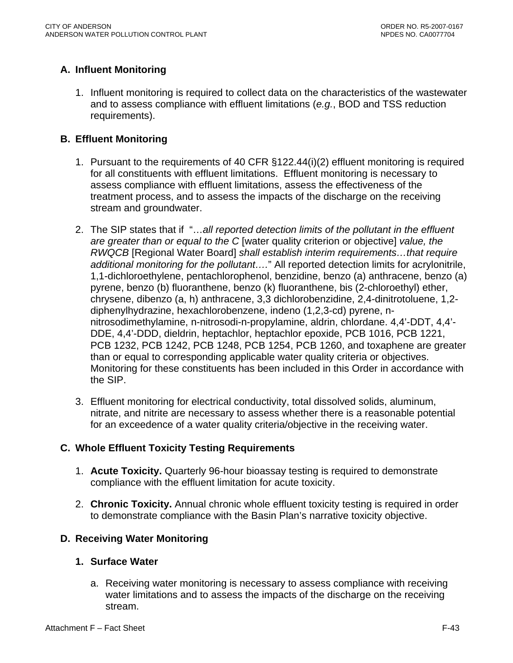# **A. Influent Monitoring**

1. Influent monitoring is required to collect data on the characteristics of the wastewater and to assess compliance with effluent limitations (*e.g.*, BOD and TSS reduction requirements).

### **B. Effluent Monitoring**

- 1. Pursuant to the requirements of 40 CFR §122.44(i)(2) effluent monitoring is required for all constituents with effluent limitations. Effluent monitoring is necessary to assess compliance with effluent limitations, assess the effectiveness of the treatment process, and to assess the impacts of the discharge on the receiving stream and groundwater.
- 2. The SIP states that if "…*all reported detection limits of the pollutant in the effluent are greater than or equal to the C* [water quality criterion or objective] *value, the RWQCB* [Regional Water Board] *shall establish interim requirements…that require additional monitoring for the pollutant….*" All reported detection limits for acrylonitrile, 1,1-dichloroethylene, pentachlorophenol, benzidine, benzo (a) anthracene, benzo (a) pyrene, benzo (b) fluoranthene, benzo (k) fluoranthene, bis (2-chloroethyl) ether, chrysene, dibenzo (a, h) anthracene, 3,3 dichlorobenzidine, 2,4-dinitrotoluene, 1,2 diphenylhydrazine, hexachlorobenzene, indeno (1,2,3-cd) pyrene, nnitrosodimethylamine, n-nitrosodi-n-propylamine, aldrin, chlordane. 4,4'-DDT, 4,4'- DDE, 4,4'-DDD, dieldrin, heptachlor, heptachlor epoxide, PCB 1016, PCB 1221, PCB 1232, PCB 1242, PCB 1248, PCB 1254, PCB 1260, and toxaphene are greater than or equal to corresponding applicable water quality criteria or objectives. Monitoring for these constituents has been included in this Order in accordance with the SIP.
- 3. Effluent monitoring for electrical conductivity, total dissolved solids, aluminum, nitrate, and nitrite are necessary to assess whether there is a reasonable potential for an exceedence of a water quality criteria/objective in the receiving water.

## **C. Whole Effluent Toxicity Testing Requirements**

- 1. **Acute Toxicity.** Quarterly 96-hour bioassay testing is required to demonstrate compliance with the effluent limitation for acute toxicity.
- 2. **Chronic Toxicity.** Annual chronic whole effluent toxicity testing is required in order to demonstrate compliance with the Basin Plan's narrative toxicity objective.

## **D. Receiving Water Monitoring**

#### **1. Surface Water**

a. Receiving water monitoring is necessary to assess compliance with receiving water limitations and to assess the impacts of the discharge on the receiving stream.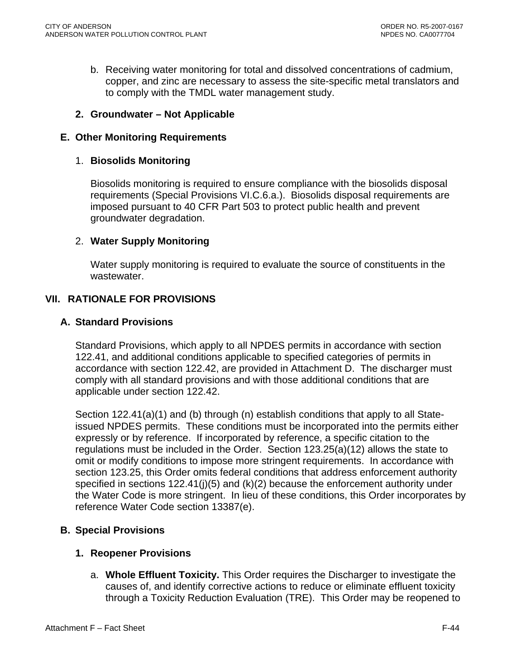b. Receiving water monitoring for total and dissolved concentrations of cadmium, copper, and zinc are necessary to assess the site-specific metal translators and to comply with the TMDL water management study.

### **2. Groundwater – Not Applicable**

#### **E. Other Monitoring Requirements**

#### 1. **Biosolids Monitoring**

Biosolids monitoring is required to ensure compliance with the biosolids disposal requirements (Special Provisions VI.C.6.a.). Biosolids disposal requirements are imposed pursuant to 40 CFR Part 503 to protect public health and prevent groundwater degradation.

#### 2. **Water Supply Monitoring**

Water supply monitoring is required to evaluate the source of constituents in the wastewater.

#### **VII. RATIONALE FOR PROVISIONS**

#### **A. Standard Provisions**

Standard Provisions, which apply to all NPDES permits in accordance with section 122.41, and additional conditions applicable to specified categories of permits in accordance with section 122.42, are provided in Attachment D. The discharger must comply with all standard provisions and with those additional conditions that are applicable under section 122.42.

Section 122.41(a)(1) and (b) through (n) establish conditions that apply to all Stateissued NPDES permits. These conditions must be incorporated into the permits either expressly or by reference. If incorporated by reference, a specific citation to the regulations must be included in the Order. Section 123.25(a)(12) allows the state to omit or modify conditions to impose more stringent requirements. In accordance with section 123.25, this Order omits federal conditions that address enforcement authority specified in sections  $122.41(j)(5)$  and  $(k)(2)$  because the enforcement authority under the Water Code is more stringent. In lieu of these conditions, this Order incorporates by reference Water Code section 13387(e).

#### **B. Special Provisions**

#### **1. Reopener Provisions**

a. **Whole Effluent Toxicity.** This Order requires the Discharger to investigate the causes of, and identify corrective actions to reduce or eliminate effluent toxicity through a Toxicity Reduction Evaluation (TRE). This Order may be reopened to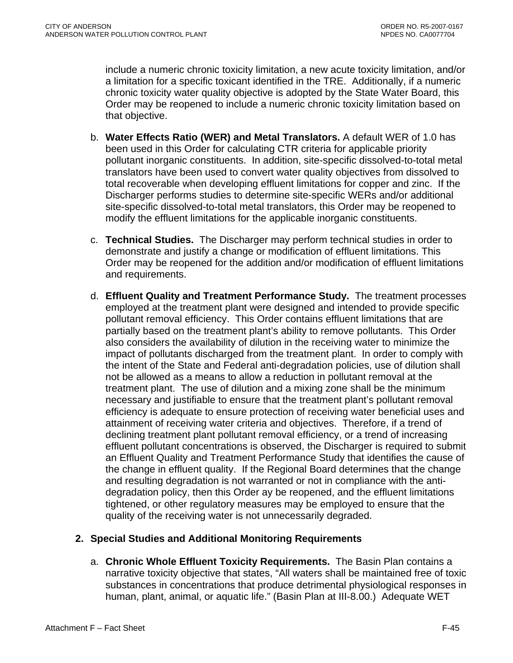include a numeric chronic toxicity limitation, a new acute toxicity limitation, and/or a limitation for a specific toxicant identified in the TRE. Additionally, if a numeric chronic toxicity water quality objective is adopted by the State Water Board, this Order may be reopened to include a numeric chronic toxicity limitation based on that objective.

- b. **Water Effects Ratio (WER) and Metal Translators.** A default WER of 1.0 has been used in this Order for calculating CTR criteria for applicable priority pollutant inorganic constituents.In addition, site-specific dissolved-to-total metal translators have been used to convert water quality objectives from dissolved to total recoverable when developing effluent limitations for copper and zinc. If the Discharger performs studies to determine site-specific WERs and/or additional site-specific dissolved-to-total metal translators, this Order may be reopened to modify the effluent limitations for the applicable inorganic constituents.
- c. **Technical Studies.** The Discharger may perform technical studies in order to demonstrate and justify a change or modification of effluent limitations. This Order may be reopened for the addition and/or modification of effluent limitations and requirements.
- d. **Effluent Quality and Treatment Performance Study.** The treatment processes employed at the treatment plant were designed and intended to provide specific pollutant removal efficiency. This Order contains effluent limitations that are partially based on the treatment plant's ability to remove pollutants. This Order also considers the availability of dilution in the receiving water to minimize the impact of pollutants discharged from the treatment plant. In order to comply with the intent of the State and Federal anti-degradation policies, use of dilution shall not be allowed as a means to allow a reduction in pollutant removal at the treatment plant. The use of dilution and a mixing zone shall be the minimum necessary and justifiable to ensure that the treatment plant's pollutant removal efficiency is adequate to ensure protection of receiving water beneficial uses and attainment of receiving water criteria and objectives. Therefore, if a trend of declining treatment plant pollutant removal efficiency, or a trend of increasing effluent pollutant concentrations is observed, the Discharger is required to submit an Effluent Quality and Treatment Performance Study that identifies the cause of the change in effluent quality. If the Regional Board determines that the change and resulting degradation is not warranted or not in compliance with the antidegradation policy, then this Order ay be reopened, and the effluent limitations tightened, or other regulatory measures may be employed to ensure that the quality of the receiving water is not unnecessarily degraded.

#### **2. Special Studies and Additional Monitoring Requirements**

a. **Chronic Whole Effluent Toxicity Requirements.** The Basin Plan contains a narrative toxicity objective that states, "All waters shall be maintained free of toxic substances in concentrations that produce detrimental physiological responses in human, plant, animal, or aquatic life." (Basin Plan at III-8.00.) Adequate WET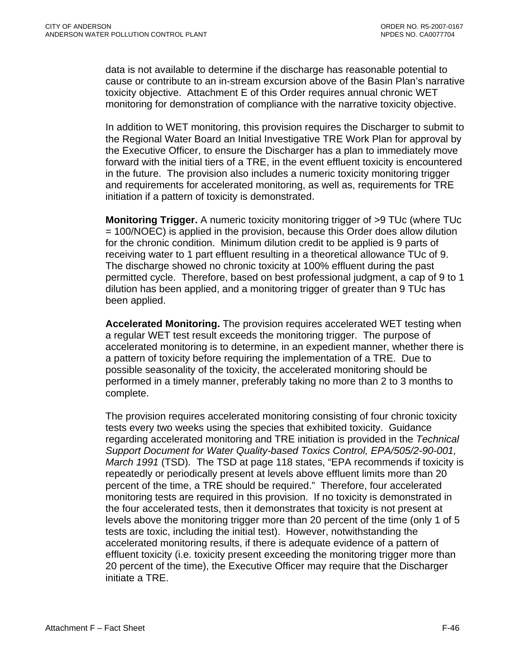data is not available to determine if the discharge has reasonable potential to cause or contribute to an in-stream excursion above of the Basin Plan's narrative toxicity objective. Attachment E of this Order requires annual chronic WET monitoring for demonstration of compliance with the narrative toxicity objective.

In addition to WET monitoring, this provision requires the Discharger to submit to the Regional Water Board an Initial Investigative TRE Work Plan for approval by the Executive Officer, to ensure the Discharger has a plan to immediately move forward with the initial tiers of a TRE, in the event effluent toxicity is encountered in the future. The provision also includes a numeric toxicity monitoring trigger and requirements for accelerated monitoring, as well as, requirements for TRE initiation if a pattern of toxicity is demonstrated.

**Monitoring Trigger.** A numeric toxicity monitoring trigger of >9 TUc (where TUc = 100/NOEC) is applied in the provision, because this Order does allow dilution for the chronic condition. Minimum dilution credit to be applied is 9 parts of receiving water to 1 part effluent resulting in a theoretical allowance TUc of 9. The discharge showed no chronic toxicity at 100% effluent during the past permitted cycle. Therefore, based on best professional judgment, a cap of 9 to 1 dilution has been applied, and a monitoring trigger of greater than 9 TUc has been applied.

**Accelerated Monitoring.** The provision requires accelerated WET testing when a regular WET test result exceeds the monitoring trigger. The purpose of accelerated monitoring is to determine, in an expedient manner, whether there is a pattern of toxicity before requiring the implementation of a TRE. Due to possible seasonality of the toxicity, the accelerated monitoring should be performed in a timely manner, preferably taking no more than 2 to 3 months to complete.

The provision requires accelerated monitoring consisting of four chronic toxicity tests every two weeks using the species that exhibited toxicity. Guidance regarding accelerated monitoring and TRE initiation is provided in the *Technical Support Document for Water Quality-based Toxics Control, EPA/505/2-90-001, March 1991* (TSD)*.* The TSD at page 118 states, "EPA recommends if toxicity is repeatedly or periodically present at levels above effluent limits more than 20 percent of the time, a TRE should be required." Therefore, four accelerated monitoring tests are required in this provision. If no toxicity is demonstrated in the four accelerated tests, then it demonstrates that toxicity is not present at levels above the monitoring trigger more than 20 percent of the time (only 1 of 5 tests are toxic, including the initial test). However, notwithstanding the accelerated monitoring results, if there is adequate evidence of a pattern of effluent toxicity (i.e. toxicity present exceeding the monitoring trigger more than 20 percent of the time), the Executive Officer may require that the Discharger initiate a TRE.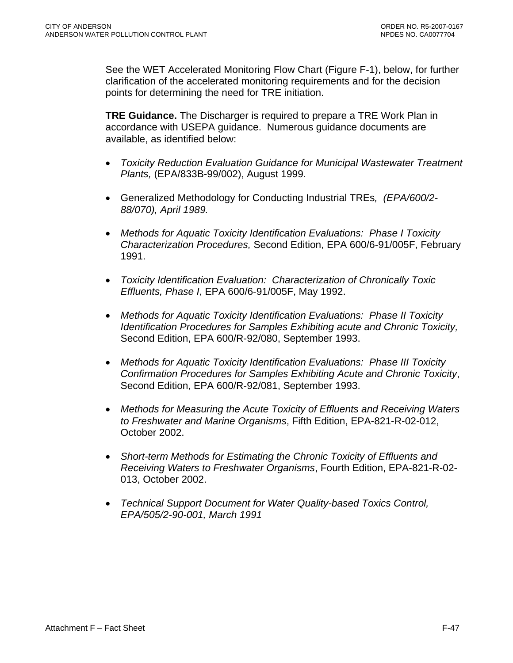See the WET Accelerated Monitoring Flow Chart (Figure F-1), below, for further clarification of the accelerated monitoring requirements and for the decision points for determining the need for TRE initiation.

**TRE Guidance.** The Discharger is required to prepare a TRE Work Plan in accordance with USEPA guidance. Numerous guidance documents are available, as identified below:

- *Toxicity Reduction Evaluation Guidance for Municipal Wastewater Treatment Plants,* (EPA/833B-99/002), August 1999.
- Generalized Methodology for Conducting Industrial TREs*, (EPA/600/2- 88/070), April 1989.*
- *Methods for Aquatic Toxicity Identification Evaluations: Phase I Toxicity Characterization Procedures,* Second Edition, EPA 600/6-91/005F, February 1991.
- *Toxicity Identification Evaluation: Characterization of Chronically Toxic Effluents, Phase I*, EPA 600/6-91/005F, May 1992.
- *Methods for Aquatic Toxicity Identification Evaluations: Phase II Toxicity Identification Procedures for Samples Exhibiting acute and Chronic Toxicity,*  Second Edition, EPA 600/R-92/080, September 1993.
- *Methods for Aquatic Toxicity Identification Evaluations: Phase III Toxicity Confirmation Procedures for Samples Exhibiting Acute and Chronic Toxicity*, Second Edition, EPA 600/R-92/081, September 1993.
- *Methods for Measuring the Acute Toxicity of Effluents and Receiving Waters to Freshwater and Marine Organisms*, Fifth Edition, EPA-821-R-02-012, October 2002.
- *Short-term Methods for Estimating the Chronic Toxicity of Effluents and Receiving Waters to Freshwater Organisms*, Fourth Edition, EPA-821-R-02- 013, October 2002.
- *Technical Support Document for Water Quality-based Toxics Control, EPA/505/2-90-001, March 1991*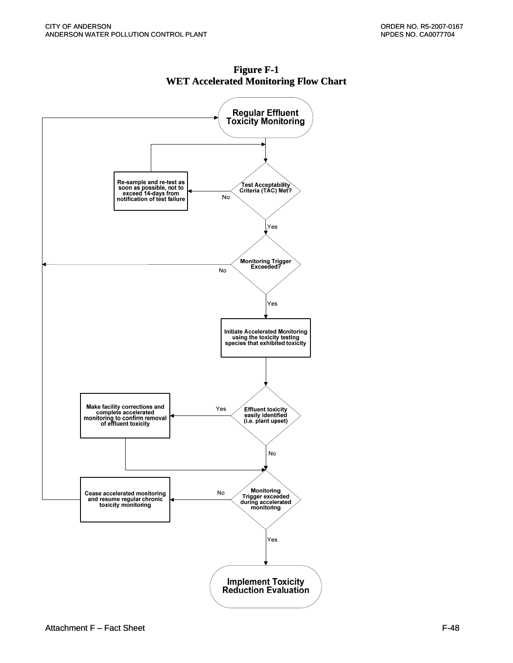

**Figure F-1 WET Accelerated Monitoring Flow Chart**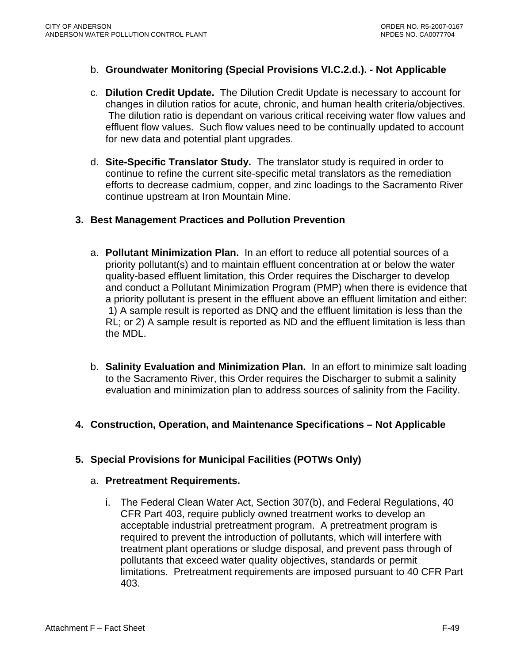- b. **Groundwater Monitoring (Special Provisions VI.C.2.d.). Not Applicable**
- c. **Dilution Credit Update.** The Dilution Credit Update is necessary to account for changes in dilution ratios for acute, chronic, and human health criteria/objectives. The dilution ratio is dependant on various critical receiving water flow values and effluent flow values. Such flow values need to be continually updated to account for new data and potential plant upgrades.
- d. **Site-Specific Translator Study.** The translator study is required in order to continue to refine the current site-specific metal translators as the remediation efforts to decrease cadmium, copper, and zinc loadings to the Sacramento River continue upstream at Iron Mountain Mine.

### **3. Best Management Practices and Pollution Prevention**

- a. **Pollutant Minimization Plan.** In an effort to reduce all potential sources of a priority pollutant(s) and to maintain effluent concentration at or below the water quality-based effluent limitation, this Order requires the Discharger to develop and conduct a Pollutant Minimization Program (PMP) when there is evidence that a priority pollutant is present in the effluent above an effluent limitation and either: 1) A sample result is reported as DNQ and the effluent limitation is less than the RL; or 2) A sample result is reported as ND and the effluent limitation is less than the MDL.
- b. **Salinity Evaluation and Minimization Plan.** In an effort to minimize salt loading to the Sacramento River, this Order requires the Discharger to submit a salinity evaluation and minimization plan to address sources of salinity from the Facility.
- **4. Construction, Operation, and Maintenance Specifications Not Applicable**

# **5. Special Provisions for Municipal Facilities (POTWs Only)**

#### a. **Pretreatment Requirements.**

i. The Federal Clean Water Act, Section 307(b), and Federal Regulations, 40 CFR Part 403, require publicly owned treatment works to develop an acceptable industrial pretreatment program. A pretreatment program is required to prevent the introduction of pollutants, which will interfere with treatment plant operations or sludge disposal, and prevent pass through of pollutants that exceed water quality objectives, standards or permit limitations. Pretreatment requirements are imposed pursuant to 40 CFR Part 403.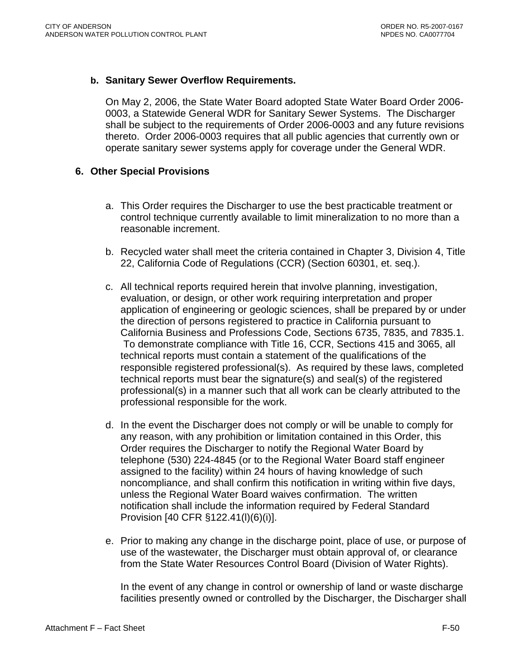#### **b. Sanitary Sewer Overflow Requirements.**

On May 2, 2006, the State Water Board adopted State Water Board Order 2006- 0003, a Statewide General WDR for Sanitary Sewer Systems. The Discharger shall be subject to the requirements of Order 2006-0003 and any future revisions thereto. Order 2006-0003 requires that all public agencies that currently own or operate sanitary sewer systems apply for coverage under the General WDR.

#### **6. Other Special Provisions**

- a. This Order requires the Discharger to use the best practicable treatment or control technique currently available to limit mineralization to no more than a reasonable increment.
- b. Recycled water shall meet the criteria contained in Chapter 3, Division 4, Title 22, California Code of Regulations (CCR) (Section 60301, et. seq.).
- c. All technical reports required herein that involve planning, investigation, evaluation, or design, or other work requiring interpretation and proper application of engineering or geologic sciences, shall be prepared by or under the direction of persons registered to practice in California pursuant to California Business and Professions Code, Sections 6735, 7835, and 7835.1. To demonstrate compliance with Title 16, CCR, Sections 415 and 3065, all technical reports must contain a statement of the qualifications of the responsible registered professional(s). As required by these laws, completed technical reports must bear the signature(s) and seal(s) of the registered professional(s) in a manner such that all work can be clearly attributed to the professional responsible for the work.
- d. In the event the Discharger does not comply or will be unable to comply for any reason, with any prohibition or limitation contained in this Order, this Order requires the Discharger to notify the Regional Water Board by telephone (530) 224-4845 (or to the Regional Water Board staff engineer assigned to the facility) within 24 hours of having knowledge of such noncompliance, and shall confirm this notification in writing within five days, unless the Regional Water Board waives confirmation. The written notification shall include the information required by Federal Standard Provision [40 CFR §122.41(l)(6)(i)].
- e. Prior to making any change in the discharge point, place of use, or purpose of use of the wastewater, the Discharger must obtain approval of, or clearance from the State Water Resources Control Board (Division of Water Rights).

In the event of any change in control or ownership of land or waste discharge facilities presently owned or controlled by the Discharger, the Discharger shall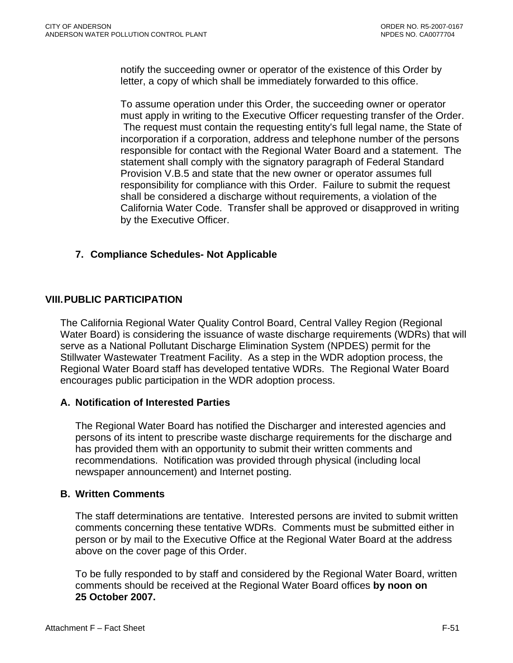notify the succeeding owner or operator of the existence of this Order by letter, a copy of which shall be immediately forwarded to this office.

To assume operation under this Order, the succeeding owner or operator must apply in writing to the Executive Officer requesting transfer of the Order. The request must contain the requesting entity's full legal name, the State of incorporation if a corporation, address and telephone number of the persons responsible for contact with the Regional Water Board and a statement. The statement shall comply with the signatory paragraph of Federal Standard Provision V.B.5 and state that the new owner or operator assumes full responsibility for compliance with this Order. Failure to submit the request shall be considered a discharge without requirements, a violation of the California Water Code. Transfer shall be approved or disapproved in writing by the Executive Officer.

# **7. Compliance Schedules- Not Applicable**

# **VIII. PUBLIC PARTICIPATION**

The California Regional Water Quality Control Board, Central Valley Region (Regional Water Board) is considering the issuance of waste discharge requirements (WDRs) that will serve as a National Pollutant Discharge Elimination System (NPDES) permit for the Stillwater Wastewater Treatment Facility. As a step in the WDR adoption process, the Regional Water Board staff has developed tentative WDRs. The Regional Water Board encourages public participation in the WDR adoption process.

### **A. Notification of Interested Parties**

The Regional Water Board has notified the Discharger and interested agencies and persons of its intent to prescribe waste discharge requirements for the discharge and has provided them with an opportunity to submit their written comments and recommendations. Notification was provided through physical (including local newspaper announcement) and Internet posting.

### **B. Written Comments**

The staff determinations are tentative. Interested persons are invited to submit written comments concerning these tentative WDRs. Comments must be submitted either in person or by mail to the Executive Office at the Regional Water Board at the address above on the cover page of this Order.

To be fully responded to by staff and considered by the Regional Water Board, written comments should be received at the Regional Water Board offices **by noon on 25 October 2007.**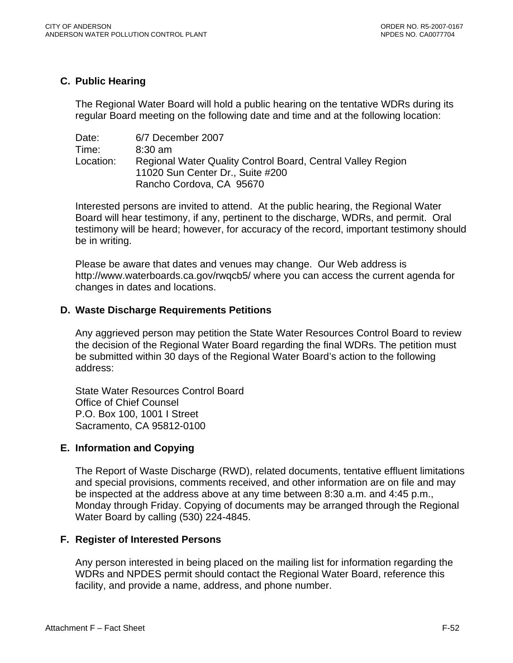### **C. Public Hearing**

The Regional Water Board will hold a public hearing on the tentative WDRs during its regular Board meeting on the following date and time and at the following location:

| Date:     | 6/7 December 2007                                           |
|-----------|-------------------------------------------------------------|
| Time:     | $8:30$ am                                                   |
| Location: | Regional Water Quality Control Board, Central Valley Region |
|           | 11020 Sun Center Dr., Suite #200                            |
|           | Rancho Cordova, CA 95670                                    |

Interested persons are invited to attend. At the public hearing, the Regional Water Board will hear testimony, if any, pertinent to the discharge, WDRs, and permit. Oral testimony will be heard; however, for accuracy of the record, important testimony should be in writing.

Please be aware that dates and venues may change. Our Web address is <http://www.waterboards.ca.gov/rwqcb5/> where you can access the current agenda for changes in dates and locations.

### **D. Waste Discharge Requirements Petitions**

Any aggrieved person may petition the State Water Resources Control Board to review the decision of the Regional Water Board regarding the final WDRs. The petition must be submitted within 30 days of the Regional Water Board's action to the following address:

State Water Resources Control Board Office of Chief Counsel P.O. Box 100, 1001 I Street Sacramento, CA 95812-0100

### **E. Information and Copying**

The Report of Waste Discharge (RWD), related documents, tentative effluent limitations and special provisions, comments received, and other information are on file and may be inspected at the address above at any time between 8:30 a.m. and 4:45 p.m., Monday through Friday. Copying of documents may be arranged through the Regional Water Board by calling (530) 224-4845.

### **F. Register of Interested Persons**

Any person interested in being placed on the mailing list for information regarding the WDRs and NPDES permit should contact the Regional Water Board, reference this facility, and provide a name, address, and phone number.